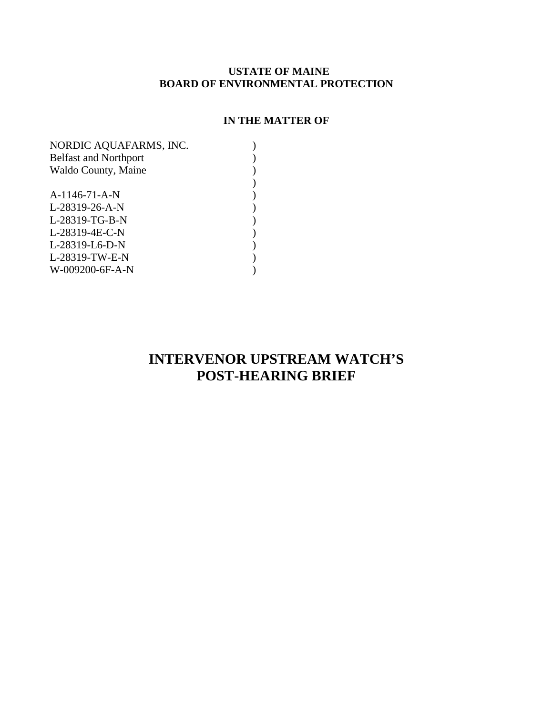### **USTATE OF MAINE BOARD OF ENVIRONMENTAL PROTECTION**

### **IN THE MATTER OF**

| NORDIC AQUAFARMS, INC.       |  |
|------------------------------|--|
| <b>Belfast and Northport</b> |  |
| Waldo County, Maine          |  |
|                              |  |
| A-1146-71-A-N                |  |
| L-28319-26-A-N               |  |
| L-28319-TG-B-N               |  |
| L-28319-4E-C-N               |  |
| L-28319-L6-D-N               |  |
| L-28319-TW-E-N               |  |
| W-009200-6F-A-N              |  |
|                              |  |

# **INTERVENOR UPSTREAM WATCH'S POST-HEARING BRIEF**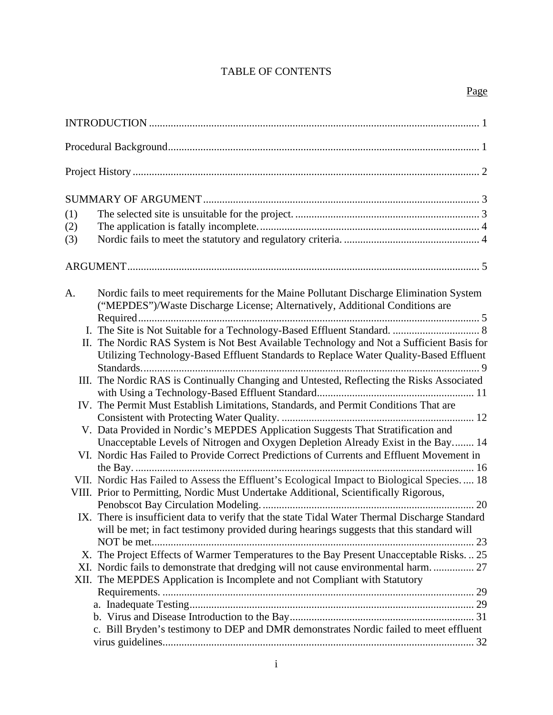## TABLE OF CONTENTS

| (1)<br>(2)<br>(3) |                                                                                                                                                                                            |
|-------------------|--------------------------------------------------------------------------------------------------------------------------------------------------------------------------------------------|
|                   |                                                                                                                                                                                            |
| A.                | Nordic fails to meet requirements for the Maine Pollutant Discharge Elimination System<br>("MEPDES")/Waste Discharge License; Alternatively, Additional Conditions are                     |
|                   | II. The Nordic RAS System is Not Best Available Technology and Not a Sufficient Basis for<br>Utilizing Technology-Based Effluent Standards to Replace Water Quality-Based Effluent         |
|                   | III. The Nordic RAS is Continually Changing and Untested, Reflecting the Risks Associated                                                                                                  |
|                   | IV. The Permit Must Establish Limitations, Standards, and Permit Conditions That are<br>V. Data Provided in Nordic's MEPDES Application Suggests That Stratification and                   |
|                   | Unacceptable Levels of Nitrogen and Oxygen Depletion Already Exist in the Bay 14<br>VI. Nordic Has Failed to Provide Correct Predictions of Currents and Effluent Movement in              |
|                   | VII. Nordic Has Failed to Assess the Effluent's Ecological Impact to Biological Species.  18<br>VIII. Prior to Permitting, Nordic Must Undertake Additional, Scientifically Rigorous,      |
|                   | IX. There is insufficient data to verify that the state Tidal Water Thermal Discharge Standard<br>will be met; in fact testimony provided during hearings suggests that this standard will |
|                   | X. The Project Effects of Warmer Temperatures to the Bay Present Unacceptable Risks 25<br>XII. The MEPDES Application is Incomplete and not Compliant with Statutory                       |
|                   | c. Bill Bryden's testimony to DEP and DMR demonstrates Nordic failed to meet effluent                                                                                                      |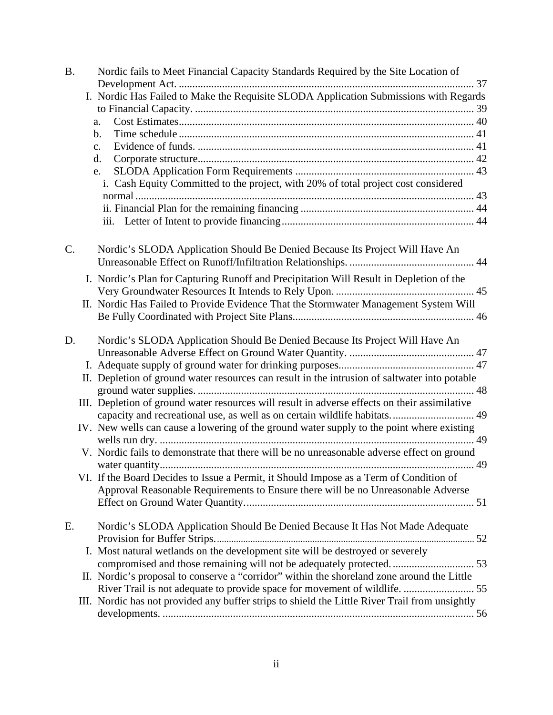| <b>B.</b> | Nordic fails to Meet Financial Capacity Standards Required by the Site Location of                                                                                         |
|-----------|----------------------------------------------------------------------------------------------------------------------------------------------------------------------------|
|           |                                                                                                                                                                            |
|           | I. Nordic Has Failed to Make the Requisite SLODA Application Submissions with Regards                                                                                      |
|           |                                                                                                                                                                            |
|           | a.                                                                                                                                                                         |
|           | b.                                                                                                                                                                         |
|           | $\mathbf{c}$ .                                                                                                                                                             |
|           | d.                                                                                                                                                                         |
|           | e.                                                                                                                                                                         |
|           | i. Cash Equity Committed to the project, with 20% of total project cost considered                                                                                         |
|           |                                                                                                                                                                            |
|           |                                                                                                                                                                            |
|           |                                                                                                                                                                            |
| $C$ .     | Nordic's SLODA Application Should Be Denied Because Its Project Will Have An                                                                                               |
|           |                                                                                                                                                                            |
|           | I. Nordic's Plan for Capturing Runoff and Precipitation Will Result in Depletion of the                                                                                    |
|           |                                                                                                                                                                            |
|           | II. Nordic Has Failed to Provide Evidence That the Stormwater Management System Will                                                                                       |
|           |                                                                                                                                                                            |
| D.        | Nordic's SLODA Application Should Be Denied Because Its Project Will Have An                                                                                               |
|           |                                                                                                                                                                            |
|           |                                                                                                                                                                            |
|           | II. Depletion of ground water resources can result in the intrusion of saltwater into potable                                                                              |
|           |                                                                                                                                                                            |
|           | III. Depletion of ground water resources will result in adverse effects on their assimilative<br>capacity and recreational use, as well as on certain wildlife habitats 49 |
|           | IV. New wells can cause a lowering of the ground water supply to the point where existing                                                                                  |
|           |                                                                                                                                                                            |
|           | V. Nordic fails to demonstrate that there will be no unreasonable adverse effect on ground                                                                                 |
|           |                                                                                                                                                                            |
|           | VI. If the Board Decides to Issue a Permit, it Should Impose as a Term of Condition of                                                                                     |
|           | Approval Reasonable Requirements to Ensure there will be no Unreasonable Adverse                                                                                           |
|           |                                                                                                                                                                            |
|           |                                                                                                                                                                            |
| E.        | Nordic's SLODA Application Should Be Denied Because It Has Not Made Adequate                                                                                               |
|           |                                                                                                                                                                            |
|           | I. Most natural wetlands on the development site will be destroyed or severely                                                                                             |
|           | compromised and those remaining will not be adequately protected 53                                                                                                        |
|           | II. Nordic's proposal to conserve a "corridor" within the shoreland zone around the Little                                                                                 |
|           | River Trail is not adequate to provide space for movement of wildlife.  55                                                                                                 |
|           | III. Nordic has not provided any buffer strips to shield the Little River Trail from unsightly                                                                             |
|           |                                                                                                                                                                            |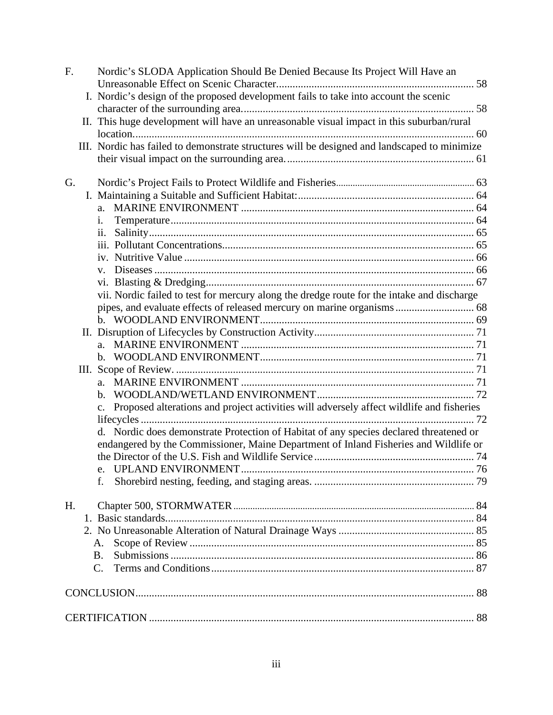| F. | Nordic's SLODA Application Should Be Denied Because Its Project Will Have an                 |  |
|----|----------------------------------------------------------------------------------------------|--|
|    |                                                                                              |  |
|    | I. Nordic's design of the proposed development fails to take into account the scenic         |  |
|    | II. This huge development will have an unreasonable visual impact in this suburban/rural     |  |
|    |                                                                                              |  |
|    | III. Nordic has failed to demonstrate structures will be designed and landscaped to minimize |  |
|    |                                                                                              |  |
|    |                                                                                              |  |
| G. |                                                                                              |  |
|    |                                                                                              |  |
|    | a.                                                                                           |  |
|    | i.                                                                                           |  |
|    | ii.                                                                                          |  |
|    |                                                                                              |  |
|    |                                                                                              |  |
|    | $V_{\star}$                                                                                  |  |
|    |                                                                                              |  |
|    | vii. Nordic failed to test for mercury along the dredge route for the intake and discharge   |  |
|    |                                                                                              |  |
|    |                                                                                              |  |
|    |                                                                                              |  |
|    |                                                                                              |  |
|    |                                                                                              |  |
|    |                                                                                              |  |
|    | $\mathbf{b}$ .                                                                               |  |
|    | Proposed alterations and project activities will adversely affect wildlife and fisheries     |  |
|    |                                                                                              |  |
|    | d. Nordic does demonstrate Protection of Habitat of any species declared threatened or       |  |
|    | endangered by the Commissioner, Maine Department of Inland Fisheries and Wildlife or         |  |
|    |                                                                                              |  |
|    |                                                                                              |  |
|    |                                                                                              |  |
|    |                                                                                              |  |
| H. |                                                                                              |  |
|    |                                                                                              |  |
|    |                                                                                              |  |
|    | A.                                                                                           |  |
|    | B.                                                                                           |  |
|    | $C_{\cdot}$                                                                                  |  |
|    |                                                                                              |  |
|    |                                                                                              |  |
|    |                                                                                              |  |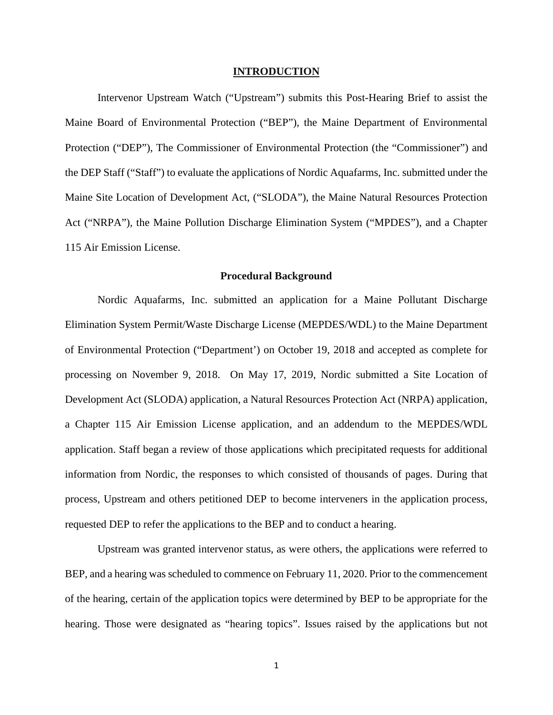#### **INTRODUCTION**

Intervenor Upstream Watch ("Upstream") submits this Post-Hearing Brief to assist the Maine Board of Environmental Protection ("BEP"), the Maine Department of Environmental Protection ("DEP"), The Commissioner of Environmental Protection (the "Commissioner") and the DEP Staff ("Staff") to evaluate the applications of Nordic Aquafarms, Inc. submitted under the Maine Site Location of Development Act, ("SLODA"), the Maine Natural Resources Protection Act ("NRPA"), the Maine Pollution Discharge Elimination System ("MPDES"), and a Chapter 115 Air Emission License.

#### **Procedural Background**

Nordic Aquafarms, Inc. submitted an application for a Maine Pollutant Discharge Elimination System Permit/Waste Discharge License (MEPDES/WDL) to the Maine Department of Environmental Protection ("Department') on October 19, 2018 and accepted as complete for processing on November 9, 2018. On May 17, 2019, Nordic submitted a Site Location of Development Act (SLODA) application, a Natural Resources Protection Act (NRPA) application, a Chapter 115 Air Emission License application, and an addendum to the MEPDES/WDL application. Staff began a review of those applications which precipitated requests for additional information from Nordic, the responses to which consisted of thousands of pages. During that process, Upstream and others petitioned DEP to become interveners in the application process, requested DEP to refer the applications to the BEP and to conduct a hearing.

Upstream was granted intervenor status, as were others, the applications were referred to BEP, and a hearing was scheduled to commence on February 11, 2020. Prior to the commencement of the hearing, certain of the application topics were determined by BEP to be appropriate for the hearing. Those were designated as "hearing topics". Issues raised by the applications but not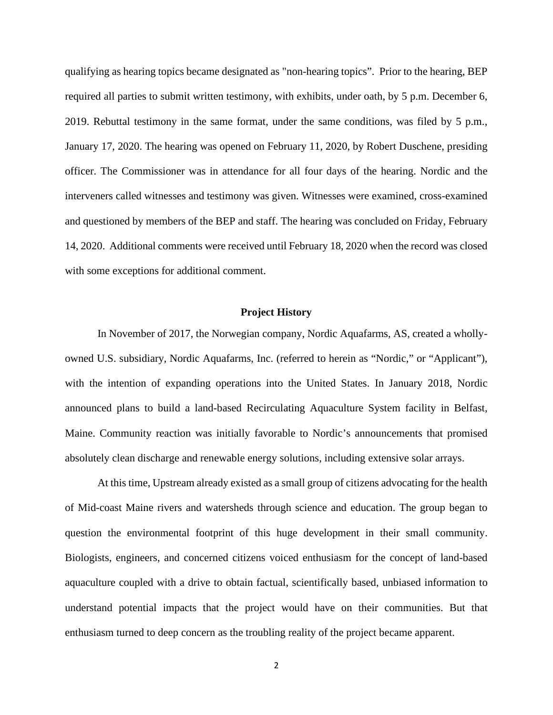qualifying as hearing topics became designated as "non-hearing topics". Prior to the hearing, BEP required all parties to submit written testimony, with exhibits, under oath, by 5 p.m. December 6, 2019. Rebuttal testimony in the same format, under the same conditions, was filed by 5 p.m., January 17, 2020. The hearing was opened on February 11, 2020, by Robert Duschene, presiding officer. The Commissioner was in attendance for all four days of the hearing. Nordic and the interveners called witnesses and testimony was given. Witnesses were examined, cross-examined and questioned by members of the BEP and staff. The hearing was concluded on Friday, February 14, 2020. Additional comments were received until February 18, 2020 when the record was closed with some exceptions for additional comment.

#### **Project History**

In November of 2017, the Norwegian company, Nordic Aquafarms, AS, created a whollyowned U.S. subsidiary, Nordic Aquafarms, Inc. (referred to herein as "Nordic," or "Applicant"), with the intention of expanding operations into the United States. In January 2018, Nordic announced plans to build a land-based Recirculating Aquaculture System facility in Belfast, Maine. Community reaction was initially favorable to Nordic's announcements that promised absolutely clean discharge and renewable energy solutions, including extensive solar arrays.

At this time, Upstream already existed as a small group of citizens advocating for the health of Mid-coast Maine rivers and watersheds through science and education. The group began to question the environmental footprint of this huge development in their small community. Biologists, engineers, and concerned citizens voiced enthusiasm for the concept of land-based aquaculture coupled with a drive to obtain factual, scientifically based, unbiased information to understand potential impacts that the project would have on their communities. But that enthusiasm turned to deep concern as the troubling reality of the project became apparent.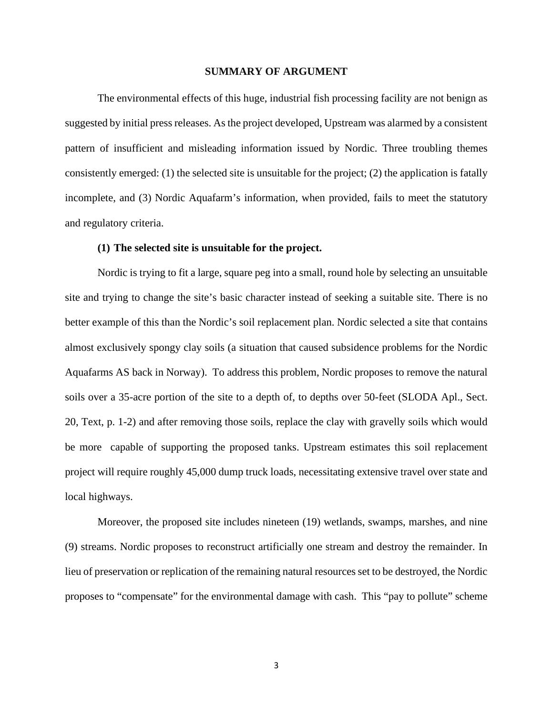#### **SUMMARY OF ARGUMENT**

The environmental effects of this huge, industrial fish processing facility are not benign as suggested by initial press releases. As the project developed, Upstream was alarmed by a consistent pattern of insufficient and misleading information issued by Nordic. Three troubling themes consistently emerged: (1) the selected site is unsuitable for the project; (2) the application is fatally incomplete, and (3) Nordic Aquafarm's information, when provided, fails to meet the statutory and regulatory criteria.

#### **(1) The selected site is unsuitable for the project.**

Nordic is trying to fit a large, square peg into a small, round hole by selecting an unsuitable site and trying to change the site's basic character instead of seeking a suitable site. There is no better example of this than the Nordic's soil replacement plan. Nordic selected a site that contains almost exclusively spongy clay soils (a situation that caused subsidence problems for the Nordic Aquafarms AS back in Norway). To address this problem, Nordic proposes to remove the natural soils over a 35-acre portion of the site to a depth of, to depths over 50-feet (SLODA Apl., Sect. 20, Text, p. 1-2) and after removing those soils, replace the clay with gravelly soils which would be more capable of supporting the proposed tanks. Upstream estimates this soil replacement project will require roughly 45,000 dump truck loads, necessitating extensive travel over state and local highways.

Moreover, the proposed site includes nineteen (19) wetlands, swamps, marshes, and nine (9) streams. Nordic proposes to reconstruct artificially one stream and destroy the remainder. In lieu of preservation or replication of the remaining natural resources set to be destroyed, the Nordic proposes to "compensate" for the environmental damage with cash. This "pay to pollute" scheme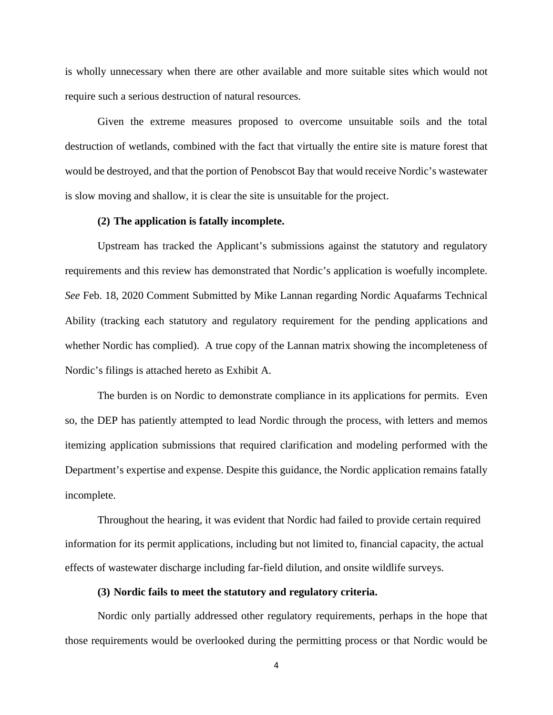is wholly unnecessary when there are other available and more suitable sites which would not require such a serious destruction of natural resources.

Given the extreme measures proposed to overcome unsuitable soils and the total destruction of wetlands, combined with the fact that virtually the entire site is mature forest that would be destroyed, and that the portion of Penobscot Bay that would receive Nordic's wastewater is slow moving and shallow, it is clear the site is unsuitable for the project.

#### **(2) The application is fatally incomplete.**

Upstream has tracked the Applicant's submissions against the statutory and regulatory requirements and this review has demonstrated that Nordic's application is woefully incomplete. *See* Feb. 18, 2020 Comment Submitted by Mike Lannan regarding Nordic Aquafarms Technical Ability (tracking each statutory and regulatory requirement for the pending applications and whether Nordic has complied). A true copy of the Lannan matrix showing the incompleteness of Nordic's filings is attached hereto as Exhibit A.

The burden is on Nordic to demonstrate compliance in its applications for permits. Even so, the DEP has patiently attempted to lead Nordic through the process, with letters and memos itemizing application submissions that required clarification and modeling performed with the Department's expertise and expense. Despite this guidance, the Nordic application remains fatally incomplete.

Throughout the hearing, it was evident that Nordic had failed to provide certain required information for its permit applications, including but not limited to, financial capacity, the actual effects of wastewater discharge including far-field dilution, and onsite wildlife surveys.

#### **(3) Nordic fails to meet the statutory and regulatory criteria.**

Nordic only partially addressed other regulatory requirements, perhaps in the hope that those requirements would be overlooked during the permitting process or that Nordic would be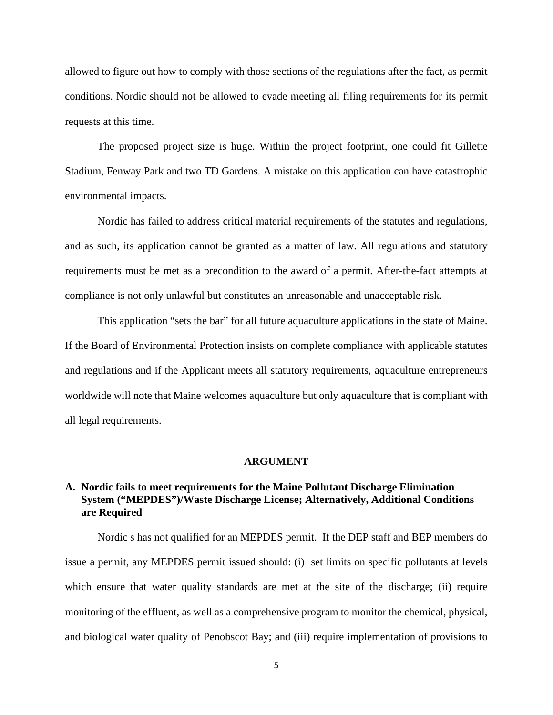allowed to figure out how to comply with those sections of the regulations after the fact, as permit conditions. Nordic should not be allowed to evade meeting all filing requirements for its permit requests at this time.

The proposed project size is huge. Within the project footprint, one could fit Gillette Stadium, Fenway Park and two TD Gardens. A mistake on this application can have catastrophic environmental impacts.

Nordic has failed to address critical material requirements of the statutes and regulations, and as such, its application cannot be granted as a matter of law. All regulations and statutory requirements must be met as a precondition to the award of a permit. After-the-fact attempts at compliance is not only unlawful but constitutes an unreasonable and unacceptable risk.

This application "sets the bar" for all future aquaculture applications in the state of Maine. If the Board of Environmental Protection insists on complete compliance with applicable statutes and regulations and if the Applicant meets all statutory requirements, aquaculture entrepreneurs worldwide will note that Maine welcomes aquaculture but only aquaculture that is compliant with all legal requirements.

#### **ARGUMENT**

### **A. Nordic fails to meet requirements for the Maine Pollutant Discharge Elimination System ("MEPDES")/Waste Discharge License; Alternatively, Additional Conditions are Required**

Nordic s has not qualified for an MEPDES permit. If the DEP staff and BEP members do issue a permit, any MEPDES permit issued should: (i) set limits on specific pollutants at levels which ensure that water quality standards are met at the site of the discharge; (ii) require monitoring of the effluent, as well as a comprehensive program to monitor the chemical, physical, and biological water quality of Penobscot Bay; and (iii) require implementation of provisions to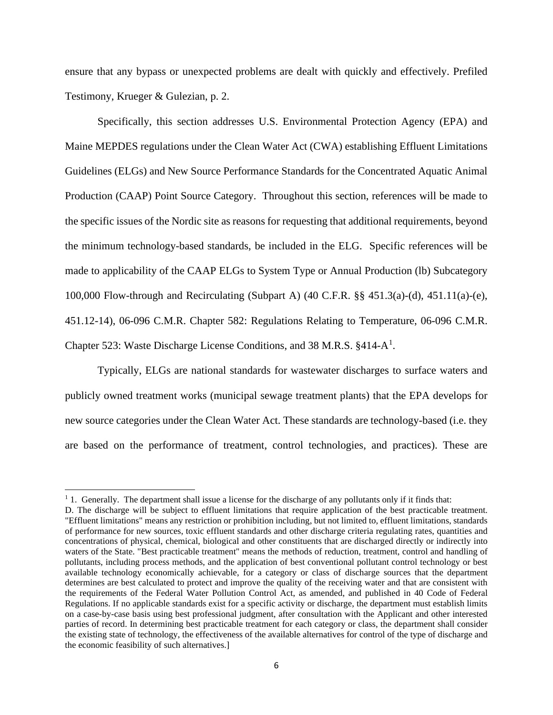ensure that any bypass or unexpected problems are dealt with quickly and effectively. Prefiled Testimony, Krueger & Gulezian, p. 2.

Specifically, this section addresses U.S. Environmental Protection Agency (EPA) and Maine MEPDES regulations under the Clean Water Act (CWA) establishing Effluent Limitations Guidelines (ELGs) and New Source Performance Standards for the Concentrated Aquatic Animal Production (CAAP) Point Source Category. Throughout this section, references will be made to the specific issues of the Nordic site as reasons for requesting that additional requirements, beyond the minimum technology-based standards, be included in the ELG. Specific references will be made to applicability of the CAAP ELGs to System Type or Annual Production (lb) Subcategory 100,000 Flow-through and Recirculating (Subpart A) (40 C.F.R. §§ 451.3(a)-(d), 451.11(a)-(e), 451.12-14), 06-096 C.M.R. Chapter 582: Regulations Relating to Temperature, 06-096 C.M.R. Chapter 523: Waste Discharge License Conditions, and 38 M.R.S. §4[1](#page-9-0)4-A<sup>1</sup>.

Typically, ELGs are national standards for wastewater discharges to surface waters and publicly owned treatment works (municipal sewage treatment plants) that the EPA develops for new source categories under the Clean Water Act. These standards are technology-based (i.e. they are based on the performance of treatment, control technologies, and practices). These are

<span id="page-9-0"></span><sup>&</sup>lt;sup>1</sup> 1. Generally. The department shall issue a license for the discharge of any pollutants only if it finds that:

D. The discharge will be subject to effluent limitations that require application of the best practicable treatment. "Effluent limitations" means any restriction or prohibition including, but not limited to, effluent limitations, standards of performance for new sources, toxic effluent standards and other discharge criteria regulating rates, quantities and concentrations of physical, chemical, biological and other constituents that are discharged directly or indirectly into waters of the State. "Best practicable treatment" means the methods of reduction, treatment, control and handling of pollutants, including process methods, and the application of best conventional pollutant control technology or best available technology economically achievable, for a category or class of discharge sources that the department determines are best calculated to protect and improve the quality of the receiving water and that are consistent with the requirements of the Federal Water Pollution Control Act, as amended, and published in 40 Code of Federal Regulations. If no applicable standards exist for a specific activity or discharge, the department must establish limits on a case-by-case basis using best professional judgment, after consultation with the Applicant and other interested parties of record. In determining best practicable treatment for each category or class, the department shall consider the existing state of technology, the effectiveness of the available alternatives for control of the type of discharge and the economic feasibility of such alternatives.]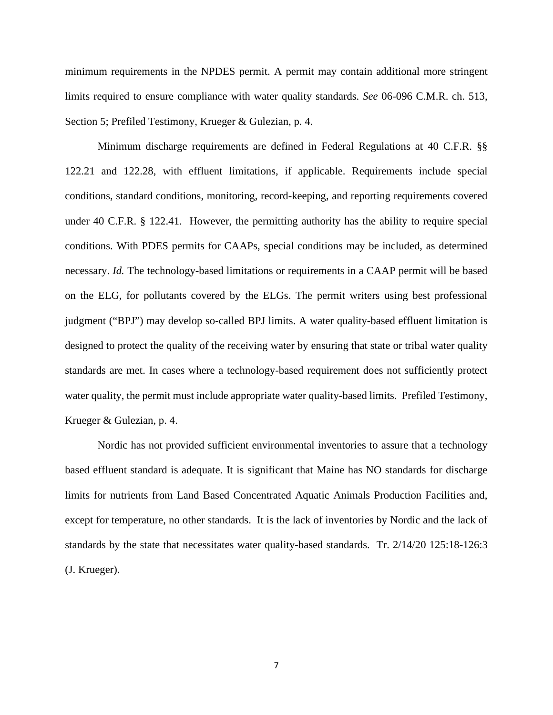minimum requirements in the NPDES permit. A permit may contain additional more stringent limits required to ensure compliance with water quality standards. *See* 06-096 C.M.R. ch. 513, Section 5; Prefiled Testimony, Krueger & Gulezian, p. 4.

Minimum discharge requirements are defined in Federal Regulations at 40 C.F.R. §§ 122.21 and 122.28, with effluent limitations, if applicable. Requirements include special conditions, standard conditions, monitoring, record-keeping, and reporting requirements covered under 40 C.F.R. § 122.41. However, the permitting authority has the ability to require special conditions. With PDES permits for CAAPs, special conditions may be included, as determined necessary. *Id.* The technology-based limitations or requirements in a CAAP permit will be based on the ELG, for pollutants covered by the ELGs. The permit writers using best professional judgment ("BPJ") may develop so-called BPJ limits. A water quality-based effluent limitation is designed to protect the quality of the receiving water by ensuring that state or tribal water quality standards are met. In cases where a technology-based requirement does not sufficiently protect water quality, the permit must include appropriate water quality-based limits. Prefiled Testimony, Krueger & Gulezian, p. 4.

Nordic has not provided sufficient environmental inventories to assure that a technology based effluent standard is adequate. It is significant that Maine has NO standards for discharge limits for nutrients from Land Based Concentrated Aquatic Animals Production Facilities and, except for temperature, no other standards. It is the lack of inventories by Nordic and the lack of standards by the state that necessitates water quality-based standards. Tr. 2/14/20 125:18-126:3 (J. Krueger).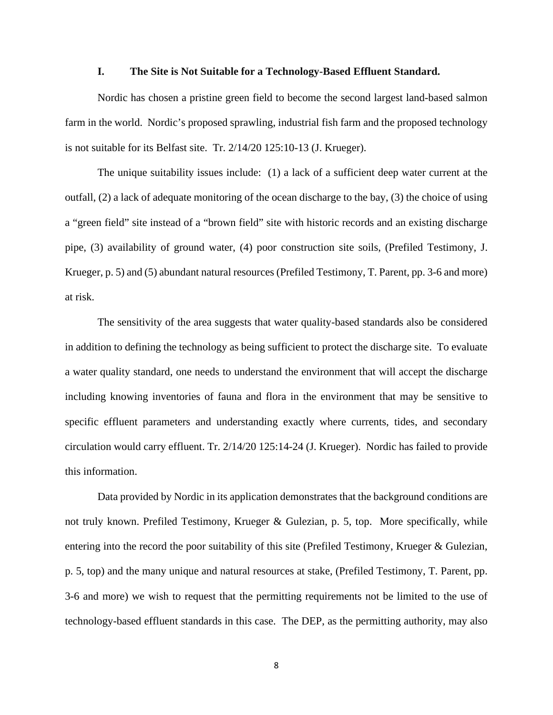#### **I. The Site is Not Suitable for a Technology-Based Effluent Standard.**

Nordic has chosen a pristine green field to become the second largest land-based salmon farm in the world. Nordic's proposed sprawling, industrial fish farm and the proposed technology is not suitable for its Belfast site. Tr. 2/14/20 125:10-13 (J. Krueger).

The unique suitability issues include: (1) a lack of a sufficient deep water current at the outfall, (2) a lack of adequate monitoring of the ocean discharge to the bay, (3) the choice of using a "green field" site instead of a "brown field" site with historic records and an existing discharge pipe, (3) availability of ground water, (4) poor construction site soils, (Prefiled Testimony, J. Krueger, p. 5) and (5) abundant natural resources (Prefiled Testimony, T. Parent, pp. 3-6 and more) at risk.

The sensitivity of the area suggests that water quality-based standards also be considered in addition to defining the technology as being sufficient to protect the discharge site. To evaluate a water quality standard, one needs to understand the environment that will accept the discharge including knowing inventories of fauna and flora in the environment that may be sensitive to specific effluent parameters and understanding exactly where currents, tides, and secondary circulation would carry effluent. Tr. 2/14/20 125:14-24 (J. Krueger). Nordic has failed to provide this information.

Data provided by Nordic in its application demonstrates that the background conditions are not truly known. Prefiled Testimony, Krueger & Gulezian, p. 5, top. More specifically, while entering into the record the poor suitability of this site (Prefiled Testimony, Krueger & Gulezian, p. 5, top) and the many unique and natural resources at stake, (Prefiled Testimony, T. Parent, pp. 3-6 and more) we wish to request that the permitting requirements not be limited to the use of technology-based effluent standards in this case. The DEP, as the permitting authority, may also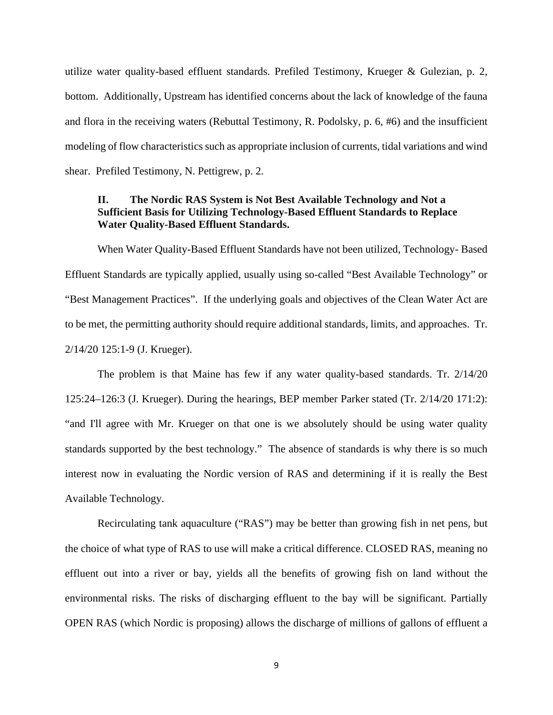utilize water quality-based effluent standards. Prefiled Testimony, Krueger & Gulezian, p. 2, bottom. Additionally, Upstream has identified concerns about the lack of knowledge of the fauna and flora in the receiving waters (Rebuttal Testimony, R. Podolsky, p. 6, #6) and the insufficient modeling of flow characteristics such as appropriate inclusion of currents, tidal variations and wind shear. Prefiled Testimony, N. Pettigrew, p. 2.

### **II. The Nordic RAS System is Not Best Available Technology and Not a Sufficient Basis for Utilizing Technology-Based Effluent Standards to Replace Water Quality-Based Effluent Standards.**

When Water Quality-Based Effluent Standards have not been utilized, Technology- Based Effluent Standards are typically applied, usually using so-called "Best Available Technology" or "Best Management Practices". If the underlying goals and objectives of the Clean Water Act are to be met, the permitting authority should require additional standards, limits, and approaches. Tr. 2/14/20 125:1-9 (J. Krueger).

The problem is that Maine has few if any water quality-based standards. Tr. 2/14/20 125:24–126:3 (J. Krueger). During the hearings, BEP member Parker stated (Tr. 2/14/20 171:2): "and I'll agree with Mr. Krueger on that one is we absolutely should be using water quality standards supported by the best technology." The absence of standards is why there is so much interest now in evaluating the Nordic version of RAS and determining if it is really the Best Available Technology.

Recirculating tank aquaculture ("RAS") may be better than growing fish in net pens, but the choice of what type of RAS to use will make a critical difference. CLOSED RAS, meaning no effluent out into a river or bay, yields all the benefits of growing fish on land without the environmental risks. The risks of discharging effluent to the bay will be significant. Partially OPEN RAS (which Nordic is proposing) allows the discharge of millions of gallons of effluent a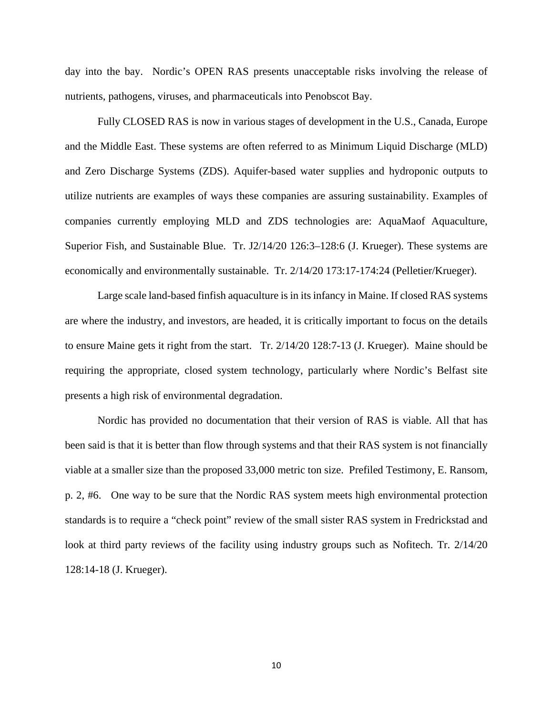day into the bay. Nordic's OPEN RAS presents unacceptable risks involving the release of nutrients, pathogens, viruses, and pharmaceuticals into Penobscot Bay.

Fully CLOSED RAS is now in various stages of development in the U.S., Canada, Europe and the Middle East. These systems are often referred to as Minimum Liquid Discharge (MLD) and Zero Discharge Systems (ZDS). Aquifer-based water supplies and hydroponic outputs to utilize nutrients are examples of ways these companies are assuring sustainability. Examples of companies currently employing MLD and ZDS technologies are: AquaMaof Aquaculture, Superior Fish, and Sustainable Blue. Tr. J2/14/20 126:3–128:6 (J. Krueger). These systems are economically and environmentally sustainable. Tr. 2/14/20 173:17-174:24 (Pelletier/Krueger).

Large scale land-based finfish aquaculture is in its infancy in Maine. If closed RAS systems are where the industry, and investors, are headed, it is critically important to focus on the details to ensure Maine gets it right from the start. Tr. 2/14/20 128:7-13 (J. Krueger). Maine should be requiring the appropriate, closed system technology, particularly where Nordic's Belfast site presents a high risk of environmental degradation.

Nordic has provided no documentation that their version of RAS is viable. All that has been said is that it is better than flow through systems and that their RAS system is not financially viable at a smaller size than the proposed 33,000 metric ton size. Prefiled Testimony, E. Ransom, p. 2, #6. One way to be sure that the Nordic RAS system meets high environmental protection standards is to require a "check point" review of the small sister RAS system in Fredrickstad and look at third party reviews of the facility using industry groups such as Nofitech. Tr. 2/14/20 128:14-18 (J. Krueger).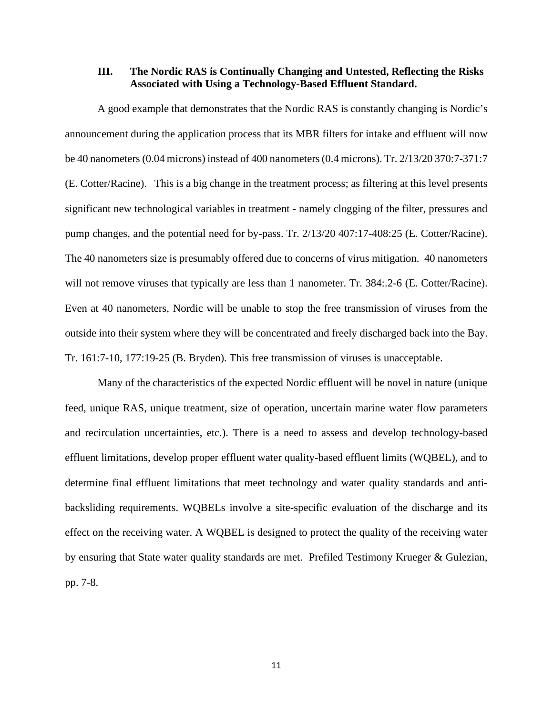### **III. The Nordic RAS is Continually Changing and Untested, Reflecting the Risks Associated with Using a Technology-Based Effluent Standard.**

A good example that demonstrates that the Nordic RAS is constantly changing is Nordic's announcement during the application process that its MBR filters for intake and effluent will now be 40 nanometers (0.04 microns) instead of 400 nanometers (0.4 microns). Tr. 2/13/20 370:7-371:7 (E. Cotter/Racine). This is a big change in the treatment process; as filtering at this level presents significant new technological variables in treatment - namely clogging of the filter, pressures and pump changes, and the potential need for by-pass. Tr. 2/13/20 407:17-408:25 (E. Cotter/Racine). The 40 nanometers size is presumably offered due to concerns of virus mitigation. 40 nanometers will not remove viruses that typically are less than 1 nanometer. Tr. 384:.2-6 (E. Cotter/Racine). Even at 40 nanometers, Nordic will be unable to stop the free transmission of viruses from the outside into their system where they will be concentrated and freely discharged back into the Bay. Tr. 161:7-10, 177:19-25 (B. Bryden). This free transmission of viruses is unacceptable.

Many of the characteristics of the expected Nordic effluent will be novel in nature (unique feed, unique RAS, unique treatment, size of operation, uncertain marine water flow parameters and recirculation uncertainties, etc.). There is a need to assess and develop technology-based effluent limitations, develop proper effluent water quality-based effluent limits (WQBEL), and to determine final effluent limitations that meet technology and water quality standards and antibacksliding requirements. WQBELs involve a site-specific evaluation of the discharge and its effect on the receiving water. A WQBEL is designed to protect the quality of the receiving water by ensuring that State water quality standards are met. Prefiled Testimony Krueger & Gulezian, pp. 7-8.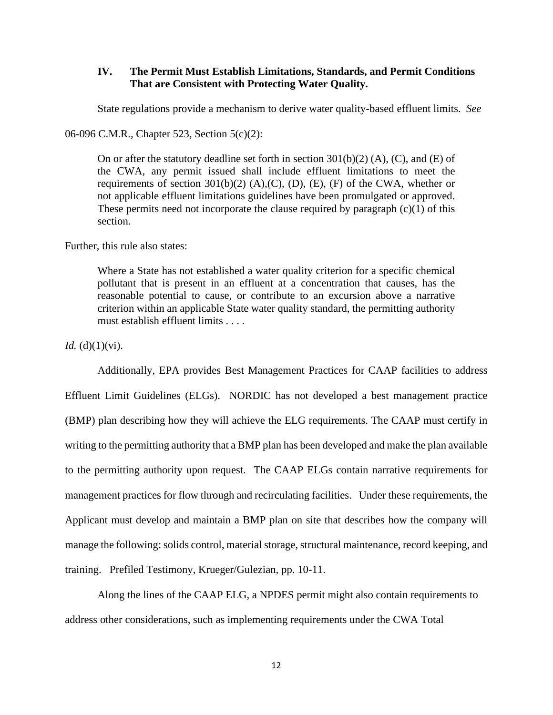### **IV. The Permit Must Establish Limitations, Standards, and Permit Conditions That are Consistent with Protecting Water Quality.**

State regulations provide a mechanism to derive water quality-based effluent limits. *See* 

06-096 C.M.R., Chapter 523, Section 5(c)(2):

On or after the statutory deadline set forth in section  $301(b)(2)$  (A), (C), and (E) of the CWA, any permit issued shall include effluent limitations to meet the requirements of section  $301(b)(2)$  (A),(C), (D), (E), (F) of the CWA, whether or not applicable effluent limitations guidelines have been promulgated or approved. These permits need not incorporate the clause required by paragraph  $(c)(1)$  of this section.

Further, this rule also states:

Where a State has not established a water quality criterion for a specific chemical pollutant that is present in an effluent at a concentration that causes, has the reasonable potential to cause, or contribute to an excursion above a narrative criterion within an applicable State water quality standard, the permitting authority must establish effluent limits . . . .

*Id.* (d) $(1)(vi)$ .

Additionally, EPA provides Best Management Practices for CAAP facilities to address Effluent Limit Guidelines (ELGs). NORDIC has not developed a best management practice (BMP) plan describing how they will achieve the ELG requirements. The CAAP must certify in writing to the permitting authority that a BMP plan has been developed and make the plan available to the permitting authority upon request. The CAAP ELGs contain narrative requirements for management practices for flow through and recirculating facilities. Under these requirements, the Applicant must develop and maintain a BMP plan on site that describes how the company will manage the following: solids control, material storage, structural maintenance, record keeping, and training. Prefiled Testimony, Krueger/Gulezian, pp. 10-11.

Along the lines of the CAAP ELG, a NPDES permit might also contain requirements to address other considerations, such as implementing requirements under the CWA Total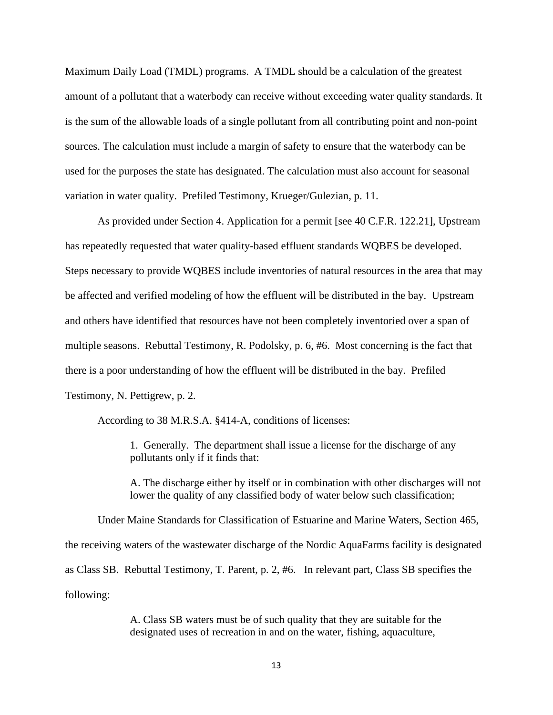Maximum Daily Load (TMDL) programs. A TMDL should be a calculation of the greatest amount of a pollutant that a waterbody can receive without exceeding water quality standards. It is the sum of the allowable loads of a single pollutant from all contributing point and non-point sources. The calculation must include a margin of safety to ensure that the waterbody can be used for the purposes the state has designated. The calculation must also account for seasonal variation in water quality. Prefiled Testimony, Krueger/Gulezian, p. 11.

As provided under Section 4. Application for a permit [see 40 C.F.R. 122.21], Upstream has repeatedly requested that water quality-based effluent standards WQBES be developed. Steps necessary to provide WQBES include inventories of natural resources in the area that may be affected and verified modeling of how the effluent will be distributed in the bay. Upstream and others have identified that resources have not been completely inventoried over a span of multiple seasons. Rebuttal Testimony, R. Podolsky, p. 6, #6. Most concerning is the fact that there is a poor understanding of how the effluent will be distributed in the bay. Prefiled Testimony, N. Pettigrew, p. 2.

According to 38 M.R.S.A. §414-A, conditions of licenses:

1. Generally. The department shall issue a license for the discharge of any pollutants only if it finds that:

A. The discharge either by itself or in combination with other discharges will not lower the quality of any classified body of water below such classification;

Under Maine Standards for Classification of Estuarine and Marine Waters, Section 465, the receiving waters of the wastewater discharge of the Nordic AquaFarms facility is designated as Class SB. Rebuttal Testimony, T. Parent, p. 2, #6. In relevant part, Class SB specifies the following:

> A. Class SB waters must be of such quality that they are suitable for the designated uses of recreation in and on the water, fishing, aquaculture,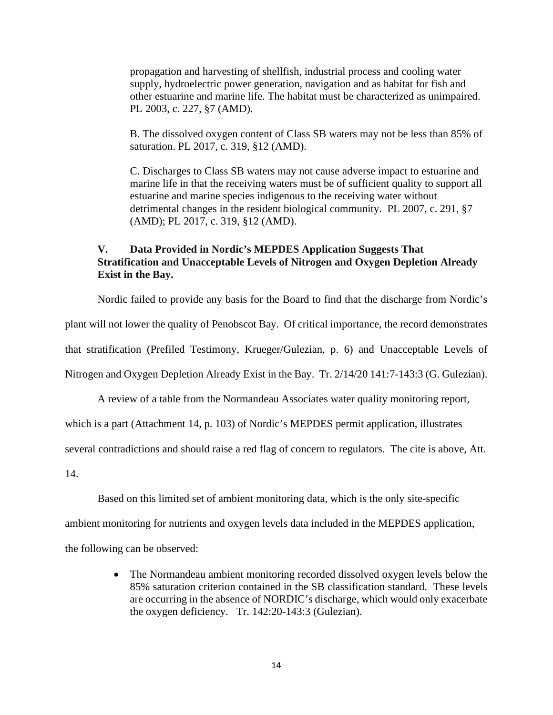propagation and harvesting of shellfish, industrial process and cooling water supply, hydroelectric power generation, navigation and as habitat for fish and other estuarine and marine life. The habitat must be characterized as unimpaired. PL 2003, c. 227, §7 (AMD).

B. The dissolved oxygen content of Class SB waters may not be less than 85% of saturation. PL 2017, c. 319, §12 (AMD).

C. Discharges to Class SB waters may not cause adverse impact to estuarine and marine life in that the receiving waters must be of sufficient quality to support all estuarine and marine species indigenous to the receiving water without detrimental changes in the resident biological community. PL 2007, c. 291, §7 (AMD); PL 2017, c. 319, §12 (AMD).

### **V. Data Provided in Nordic's MEPDES Application Suggests That Stratification and Unacceptable Levels of Nitrogen and Oxygen Depletion Already Exist in the Bay.**

Nordic failed to provide any basis for the Board to find that the discharge from Nordic's plant will not lower the quality of Penobscot Bay. Of critical importance, the record demonstrates that stratification (Prefiled Testimony, Krueger/Gulezian, p. 6) and Unacceptable Levels of Nitrogen and Oxygen Depletion Already Exist in the Bay. Tr. 2/14/20 141:7-143:3 (G. Gulezian).

A review of a table from the Normandeau Associates water quality monitoring report,

which is a part (Attachment 14, p. 103) of Nordic's MEPDES permit application, illustrates

several contradictions and should raise a red flag of concern to regulators. The cite is above, Att.

14.

Based on this limited set of ambient monitoring data, which is the only site-specific

ambient monitoring for nutrients and oxygen levels data included in the MEPDES application,

the following can be observed:

• The Normandeau ambient monitoring recorded dissolved oxygen levels below the 85% saturation criterion contained in the SB classification standard. These levels are occurring in the absence of NORDIC's discharge, which would only exacerbate the oxygen deficiency. Tr. 142:20-143:3 (Gulezian).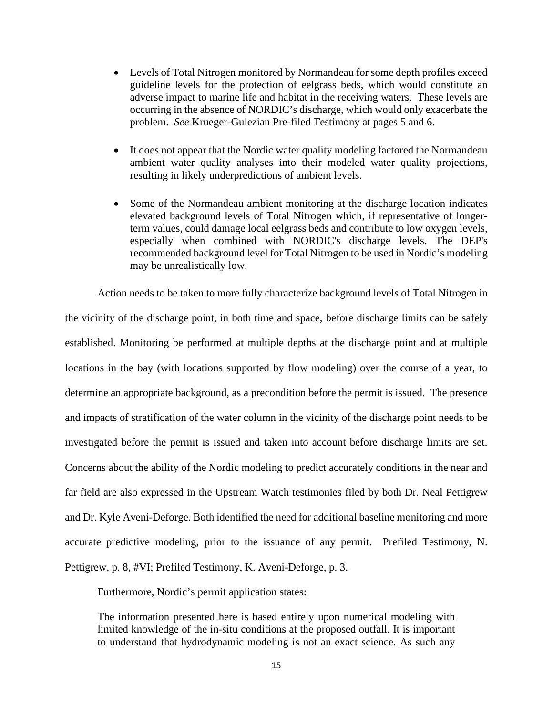- Levels of Total Nitrogen monitored by Normandeau for some depth profiles exceed guideline levels for the protection of eelgrass beds, which would constitute an adverse impact to marine life and habitat in the receiving waters. These levels are occurring in the absence of NORDIC's discharge, which would only exacerbate the problem. *See* Krueger-Gulezian Pre-filed Testimony at pages 5 and 6.
- It does not appear that the Nordic water quality modeling factored the Normandeau ambient water quality analyses into their modeled water quality projections, resulting in likely underpredictions of ambient levels.
- Some of the Normandeau ambient monitoring at the discharge location indicates elevated background levels of Total Nitrogen which, if representative of longerterm values, could damage local eelgrass beds and contribute to low oxygen levels, especially when combined with NORDIC's discharge levels. The DEP's recommended background level for Total Nitrogen to be used in Nordic's modeling may be unrealistically low.

Action needs to be taken to more fully characterize background levels of Total Nitrogen in the vicinity of the discharge point, in both time and space, before discharge limits can be safely established. Monitoring be performed at multiple depths at the discharge point and at multiple locations in the bay (with locations supported by flow modeling) over the course of a year, to determine an appropriate background, as a precondition before the permit is issued. The presence and impacts of stratification of the water column in the vicinity of the discharge point needs to be investigated before the permit is issued and taken into account before discharge limits are set. Concerns about the ability of the Nordic modeling to predict accurately conditions in the near and far field are also expressed in the Upstream Watch testimonies filed by both Dr. Neal Pettigrew and Dr. Kyle Aveni-Deforge. Both identified the need for additional baseline monitoring and more accurate predictive modeling, prior to the issuance of any permit. Prefiled Testimony, N. Pettigrew, p. 8, #VI; Prefiled Testimony, K. Aveni-Deforge, p. 3.

Furthermore, Nordic's permit application states:

The information presented here is based entirely upon numerical modeling with limited knowledge of the in-situ conditions at the proposed outfall. It is important to understand that hydrodynamic modeling is not an exact science. As such any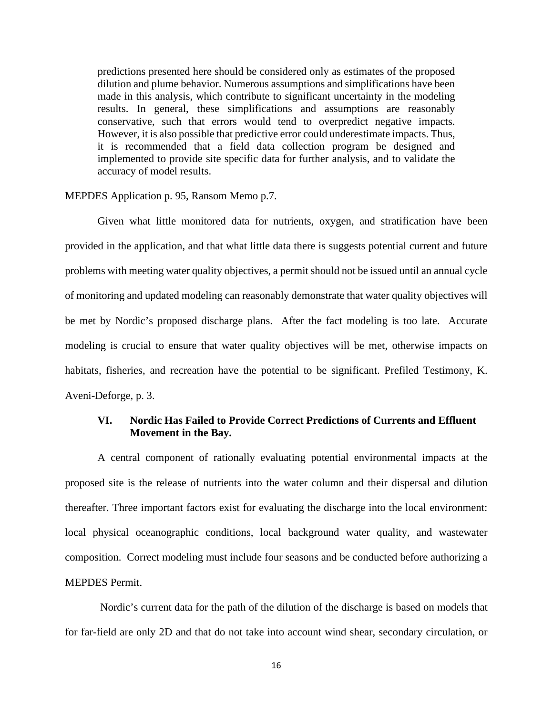predictions presented here should be considered only as estimates of the proposed dilution and plume behavior. Numerous assumptions and simplifications have been made in this analysis, which contribute to significant uncertainty in the modeling results. In general, these simplifications and assumptions are reasonably conservative, such that errors would tend to overpredict negative impacts. However, it is also possible that predictive error could underestimate impacts. Thus, it is recommended that a field data collection program be designed and implemented to provide site specific data for further analysis, and to validate the accuracy of model results.

#### MEPDES Application p. 95, Ransom Memo p.7.

Given what little monitored data for nutrients, oxygen, and stratification have been provided in the application, and that what little data there is suggests potential current and future problems with meeting water quality objectives, a permit should not be issued until an annual cycle of monitoring and updated modeling can reasonably demonstrate that water quality objectives will be met by Nordic's proposed discharge plans. After the fact modeling is too late. Accurate modeling is crucial to ensure that water quality objectives will be met, otherwise impacts on habitats, fisheries, and recreation have the potential to be significant. Prefiled Testimony, K. Aveni-Deforge, p. 3.

### **VI. Nordic Has Failed to Provide Correct Predictions of Currents and Effluent Movement in the Bay.**

A central component of rationally evaluating potential environmental impacts at the proposed site is the release of nutrients into the water column and their dispersal and dilution thereafter. Three important factors exist for evaluating the discharge into the local environment: local physical oceanographic conditions, local background water quality, and wastewater composition. Correct modeling must include four seasons and be conducted before authorizing a MEPDES Permit.

Nordic's current data for the path of the dilution of the discharge is based on models that for far-field are only 2D and that do not take into account wind shear, secondary circulation, or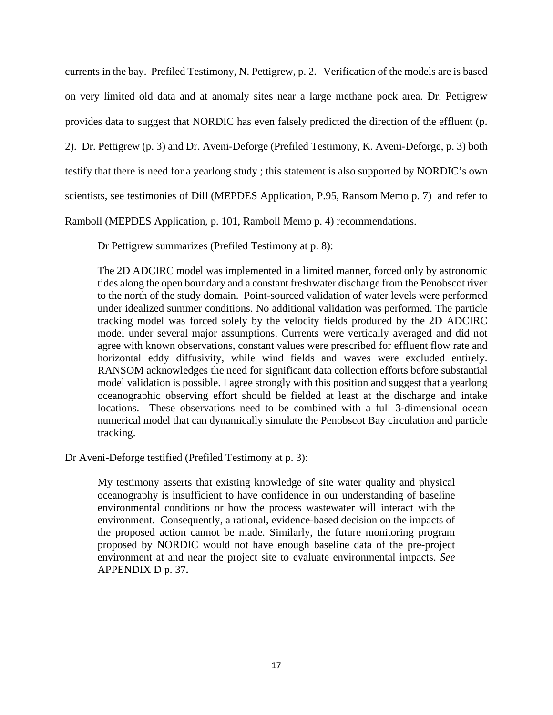currents in the bay. Prefiled Testimony, N. Pettigrew, p. 2. Verification of the models are is based on very limited old data and at anomaly sites near a large methane pock area. Dr. Pettigrew provides data to suggest that NORDIC has even falsely predicted the direction of the effluent (p. 2). Dr. Pettigrew (p. 3) and Dr. Aveni-Deforge (Prefiled Testimony, K. Aveni-Deforge, p. 3) both testify that there is need for a yearlong study ; this statement is also supported by NORDIC's own scientists, see testimonies of Dill (MEPDES Application, P.95, Ransom Memo p. 7) and refer to Ramboll (MEPDES Application, p. 101, Ramboll Memo p. 4) recommendations.

Dr Pettigrew summarizes (Prefiled Testimony at p. 8):

The 2D ADCIRC model was implemented in a limited manner, forced only by astronomic tides along the open boundary and a constant freshwater discharge from the Penobscot river to the north of the study domain. Point-sourced validation of water levels were performed under idealized summer conditions. No additional validation was performed. The particle tracking model was forced solely by the velocity fields produced by the 2D ADCIRC model under several major assumptions. Currents were vertically averaged and did not agree with known observations, constant values were prescribed for effluent flow rate and horizontal eddy diffusivity, while wind fields and waves were excluded entirely. RANSOM acknowledges the need for significant data collection efforts before substantial model validation is possible. I agree strongly with this position and suggest that a yearlong oceanographic observing effort should be fielded at least at the discharge and intake locations. These observations need to be combined with a full 3-dimensional ocean numerical model that can dynamically simulate the Penobscot Bay circulation and particle tracking.

Dr Aveni-Deforge testified (Prefiled Testimony at p. 3):

My testimony asserts that existing knowledge of site water quality and physical oceanography is insufficient to have confidence in our understanding of baseline environmental conditions or how the process wastewater will interact with the environment. Consequently, a rational, evidence-based decision on the impacts of the proposed action cannot be made. Similarly, the future monitoring program proposed by NORDIC would not have enough baseline data of the pre-project environment at and near the project site to evaluate environmental impacts. *See* APPENDIX D p. 37**.**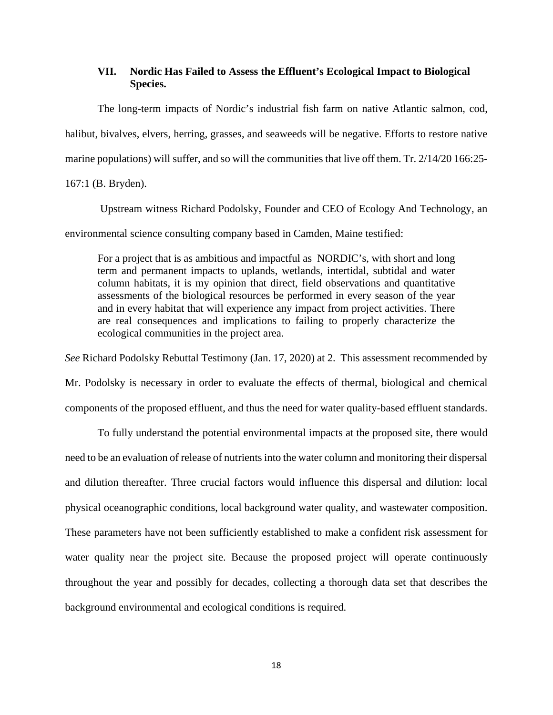### **VII. Nordic Has Failed to Assess the Effluent's Ecological Impact to Biological Species.**

The long-term impacts of Nordic's industrial fish farm on native Atlantic salmon, cod, halibut, bivalves, elvers, herring, grasses, and seaweeds will be negative. Efforts to restore native marine populations) will suffer, and so will the communities that live off them. Tr. 2/14/20 166:25-

167:1 (B. Bryden).

Upstream witness Richard Podolsky, Founder and CEO of Ecology And Technology, an environmental science consulting company based in Camden, Maine testified:

For a project that is as ambitious and impactful as NORDIC's, with short and long term and permanent impacts to uplands, wetlands, intertidal, subtidal and water column habitats, it is my opinion that direct, field observations and quantitative assessments of the biological resources be performed in every season of the year and in every habitat that will experience any impact from project activities. There are real consequences and implications to failing to properly characterize the ecological communities in the project area.

*See* Richard Podolsky Rebuttal Testimony (Jan. 17, 2020) at 2. This assessment recommended by

Mr. Podolsky is necessary in order to evaluate the effects of thermal, biological and chemical components of the proposed effluent, and thus the need for water quality-based effluent standards.

To fully understand the potential environmental impacts at the proposed site, there would need to be an evaluation of release of nutrients into the water column and monitoring their dispersal and dilution thereafter. Three crucial factors would influence this dispersal and dilution: local physical oceanographic conditions, local background water quality, and wastewater composition. These parameters have not been sufficiently established to make a confident risk assessment for water quality near the project site. Because the proposed project will operate continuously throughout the year and possibly for decades, collecting a thorough data set that describes the background environmental and ecological conditions is required.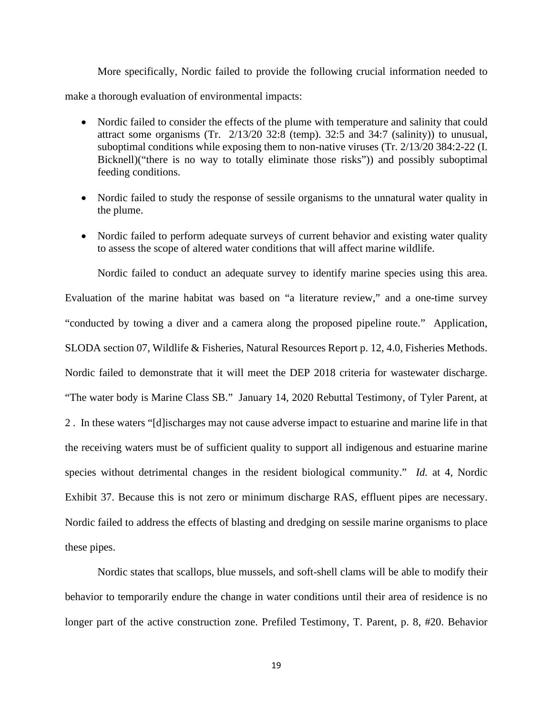More specifically, Nordic failed to provide the following crucial information needed to make a thorough evaluation of environmental impacts:

- Nordic failed to consider the effects of the plume with temperature and salinity that could attract some organisms (Tr. 2/13/20 32:8 (temp). 32:5 and 34:7 (salinity)) to unusual, suboptimal conditions while exposing them to non-native viruses (Tr. 2/13/20 384:2-22 (I. Bicknell)("there is no way to totally eliminate those risks")) and possibly suboptimal feeding conditions.
- Nordic failed to study the response of sessile organisms to the unnatural water quality in the plume.
- Nordic failed to perform adequate surveys of current behavior and existing water quality to assess the scope of altered water conditions that will affect marine wildlife.

Nordic failed to conduct an adequate survey to identify marine species using this area. Evaluation of the marine habitat was based on "a literature review," and a one-time survey "conducted by towing a diver and a camera along the proposed pipeline route." Application, SLODA section 07, Wildlife & Fisheries, Natural Resources Report p. 12, 4.0, Fisheries Methods. Nordic failed to demonstrate that it will meet the DEP 2018 criteria for wastewater discharge. "The water body is Marine Class SB." January 14, 2020 Rebuttal Testimony, of Tyler Parent, at 2 . In these waters "[d]ischarges may not cause adverse impact to estuarine and marine life in that the receiving waters must be of sufficient quality to support all indigenous and estuarine marine species without detrimental changes in the resident biological community." *Id.* at 4, Nordic Exhibit 37. Because this is not zero or minimum discharge RAS, effluent pipes are necessary. Nordic failed to address the effects of blasting and dredging on sessile marine organisms to place these pipes.

Nordic states that scallops, blue mussels, and soft-shell clams will be able to modify their behavior to temporarily endure the change in water conditions until their area of residence is no longer part of the active construction zone. Prefiled Testimony, T. Parent, p. 8, #20. Behavior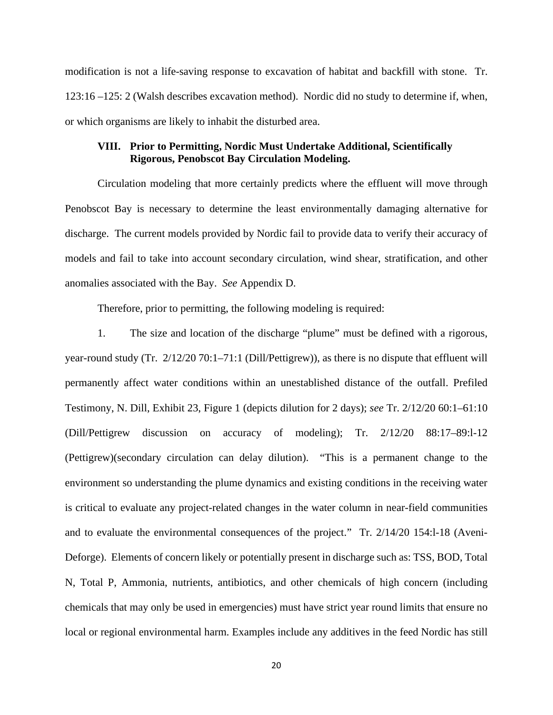modification is not a life-saving response to excavation of habitat and backfill with stone. Tr. 123:16 –125: 2 (Walsh describes excavation method). Nordic did no study to determine if, when, or which organisms are likely to inhabit the disturbed area.

### **VIII. Prior to Permitting, Nordic Must Undertake Additional, Scientifically Rigorous, Penobscot Bay Circulation Modeling.**

Circulation modeling that more certainly predicts where the effluent will move through Penobscot Bay is necessary to determine the least environmentally damaging alternative for discharge. The current models provided by Nordic fail to provide data to verify their accuracy of models and fail to take into account secondary circulation, wind shear, stratification, and other anomalies associated with the Bay. *See* Appendix D.

Therefore, prior to permitting, the following modeling is required:

1. The size and location of the discharge "plume" must be defined with a rigorous, year-round study (Tr. 2/12/20 70:1–71:1 (Dill/Pettigrew)), as there is no dispute that effluent will permanently affect water conditions within an unestablished distance of the outfall. Prefiled Testimony, N. Dill, Exhibit 23, Figure 1 (depicts dilution for 2 days); *see* Tr. 2/12/20 60:1–61:10 (Dill/Pettigrew discussion on accuracy of modeling); Tr. 2/12/20 88:17–89:l-12 (Pettigrew)(secondary circulation can delay dilution). "This is a permanent change to the environment so understanding the plume dynamics and existing conditions in the receiving water is critical to evaluate any project-related changes in the water column in near-field communities and to evaluate the environmental consequences of the project." Tr. 2/14/20 154:l-18 (Aveni-Deforge). Elements of concern likely or potentially present in discharge such as: TSS, BOD, Total N, Total P, Ammonia, nutrients, antibiotics, and other chemicals of high concern (including chemicals that may only be used in emergencies) must have strict year round limits that ensure no local or regional environmental harm. Examples include any additives in the feed Nordic has still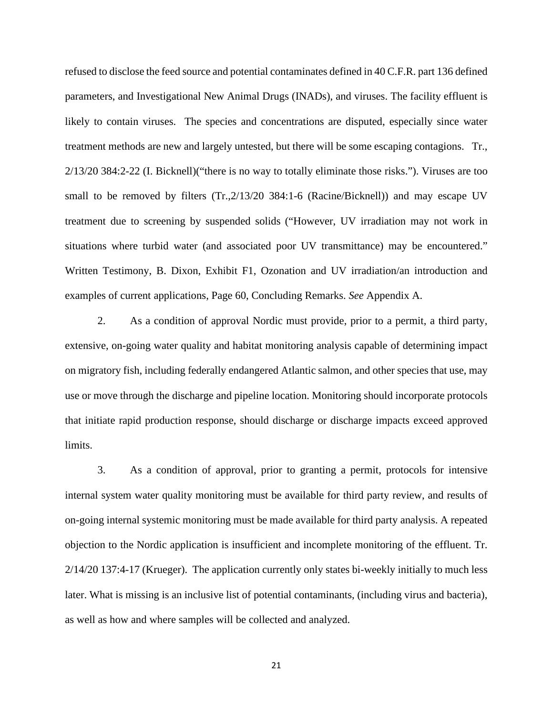refused to disclose the feed source and potential contaminates defined in 40 C.F.R. part 136 defined parameters, and Investigational New Animal Drugs (INADs), and viruses. The facility effluent is likely to contain viruses. The species and concentrations are disputed, especially since water treatment methods are new and largely untested, but there will be some escaping contagions. Tr., 2/13/20 384:2-22 (I. Bicknell)("there is no way to totally eliminate those risks."). Viruses are too small to be removed by filters (Tr.,2/13/20 384:1-6 (Racine/Bicknell)) and may escape UV treatment due to screening by suspended solids ("However, UV irradiation may not work in situations where turbid water (and associated poor UV transmittance) may be encountered." Written Testimony, B. Dixon, Exhibit F1, Ozonation and UV irradiation/an introduction and examples of current applications, Page 60, Concluding Remarks. *See* Appendix A.

2. As a condition of approval Nordic must provide, prior to a permit, a third party, extensive, on-going water quality and habitat monitoring analysis capable of determining impact on migratory fish, including federally endangered Atlantic salmon, and other species that use, may use or move through the discharge and pipeline location. Monitoring should incorporate protocols that initiate rapid production response, should discharge or discharge impacts exceed approved limits.

3. As a condition of approval, prior to granting a permit, protocols for intensive internal system water quality monitoring must be available for third party review, and results of on-going internal systemic monitoring must be made available for third party analysis. A repeated objection to the Nordic application is insufficient and incomplete monitoring of the effluent. Tr. 2/14/20 137:4-17 (Krueger). The application currently only states bi-weekly initially to much less later. What is missing is an inclusive list of potential contaminants, (including virus and bacteria), as well as how and where samples will be collected and analyzed.

21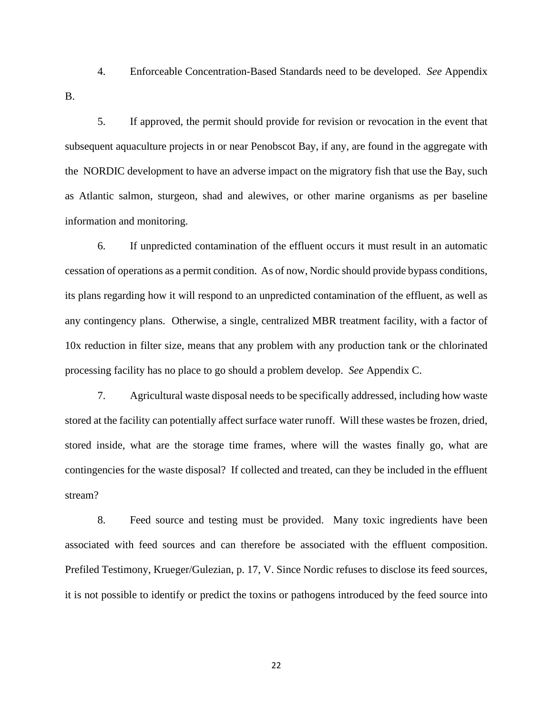4. Enforceable Concentration-Based Standards need to be developed. *See* Appendix B.

5. If approved, the permit should provide for revision or revocation in the event that subsequent aquaculture projects in or near Penobscot Bay, if any, are found in the aggregate with the NORDIC development to have an adverse impact on the migratory fish that use the Bay, such as Atlantic salmon, sturgeon, shad and alewives, or other marine organisms as per baseline information and monitoring.

6. If unpredicted contamination of the effluent occurs it must result in an automatic cessation of operations as a permit condition. As of now, Nordic should provide bypass conditions, its plans regarding how it will respond to an unpredicted contamination of the effluent, as well as any contingency plans. Otherwise, a single, centralized MBR treatment facility, with a factor of 10x reduction in filter size, means that any problem with any production tank or the chlorinated processing facility has no place to go should a problem develop. *See* Appendix C.

7. Agricultural waste disposal needs to be specifically addressed, including how waste stored at the facility can potentially affect surface water runoff. Will these wastes be frozen, dried, stored inside, what are the storage time frames, where will the wastes finally go, what are contingencies for the waste disposal? If collected and treated, can they be included in the effluent stream?

8. Feed source and testing must be provided. Many toxic ingredients have been associated with feed sources and can therefore be associated with the effluent composition. Prefiled Testimony, Krueger/Gulezian, p. 17, V. Since Nordic refuses to disclose its feed sources, it is not possible to identify or predict the toxins or pathogens introduced by the feed source into

22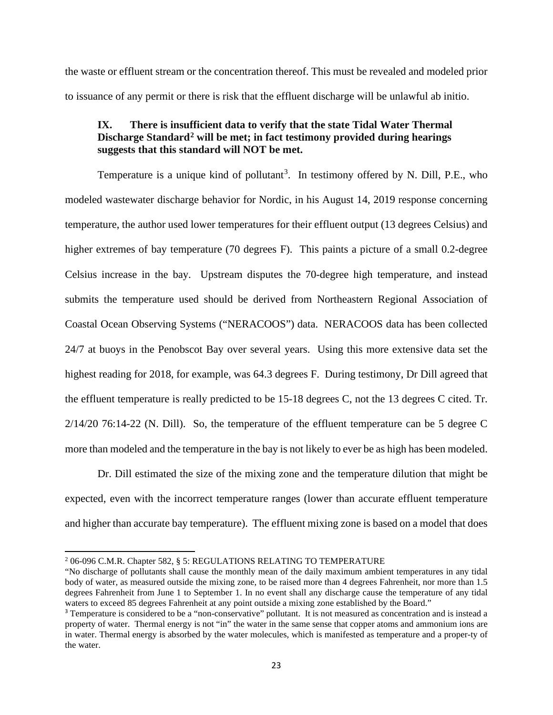the waste or effluent stream or the concentration thereof. This must be revealed and modeled prior to issuance of any permit or there is risk that the effluent discharge will be unlawful ab initio.

### **IX. There is insufficient data to verify that the state Tidal Water Thermal Discharge Standard[2](#page-26-0) will be met; in fact testimony provided during hearings suggests that this standard will NOT be met.**

Temperature is a unique kind of pollutant<sup>[3](#page-26-1)</sup>. In testimony offered by N. Dill, P.E., who modeled wastewater discharge behavior for Nordic, in his August 14, 2019 response concerning temperature, the author used lower temperatures for their effluent output (13 degrees Celsius) and higher extremes of bay temperature (70 degrees F). This paints a picture of a small 0.2-degree Celsius increase in the bay. Upstream disputes the 70-degree high temperature, and instead submits the temperature used should be derived from Northeastern Regional Association of Coastal Ocean Observing Systems ("NERACOOS") data. NERACOOS data has been collected 24/7 at buoys in the Penobscot Bay over several years. Using this more extensive data set the highest reading for 2018, for example, was 64.3 degrees F. During testimony, Dr Dill agreed that the effluent temperature is really predicted to be 15-18 degrees C, not the 13 degrees C cited. Tr.  $2/14/20$  76:14-22 (N. Dill). So, the temperature of the effluent temperature can be 5 degree C more than modeled and the temperature in the bay is not likely to ever be as high has been modeled.

Dr. Dill estimated the size of the mixing zone and the temperature dilution that might be expected, even with the incorrect temperature ranges (lower than accurate effluent temperature and higher than accurate bay temperature). The effluent mixing zone is based on a model that does

<span id="page-26-0"></span><sup>&</sup>lt;sup>2</sup> 06-096 C.M.R. Chapter 582, § 5: REGULATIONS RELATING TO TEMPERATURE

<sup>&</sup>quot;No discharge of pollutants shall cause the monthly mean of the daily maximum ambient temperatures in any tidal body of water, as measured outside the mixing zone, to be raised more than 4 degrees Fahrenheit, nor more than 1.5 degrees Fahrenheit from June 1 to September 1. In no event shall any discharge cause the temperature of any tidal waters to exceed 85 degrees Fahrenheit at any point outside a mixing zone established by the Board."

<span id="page-26-1"></span><sup>&</sup>lt;sup>3</sup> Temperature is considered to be a "non-conservative" pollutant. It is not measured as concentration and is instead a property of water. Thermal energy is not "in" the water in the same sense that copper atoms and ammonium ions are in water. Thermal energy is absorbed by the water molecules, which is manifested as temperature and a proper-ty of the water.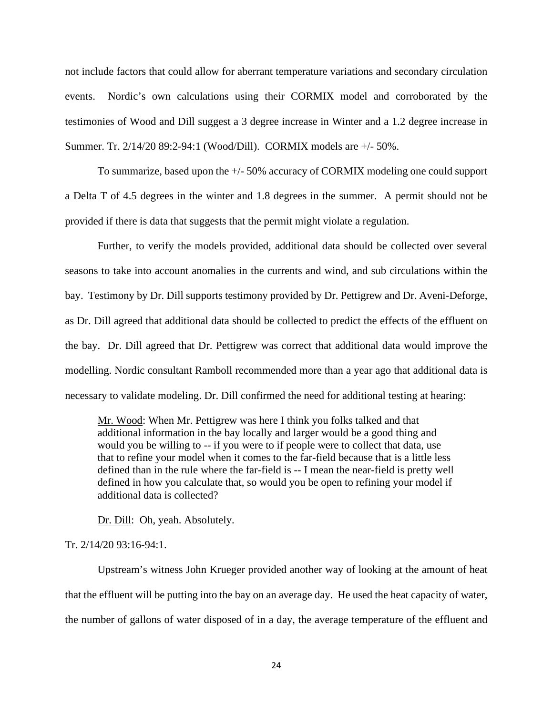not include factors that could allow for aberrant temperature variations and secondary circulation events. Nordic's own calculations using their CORMIX model and corroborated by the testimonies of Wood and Dill suggest a 3 degree increase in Winter and a 1.2 degree increase in Summer. Tr. 2/14/20 89:2-94:1 (Wood/Dill). CORMIX models are +/- 50%.

To summarize, based upon the +/- 50% accuracy of CORMIX modeling one could support a Delta T of 4.5 degrees in the winter and 1.8 degrees in the summer. A permit should not be provided if there is data that suggests that the permit might violate a regulation.

Further, to verify the models provided, additional data should be collected over several seasons to take into account anomalies in the currents and wind, and sub circulations within the bay. Testimony by Dr. Dill supports testimony provided by Dr. Pettigrew and Dr. Aveni-Deforge, as Dr. Dill agreed that additional data should be collected to predict the effects of the effluent on the bay. Dr. Dill agreed that Dr. Pettigrew was correct that additional data would improve the modelling. Nordic consultant Ramboll recommended more than a year ago that additional data is necessary to validate modeling. Dr. Dill confirmed the need for additional testing at hearing:

Mr. Wood: When Mr. Pettigrew was here I think you folks talked and that additional information in the bay locally and larger would be a good thing and would you be willing to -- if you were to if people were to collect that data, use that to refine your model when it comes to the far-field because that is a little less defined than in the rule where the far-field is -- I mean the near-field is pretty well defined in how you calculate that, so would you be open to refining your model if additional data is collected?

Dr. Dill: Oh, yeah. Absolutely.

#### Tr. 2/14/20 93:16-94:1.

Upstream's witness John Krueger provided another way of looking at the amount of heat that the effluent will be putting into the bay on an average day. He used the heat capacity of water, the number of gallons of water disposed of in a day, the average temperature of the effluent and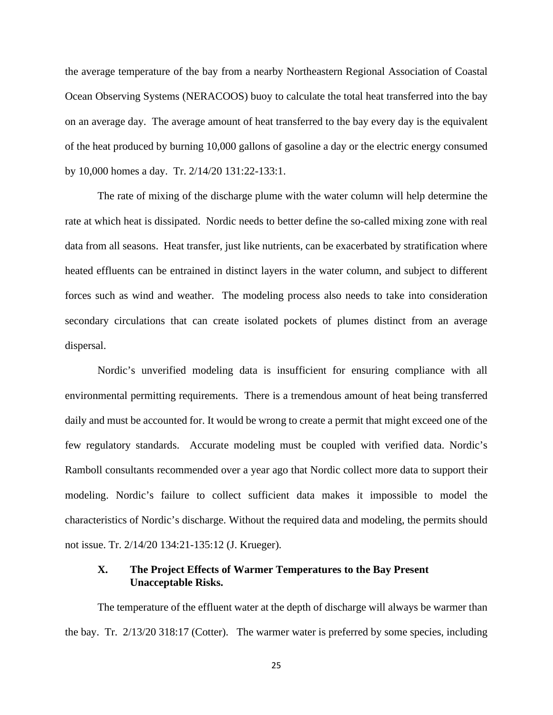the average temperature of the bay from a nearby Northeastern Regional Association of Coastal Ocean Observing Systems (NERACOOS) buoy to calculate the total heat transferred into the bay on an average day. The average amount of heat transferred to the bay every day is the equivalent of the heat produced by burning 10,000 gallons of gasoline a day or the electric energy consumed by 10,000 homes a day. Tr. 2/14/20 131:22-133:1.

The rate of mixing of the discharge plume with the water column will help determine the rate at which heat is dissipated. Nordic needs to better define the so-called mixing zone with real data from all seasons. Heat transfer, just like nutrients, can be exacerbated by stratification where heated effluents can be entrained in distinct layers in the water column, and subject to different forces such as wind and weather. The modeling process also needs to take into consideration secondary circulations that can create isolated pockets of plumes distinct from an average dispersal.

Nordic's unverified modeling data is insufficient for ensuring compliance with all environmental permitting requirements. There is a tremendous amount of heat being transferred daily and must be accounted for. It would be wrong to create a permit that might exceed one of the few regulatory standards. Accurate modeling must be coupled with verified data. Nordic's Ramboll consultants recommended over a year ago that Nordic collect more data to support their modeling. Nordic's failure to collect sufficient data makes it impossible to model the characteristics of Nordic's discharge. Without the required data and modeling, the permits should not issue. Tr. 2/14/20 134:21-135:12 (J. Krueger).

### **X. The Project Effects of Warmer Temperatures to the Bay Present Unacceptable Risks.**

The temperature of the effluent water at the depth of discharge will always be warmer than the bay. Tr. 2/13/20 318:17 (Cotter). The warmer water is preferred by some species, including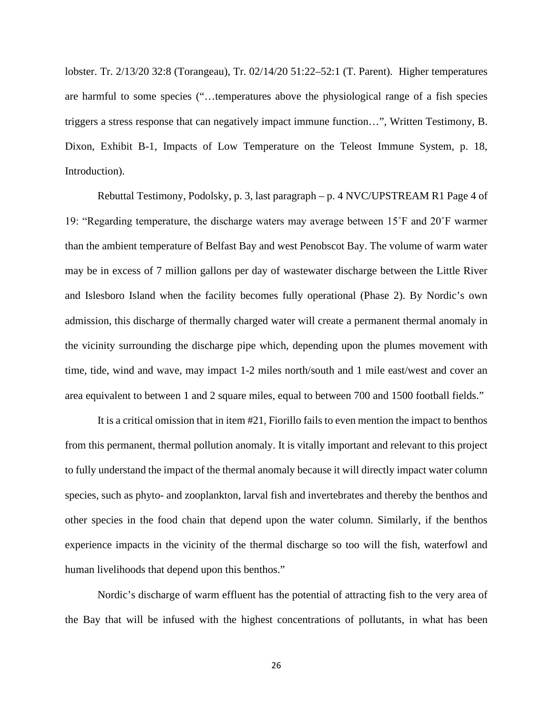lobster. Tr. 2/13/20 32:8 (Torangeau), Tr. 02/14/20 51:22–52:1 (T. Parent). Higher temperatures are harmful to some species ("…temperatures above the physiological range of a fish species triggers a stress response that can negatively impact immune function…", Written Testimony, B. Dixon, Exhibit B-1, Impacts of Low Temperature on the Teleost Immune System, p. 18, Introduction).

Rebuttal Testimony, Podolsky, p. 3, last paragraph – p. 4 NVC/UPSTREAM R1 Page 4 of 19: "Regarding temperature, the discharge waters may average between 15˚F and 20˚F warmer than the ambient temperature of Belfast Bay and west Penobscot Bay. The volume of warm water may be in excess of 7 million gallons per day of wastewater discharge between the Little River and Islesboro Island when the facility becomes fully operational (Phase 2). By Nordic's own admission, this discharge of thermally charged water will create a permanent thermal anomaly in the vicinity surrounding the discharge pipe which, depending upon the plumes movement with time, tide, wind and wave, may impact 1-2 miles north/south and 1 mile east/west and cover an area equivalent to between 1 and 2 square miles, equal to between 700 and 1500 football fields."

It is a critical omission that in item #21, Fiorillo fails to even mention the impact to benthos from this permanent, thermal pollution anomaly. It is vitally important and relevant to this project to fully understand the impact of the thermal anomaly because it will directly impact water column species, such as phyto- and zooplankton, larval fish and invertebrates and thereby the benthos and other species in the food chain that depend upon the water column. Similarly, if the benthos experience impacts in the vicinity of the thermal discharge so too will the fish, waterfowl and human livelihoods that depend upon this benthos."

Nordic's discharge of warm effluent has the potential of attracting fish to the very area of the Bay that will be infused with the highest concentrations of pollutants, in what has been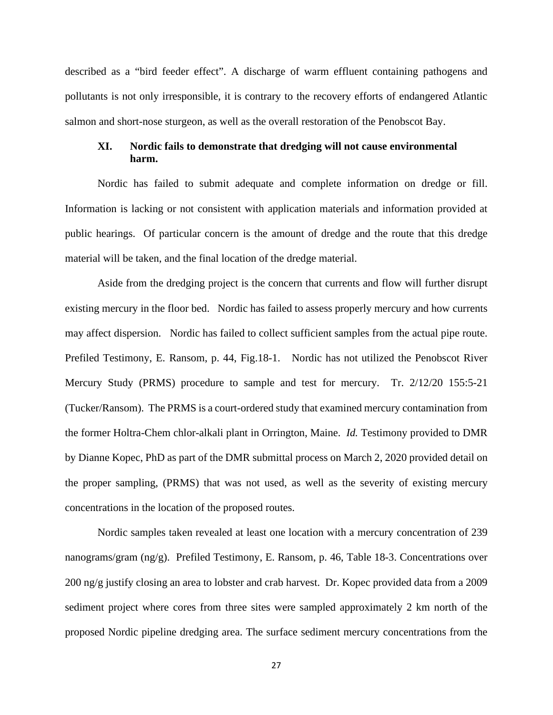described as a "bird feeder effect". A discharge of warm effluent containing pathogens and pollutants is not only irresponsible, it is contrary to the recovery efforts of endangered Atlantic salmon and short-nose sturgeon, as well as the overall restoration of the Penobscot Bay.

### **XI. Nordic fails to demonstrate that dredging will not cause environmental harm.**

Nordic has failed to submit adequate and complete information on dredge or fill. Information is lacking or not consistent with application materials and information provided at public hearings. Of particular concern is the amount of dredge and the route that this dredge material will be taken, and the final location of the dredge material.

Aside from the dredging project is the concern that currents and flow will further disrupt existing mercury in the floor bed. Nordic has failed to assess properly mercury and how currents may affect dispersion. Nordic has failed to collect sufficient samples from the actual pipe route. Prefiled Testimony, E. Ransom, p. 44, Fig.18-1. Nordic has not utilized the Penobscot River Mercury Study (PRMS) procedure to sample and test for mercury. Tr. 2/12/20 155:5-21 (Tucker/Ransom). The PRMS is a court-ordered study that examined mercury contamination from the former Holtra-Chem chlor-alkali plant in Orrington, Maine. *Id.* Testimony provided to DMR by Dianne Kopec, PhD as part of the DMR submittal process on March 2, 2020 provided detail on the proper sampling, (PRMS) that was not used, as well as the severity of existing mercury concentrations in the location of the proposed routes.

Nordic samples taken revealed at least one location with a mercury concentration of 239 nanograms/gram (ng/g). Prefiled Testimony, E. Ransom, p. 46, Table 18-3. Concentrations over 200 ng/g justify closing an area to lobster and crab harvest. Dr. Kopec provided data from a 2009 sediment project where cores from three sites were sampled approximately 2 km north of the proposed Nordic pipeline dredging area. The surface sediment mercury concentrations from the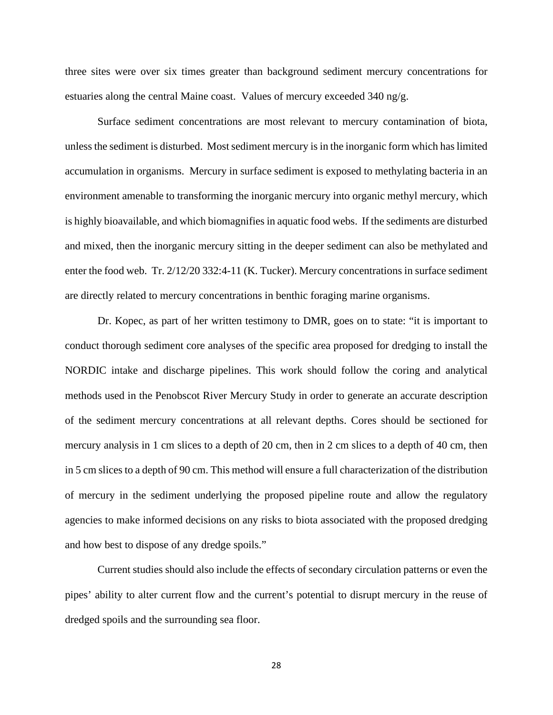three sites were over six times greater than background sediment mercury concentrations for estuaries along the central Maine coast. Values of mercury exceeded 340 ng/g.

Surface sediment concentrations are most relevant to mercury contamination of biota, unless the sediment is disturbed. Most sediment mercury is in the inorganic form which has limited accumulation in organisms. Mercury in surface sediment is exposed to methylating bacteria in an environment amenable to transforming the inorganic mercury into organic methyl mercury, which is highly bioavailable, and which biomagnifies in aquatic food webs. If the sediments are disturbed and mixed, then the inorganic mercury sitting in the deeper sediment can also be methylated and enter the food web. Tr. 2/12/20 332:4-11 (K. Tucker). Mercury concentrations in surface sediment are directly related to mercury concentrations in benthic foraging marine organisms.

Dr. Kopec, as part of her written testimony to DMR, goes on to state: "it is important to conduct thorough sediment core analyses of the specific area proposed for dredging to install the NORDIC intake and discharge pipelines. This work should follow the coring and analytical methods used in the Penobscot River Mercury Study in order to generate an accurate description of the sediment mercury concentrations at all relevant depths. Cores should be sectioned for mercury analysis in 1 cm slices to a depth of 20 cm, then in 2 cm slices to a depth of 40 cm, then in 5 cm slices to a depth of 90 cm. This method will ensure a full characterization of the distribution of mercury in the sediment underlying the proposed pipeline route and allow the regulatory agencies to make informed decisions on any risks to biota associated with the proposed dredging and how best to dispose of any dredge spoils."

Current studies should also include the effects of secondary circulation patterns or even the pipes' ability to alter current flow and the current's potential to disrupt mercury in the reuse of dredged spoils and the surrounding sea floor.

28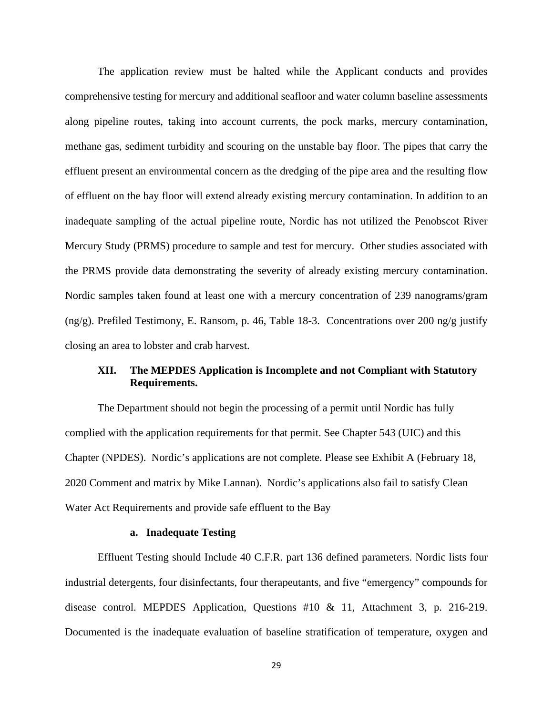The application review must be halted while the Applicant conducts and provides comprehensive testing for mercury and additional seafloor and water column baseline assessments along pipeline routes, taking into account currents, the pock marks, mercury contamination, methane gas, sediment turbidity and scouring on the unstable bay floor. The pipes that carry the effluent present an environmental concern as the dredging of the pipe area and the resulting flow of effluent on the bay floor will extend already existing mercury contamination. In addition to an inadequate sampling of the actual pipeline route, Nordic has not utilized the Penobscot River Mercury Study (PRMS) procedure to sample and test for mercury. Other studies associated with the PRMS provide data demonstrating the severity of already existing mercury contamination. Nordic samples taken found at least one with a mercury concentration of 239 nanograms/gram (ng/g). Prefiled Testimony, E. Ransom, p. 46, Table 18-3. Concentrations over 200 ng/g justify closing an area to lobster and crab harvest.

### **XII. The MEPDES Application is Incomplete and not Compliant with Statutory Requirements.**

The Department should not begin the processing of a permit until Nordic has fully complied with the application requirements for that permit. See Chapter 543 (UIC) and this Chapter (NPDES). Nordic's applications are not complete. Please see Exhibit A (February 18, 2020 Comment and matrix by Mike Lannan). Nordic's applications also fail to satisfy Clean Water Act Requirements and provide safe effluent to the Bay

#### **a. Inadequate Testing**

Effluent Testing should Include 40 C.F.R. part 136 defined parameters. Nordic lists four industrial detergents, four disinfectants, four therapeutants, and five "emergency" compounds for disease control. MEPDES Application, Questions #10 & 11, Attachment 3, p. 216-219. Documented is the inadequate evaluation of baseline stratification of temperature, oxygen and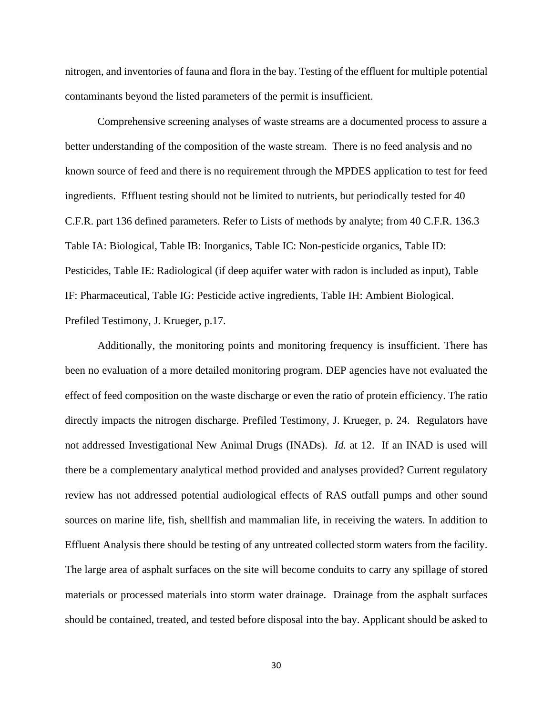nitrogen, and inventories of fauna and flora in the bay. Testing of the effluent for multiple potential contaminants beyond the listed parameters of the permit is insufficient.

Comprehensive screening analyses of waste streams are a documented process to assure a better understanding of the composition of the waste stream. There is no feed analysis and no known source of feed and there is no requirement through the MPDES application to test for feed ingredients. Effluent testing should not be limited to nutrients, but periodically tested for 40 C.F.R. part 136 defined parameters. Refer to Lists of methods by analyte; from 40 C.F.R. 136.3 Table IA: Biological, Table IB: Inorganics, Table IC: Non-pesticide organics, Table ID: Pesticides, Table IE: Radiological (if deep aquifer water with radon is included as input), Table IF: Pharmaceutical, Table IG: Pesticide active ingredients, Table IH: Ambient Biological. Prefiled Testimony, J. Krueger, p.17.

Additionally, the monitoring points and monitoring frequency is insufficient. There has been no evaluation of a more detailed monitoring program. DEP agencies have not evaluated the effect of feed composition on the waste discharge or even the ratio of protein efficiency. The ratio directly impacts the nitrogen discharge. Prefiled Testimony, J. Krueger, p. 24. Regulators have not addressed Investigational New Animal Drugs (INADs). *Id.* at 12. If an INAD is used will there be a complementary analytical method provided and analyses provided? Current regulatory review has not addressed potential audiological effects of RAS outfall pumps and other sound sources on marine life, fish, shellfish and mammalian life, in receiving the waters. In addition to Effluent Analysis there should be testing of any untreated collected storm waters from the facility. The large area of asphalt surfaces on the site will become conduits to carry any spillage of stored materials or processed materials into storm water drainage. Drainage from the asphalt surfaces should be contained, treated, and tested before disposal into the bay. Applicant should be asked to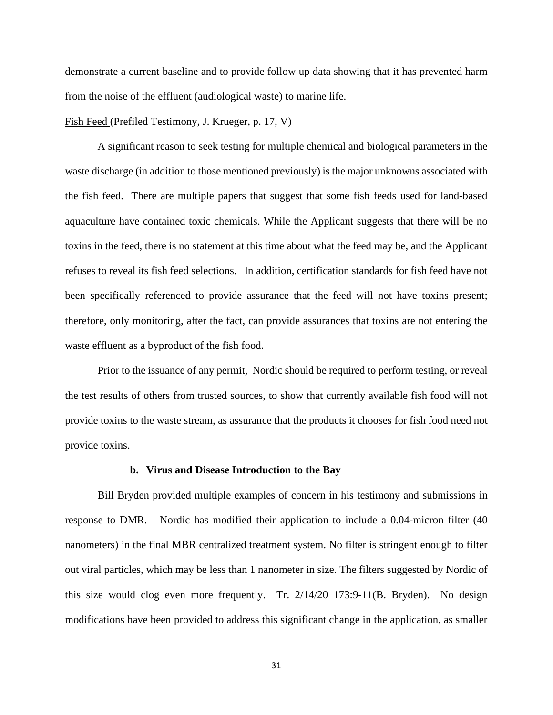demonstrate a current baseline and to provide follow up data showing that it has prevented harm from the noise of the effluent (audiological waste) to marine life.

#### Fish Feed (Prefiled Testimony, J. Krueger, p. 17, V)

A significant reason to seek testing for multiple chemical and biological parameters in the waste discharge (in addition to those mentioned previously) is the major unknowns associated with the fish feed. There are multiple papers that suggest that some fish feeds used for land-based aquaculture have contained toxic chemicals. While the Applicant suggests that there will be no toxins in the feed, there is no statement at this time about what the feed may be, and the Applicant refuses to reveal its fish feed selections. In addition, certification standards for fish feed have not been specifically referenced to provide assurance that the feed will not have toxins present; therefore, only monitoring, after the fact, can provide assurances that toxins are not entering the waste effluent as a byproduct of the fish food.

Prior to the issuance of any permit, Nordic should be required to perform testing, or reveal the test results of others from trusted sources, to show that currently available fish food will not provide toxins to the waste stream, as assurance that the products it chooses for fish food need not provide toxins.

#### **b. Virus and Disease Introduction to the Bay**

Bill Bryden provided multiple examples of concern in his testimony and submissions in response to DMR. Nordic has modified their application to include a 0.04-micron filter (40 nanometers) in the final MBR centralized treatment system. No filter is stringent enough to filter out viral particles, which may be less than 1 nanometer in size. The filters suggested by Nordic of this size would clog even more frequently. Tr. 2/14/20 173:9-11(B. Bryden). No design modifications have been provided to address this significant change in the application, as smaller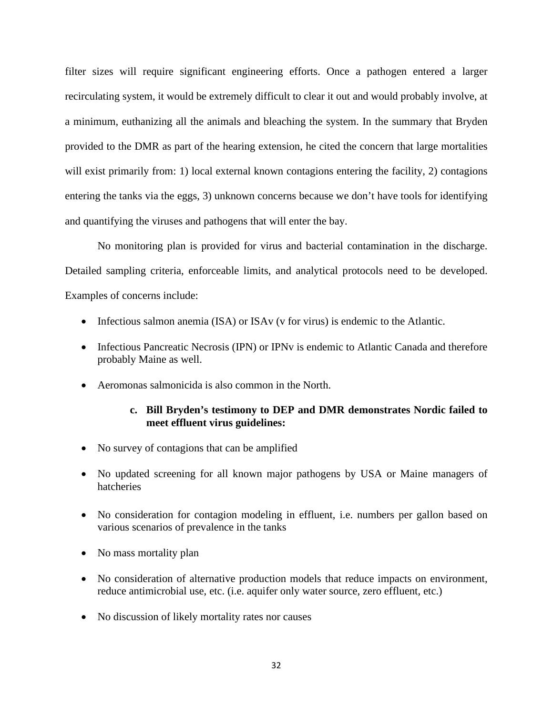filter sizes will require significant engineering efforts. Once a pathogen entered a larger recirculating system, it would be extremely difficult to clear it out and would probably involve, at a minimum, euthanizing all the animals and bleaching the system. In the summary that Bryden provided to the DMR as part of the hearing extension, he cited the concern that large mortalities will exist primarily from: 1) local external known contagions entering the facility, 2) contagions entering the tanks via the eggs, 3) unknown concerns because we don't have tools for identifying and quantifying the viruses and pathogens that will enter the bay.

No monitoring plan is provided for virus and bacterial contamination in the discharge. Detailed sampling criteria, enforceable limits, and analytical protocols need to be developed. Examples of concerns include:

- Infectious salmon anemia (ISA) or ISAv (v for virus) is endemic to the Atlantic.
- Infectious Pancreatic Necrosis (IPN) or IPNv is endemic to Atlantic Canada and therefore probably Maine as well.
- Aeromonas salmonicida is also common in the North.

### **c. Bill Bryden's testimony to DEP and DMR demonstrates Nordic failed to meet effluent virus guidelines:**

- No survey of contagions that can be amplified
- No updated screening for all known major pathogens by USA or Maine managers of hatcheries
- No consideration for contagion modeling in effluent, i.e. numbers per gallon based on various scenarios of prevalence in the tanks
- No mass mortality plan
- No consideration of alternative production models that reduce impacts on environment, reduce antimicrobial use, etc. (i.e. aquifer only water source, zero effluent, etc.)
- No discussion of likely mortality rates nor causes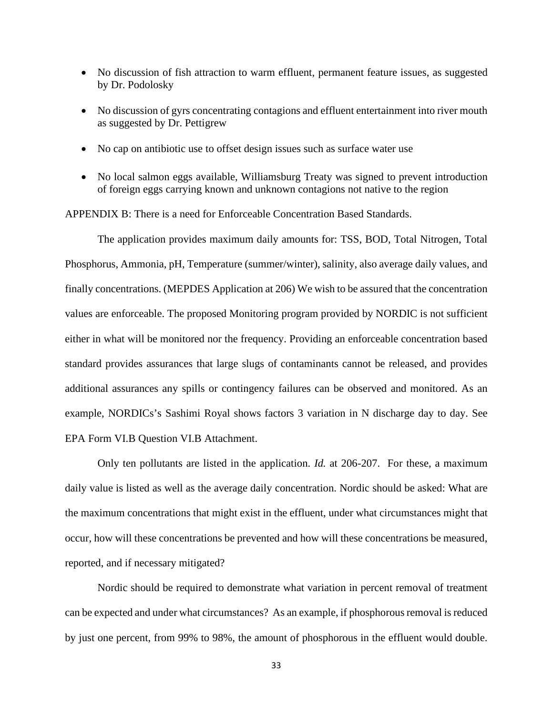- No discussion of fish attraction to warm effluent, permanent feature issues, as suggested by Dr. Podolosky
- No discussion of gyrs concentrating contagions and effluent entertainment into river mouth as suggested by Dr. Pettigrew
- No cap on antibiotic use to offset design issues such as surface water use
- No local salmon eggs available, Williamsburg Treaty was signed to prevent introduction of foreign eggs carrying known and unknown contagions not native to the region

APPENDIX B: There is a need for Enforceable Concentration Based Standards.

The application provides maximum daily amounts for: TSS, BOD, Total Nitrogen, Total Phosphorus, Ammonia, pH, Temperature (summer/winter), salinity, also average daily values, and finally concentrations. (MEPDES Application at 206) We wish to be assured that the concentration values are enforceable. The proposed Monitoring program provided by NORDIC is not sufficient either in what will be monitored nor the frequency. Providing an enforceable concentration based standard provides assurances that large slugs of contaminants cannot be released, and provides additional assurances any spills or contingency failures can be observed and monitored. As an example, NORDICs's Sashimi Royal shows factors 3 variation in N discharge day to day. See EPA Form VI.B Question VI.B Attachment.

Only ten pollutants are listed in the application. *Id.* at 206-207. For these, a maximum daily value is listed as well as the average daily concentration. Nordic should be asked: What are the maximum concentrations that might exist in the effluent, under what circumstances might that occur, how will these concentrations be prevented and how will these concentrations be measured, reported, and if necessary mitigated?

Nordic should be required to demonstrate what variation in percent removal of treatment can be expected and under what circumstances? As an example, if phosphorous removal is reduced by just one percent, from 99% to 98%, the amount of phosphorous in the effluent would double.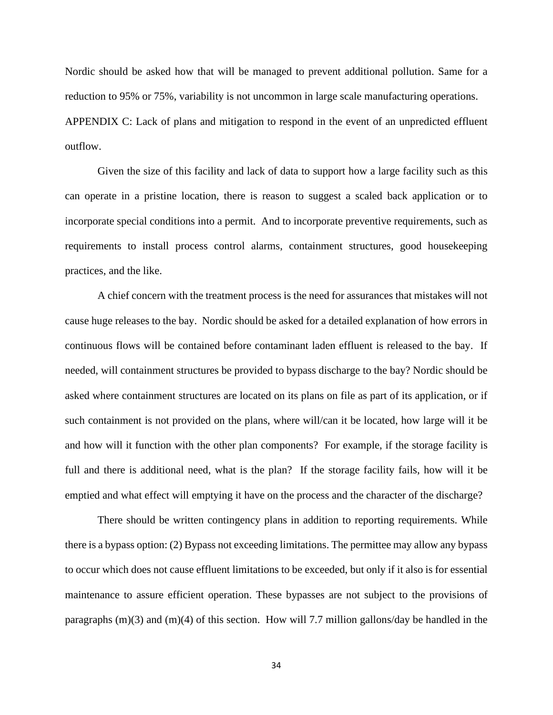Nordic should be asked how that will be managed to prevent additional pollution. Same for a reduction to 95% or 75%, variability is not uncommon in large scale manufacturing operations. APPENDIX C: Lack of plans and mitigation to respond in the event of an unpredicted effluent outflow.

Given the size of this facility and lack of data to support how a large facility such as this can operate in a pristine location, there is reason to suggest a scaled back application or to incorporate special conditions into a permit. And to incorporate preventive requirements, such as requirements to install process control alarms, containment structures, good housekeeping practices, and the like.

A chief concern with the treatment process is the need for assurances that mistakes will not cause huge releases to the bay. Nordic should be asked for a detailed explanation of how errors in continuous flows will be contained before contaminant laden effluent is released to the bay. If needed, will containment structures be provided to bypass discharge to the bay? Nordic should be asked where containment structures are located on its plans on file as part of its application, or if such containment is not provided on the plans, where will/can it be located, how large will it be and how will it function with the other plan components? For example, if the storage facility is full and there is additional need, what is the plan? If the storage facility fails, how will it be emptied and what effect will emptying it have on the process and the character of the discharge?

There should be written contingency plans in addition to reporting requirements. While there is a bypass option: (2) Bypass not exceeding limitations. The permittee may allow any bypass to occur which does not cause effluent limitations to be exceeded, but only if it also is for essential maintenance to assure efficient operation. These bypasses are not subject to the provisions of paragraphs  $(m)(3)$  and  $(m)(4)$  of this section. How will 7.7 million gallons/day be handled in the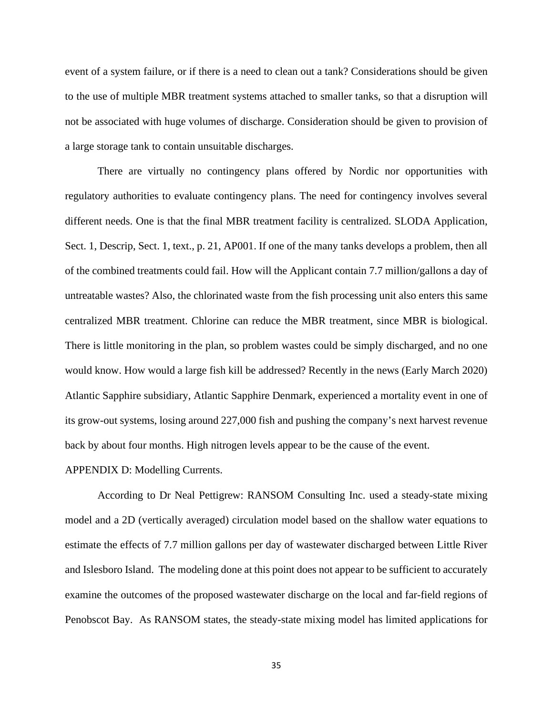event of a system failure, or if there is a need to clean out a tank? Considerations should be given to the use of multiple MBR treatment systems attached to smaller tanks, so that a disruption will not be associated with huge volumes of discharge. Consideration should be given to provision of a large storage tank to contain unsuitable discharges.

There are virtually no contingency plans offered by Nordic nor opportunities with regulatory authorities to evaluate contingency plans. The need for contingency involves several different needs. One is that the final MBR treatment facility is centralized. SLODA Application, Sect. 1, Descrip, Sect. 1, text., p. 21, AP001. If one of the many tanks develops a problem, then all of the combined treatments could fail. How will the Applicant contain 7.7 million/gallons a day of untreatable wastes? Also, the chlorinated waste from the fish processing unit also enters this same centralized MBR treatment. Chlorine can reduce the MBR treatment, since MBR is biological. There is little monitoring in the plan, so problem wastes could be simply discharged, and no one would know. How would a large fish kill be addressed? Recently in the news (Early March 2020) Atlantic Sapphire subsidiary, Atlantic Sapphire Denmark, experienced a mortality event in one of its grow-out systems, losing around 227,000 fish and pushing the company's next harvest revenue back by about four months. High nitrogen levels appear to be the cause of the event.

#### APPENDIX D: Modelling Currents.

According to Dr Neal Pettigrew: RANSOM Consulting Inc. used a steady-state mixing model and a 2D (vertically averaged) circulation model based on the shallow water equations to estimate the effects of 7.7 million gallons per day of wastewater discharged between Little River and Islesboro Island. The modeling done at this point does not appear to be sufficient to accurately examine the outcomes of the proposed wastewater discharge on the local and far-field regions of Penobscot Bay. As RANSOM states, the steady-state mixing model has limited applications for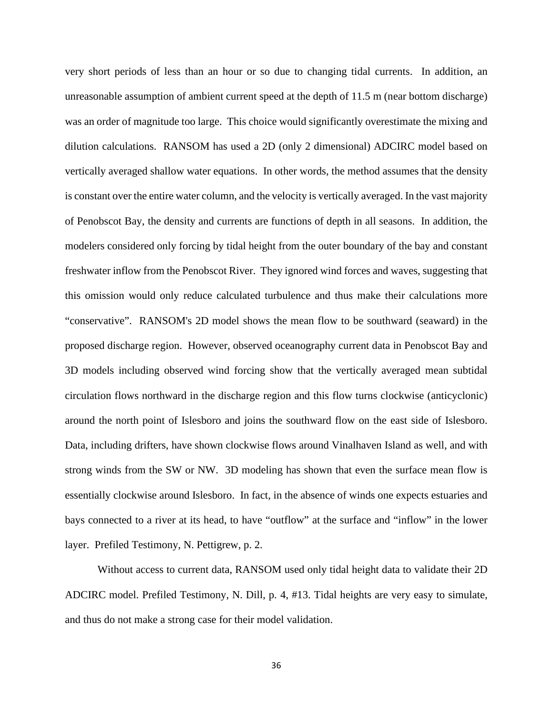very short periods of less than an hour or so due to changing tidal currents. In addition, an unreasonable assumption of ambient current speed at the depth of 11.5 m (near bottom discharge) was an order of magnitude too large. This choice would significantly overestimate the mixing and dilution calculations. RANSOM has used a 2D (only 2 dimensional) ADCIRC model based on vertically averaged shallow water equations. In other words, the method assumes that the density is constant over the entire water column, and the velocity is vertically averaged. In the vast majority of Penobscot Bay, the density and currents are functions of depth in all seasons. In addition, the modelers considered only forcing by tidal height from the outer boundary of the bay and constant freshwater inflow from the Penobscot River. They ignored wind forces and waves, suggesting that this omission would only reduce calculated turbulence and thus make their calculations more "conservative". RANSOM's 2D model shows the mean flow to be southward (seaward) in the proposed discharge region. However, observed oceanography current data in Penobscot Bay and 3D models including observed wind forcing show that the vertically averaged mean subtidal circulation flows northward in the discharge region and this flow turns clockwise (anticyclonic) around the north point of Islesboro and joins the southward flow on the east side of Islesboro. Data, including drifters, have shown clockwise flows around Vinalhaven Island as well, and with strong winds from the SW or NW. 3D modeling has shown that even the surface mean flow is essentially clockwise around Islesboro. In fact, in the absence of winds one expects estuaries and bays connected to a river at its head, to have "outflow" at the surface and "inflow" in the lower layer. Prefiled Testimony, N. Pettigrew, p. 2.

Without access to current data, RANSOM used only tidal height data to validate their 2D ADCIRC model. Prefiled Testimony, N. Dill, p. 4, #13. Tidal heights are very easy to simulate, and thus do not make a strong case for their model validation.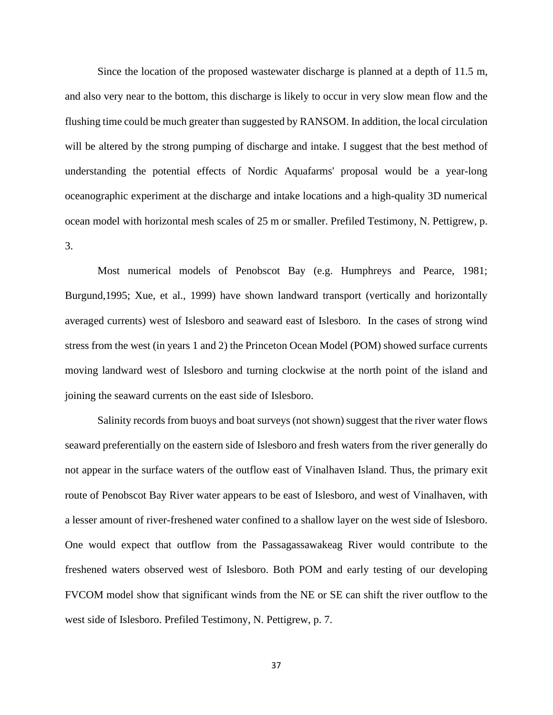Since the location of the proposed wastewater discharge is planned at a depth of 11.5 m, and also very near to the bottom, this discharge is likely to occur in very slow mean flow and the flushing time could be much greater than suggested by RANSOM. In addition, the local circulation will be altered by the strong pumping of discharge and intake. I suggest that the best method of understanding the potential effects of Nordic Aquafarms' proposal would be a year-long oceanographic experiment at the discharge and intake locations and a high-quality 3D numerical ocean model with horizontal mesh scales of 25 m or smaller. Prefiled Testimony, N. Pettigrew, p. 3.

Most numerical models of Penobscot Bay (e.g. Humphreys and Pearce, 1981; Burgund,1995; Xue, et al., 1999) have shown landward transport (vertically and horizontally averaged currents) west of Islesboro and seaward east of Islesboro. In the cases of strong wind stress from the west (in years 1 and 2) the Princeton Ocean Model (POM) showed surface currents moving landward west of Islesboro and turning clockwise at the north point of the island and joining the seaward currents on the east side of Islesboro.

Salinity records from buoys and boat surveys (not shown) suggest that the river water flows seaward preferentially on the eastern side of Islesboro and fresh waters from the river generally do not appear in the surface waters of the outflow east of Vinalhaven Island. Thus, the primary exit route of Penobscot Bay River water appears to be east of Islesboro, and west of Vinalhaven, with a lesser amount of river-freshened water confined to a shallow layer on the west side of Islesboro. One would expect that outflow from the Passagassawakeag River would contribute to the freshened waters observed west of Islesboro. Both POM and early testing of our developing FVCOM model show that significant winds from the NE or SE can shift the river outflow to the west side of Islesboro. Prefiled Testimony, N. Pettigrew, p. 7.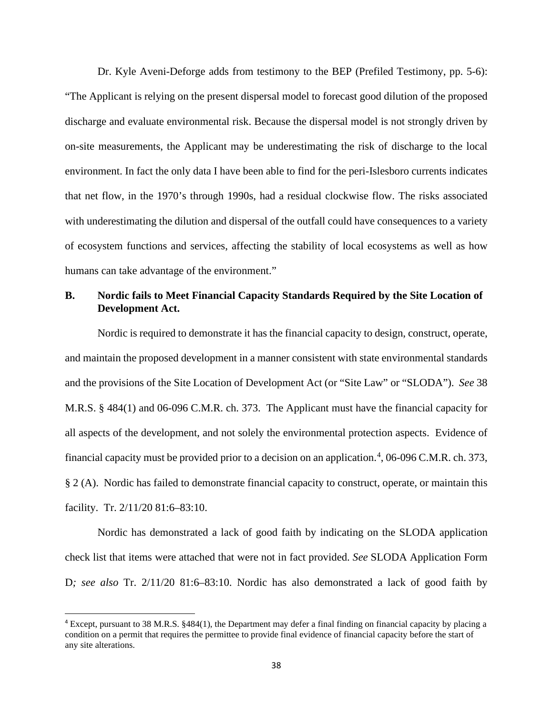Dr. Kyle Aveni-Deforge adds from testimony to the BEP (Prefiled Testimony, pp. 5-6): "The Applicant is relying on the present dispersal model to forecast good dilution of the proposed discharge and evaluate environmental risk. Because the dispersal model is not strongly driven by on-site measurements, the Applicant may be underestimating the risk of discharge to the local environment. In fact the only data I have been able to find for the peri-Islesboro currents indicates that net flow, in the 1970's through 1990s, had a residual clockwise flow. The risks associated with underestimating the dilution and dispersal of the outfall could have consequences to a variety of ecosystem functions and services, affecting the stability of local ecosystems as well as how humans can take advantage of the environment."

## **B. Nordic fails to Meet Financial Capacity Standards Required by the Site Location of Development Act.**

Nordic is required to demonstrate it has the financial capacity to design, construct, operate, and maintain the proposed development in a manner consistent with state environmental standards and the provisions of the Site Location of Development Act (or "Site Law" or "SLODA"). *See* 38 M.R.S. § 484(1) and 06-096 C.M.R. ch. 373. The Applicant must have the financial capacity for all aspects of the development, and not solely the environmental protection aspects. Evidence of financial capacity must be provided prior to a decision on an application.<sup>[4](#page-41-0)</sup>, 06-096 C.M.R. ch. 373, § 2 (A). Nordic has failed to demonstrate financial capacity to construct, operate, or maintain this facility. Tr. 2/11/20 81:6–83:10.

Nordic has demonstrated a lack of good faith by indicating on the SLODA application check list that items were attached that were not in fact provided. *See* SLODA Application Form D*; see also* Tr. 2/11/20 81:6–83:10. Nordic has also demonstrated a lack of good faith by

<span id="page-41-0"></span><sup>4</sup> Except, pursuant to 38 M.R.S. §484(1), the Department may defer a final finding on financial capacity by placing a condition on a permit that requires the permittee to provide final evidence of financial capacity before the start of any site alterations.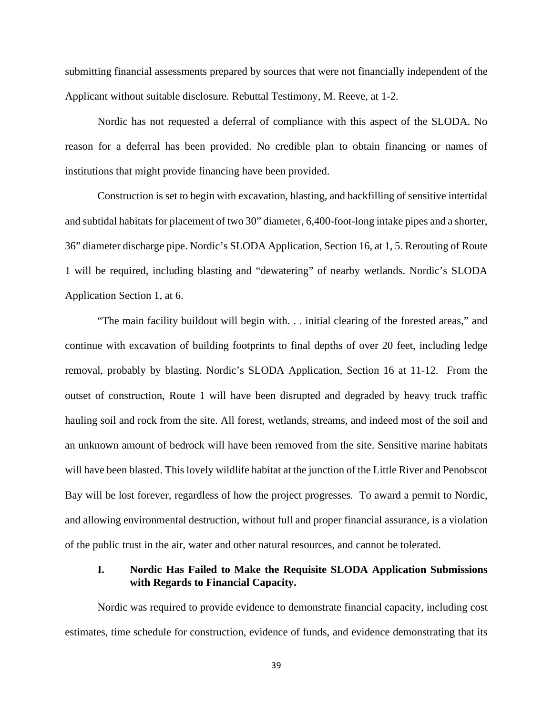submitting financial assessments prepared by sources that were not financially independent of the Applicant without suitable disclosure. Rebuttal Testimony, M. Reeve, at 1-2.

Nordic has not requested a deferral of compliance with this aspect of the SLODA. No reason for a deferral has been provided. No credible plan to obtain financing or names of institutions that might provide financing have been provided.

Construction is set to begin with excavation, blasting, and backfilling of sensitive intertidal and subtidal habitats for placement of two 30" diameter, 6,400-foot-long intake pipes and a shorter, 36" diameter discharge pipe. Nordic's SLODA Application, Section 16, at 1, 5. Rerouting of Route 1 will be required, including blasting and "dewatering" of nearby wetlands. Nordic's SLODA Application Section 1, at 6.

"The main facility buildout will begin with. . . initial clearing of the forested areas," and continue with excavation of building footprints to final depths of over 20 feet, including ledge removal, probably by blasting. Nordic's SLODA Application, Section 16 at 11-12. From the outset of construction, Route 1 will have been disrupted and degraded by heavy truck traffic hauling soil and rock from the site. All forest, wetlands, streams, and indeed most of the soil and an unknown amount of bedrock will have been removed from the site. Sensitive marine habitats will have been blasted. This lovely wildlife habitat at the junction of the Little River and Penobscot Bay will be lost forever, regardless of how the project progresses. To award a permit to Nordic, and allowing environmental destruction, without full and proper financial assurance, is a violation of the public trust in the air, water and other natural resources, and cannot be tolerated.

### **I. Nordic Has Failed to Make the Requisite SLODA Application Submissions with Regards to Financial Capacity.**

Nordic was required to provide evidence to demonstrate financial capacity, including cost estimates, time schedule for construction, evidence of funds, and evidence demonstrating that its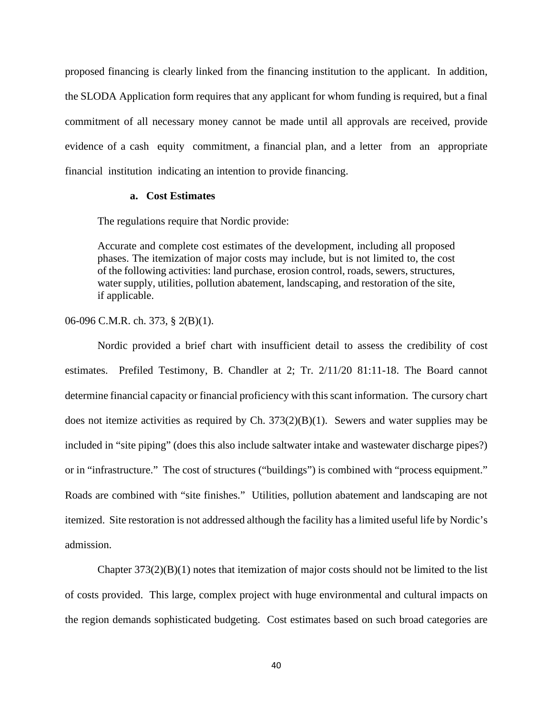proposed financing is clearly linked from the financing institution to the applicant. In addition, the SLODA Application form requires that any applicant for whom funding is required, but a final commitment of all necessary money cannot be made until all approvals are received, provide evidence of a cash equity commitment, a financial plan, and a letter from an appropriate financial institution indicating an intention to provide financing.

#### **a. Cost Estimates**

The regulations require that Nordic provide:

Accurate and complete cost estimates of the development, including all proposed phases. The itemization of major costs may include, but is not limited to, the cost of the following activities: land purchase, erosion control, roads, sewers, structures, water supply, utilities, pollution abatement, landscaping, and restoration of the site, if applicable.

06-096 C.M.R. ch. 373, § 2(B)(1).

Nordic provided a brief chart with insufficient detail to assess the credibility of cost estimates. Prefiled Testimony, B. Chandler at 2; Tr. 2/11/20 81:11-18. The Board cannot determine financial capacity or financial proficiency with this scant information. The cursory chart does not itemize activities as required by Ch.  $373(2)(B)(1)$ . Sewers and water supplies may be included in "site piping" (does this also include saltwater intake and wastewater discharge pipes?) or in "infrastructure." The cost of structures ("buildings") is combined with "process equipment." Roads are combined with "site finishes." Utilities, pollution abatement and landscaping are not itemized. Site restoration is not addressed although the facility has a limited useful life by Nordic's admission.

Chapter  $373(2)(B)(1)$  notes that itemization of major costs should not be limited to the list of costs provided. This large, complex project with huge environmental and cultural impacts on the region demands sophisticated budgeting. Cost estimates based on such broad categories are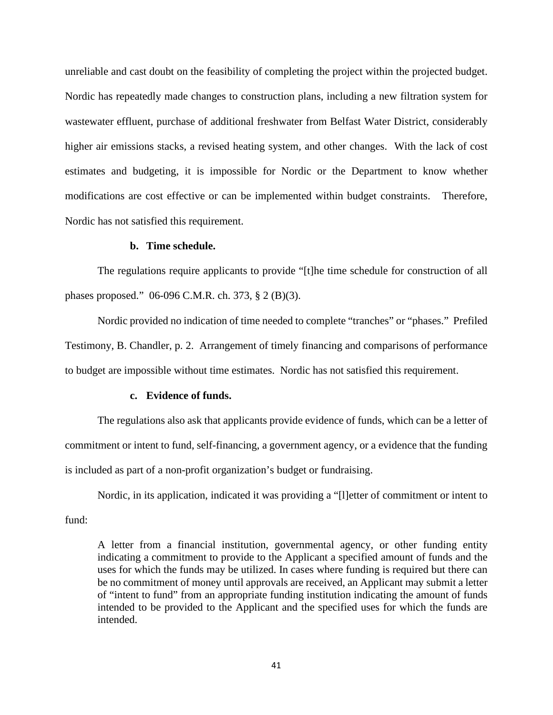unreliable and cast doubt on the feasibility of completing the project within the projected budget. Nordic has repeatedly made changes to construction plans, including a new filtration system for wastewater effluent, purchase of additional freshwater from Belfast Water District, considerably higher air emissions stacks, a revised heating system, and other changes. With the lack of cost estimates and budgeting, it is impossible for Nordic or the Department to know whether modifications are cost effective or can be implemented within budget constraints. Therefore, Nordic has not satisfied this requirement.

#### **b. Time schedule.**

The regulations require applicants to provide "[t]he time schedule for construction of all phases proposed." 06-096 C.M.R. ch. 373, § 2 (B)(3).

Nordic provided no indication of time needed to complete "tranches" or "phases." Prefiled Testimony, B. Chandler, p. 2. Arrangement of timely financing and comparisons of performance to budget are impossible without time estimates. Nordic has not satisfied this requirement.

#### **c. Evidence of funds.**

The regulations also ask that applicants provide evidence of funds, which can be a letter of commitment or intent to fund, self-financing, a government agency, or a evidence that the funding is included as part of a non-profit organization's budget or fundraising.

Nordic, in its application, indicated it was providing a "[l]etter of commitment or intent to fund:

A letter from a financial institution, governmental agency, or other funding entity indicating a commitment to provide to the Applicant a specified amount of funds and the uses for which the funds may be utilized. In cases where funding is required but there can be no commitment of money until approvals are received, an Applicant may submit a letter of "intent to fund" from an appropriate funding institution indicating the amount of funds intended to be provided to the Applicant and the specified uses for which the funds are intended.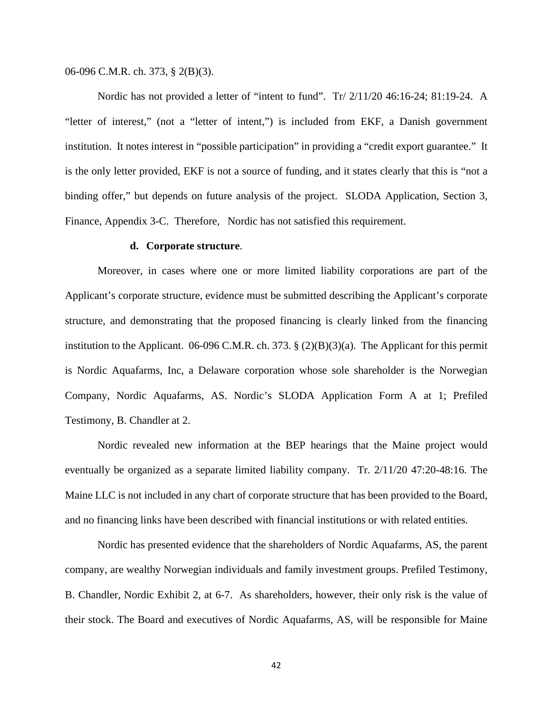06-096 C.M.R. ch. 373, § 2(B)(3).

Nordic has not provided a letter of "intent to fund". Tr/ 2/11/20 46:16-24; 81:19-24. A "letter of interest," (not a "letter of intent,") is included from EKF, a Danish government institution. It notes interest in "possible participation" in providing a "credit export guarantee." It is the only letter provided, EKF is not a source of funding, and it states clearly that this is "not a binding offer," but depends on future analysis of the project. SLODA Application, Section 3, Finance, Appendix 3-C. Therefore, Nordic has not satisfied this requirement.

#### **d. Corporate structure**.

Moreover, in cases where one or more limited liability corporations are part of the Applicant's corporate structure, evidence must be submitted describing the Applicant's corporate structure, and demonstrating that the proposed financing is clearly linked from the financing institution to the Applicant. 06-096 C.M.R. ch. 373. § (2)(B)(3)(a). The Applicant for this permit is Nordic Aquafarms, Inc, a Delaware corporation whose sole shareholder is the Norwegian Company, Nordic Aquafarms, AS. Nordic's SLODA Application Form A at 1; Prefiled Testimony, B. Chandler at 2.

Nordic revealed new information at the BEP hearings that the Maine project would eventually be organized as a separate limited liability company. Tr. 2/11/20 47:20-48:16. The Maine LLC is not included in any chart of corporate structure that has been provided to the Board, and no financing links have been described with financial institutions or with related entities.

Nordic has presented evidence that the shareholders of Nordic Aquafarms, AS, the parent company, are wealthy Norwegian individuals and family investment groups. Prefiled Testimony, B. Chandler, Nordic Exhibit 2, at 6-7. As shareholders, however, their only risk is the value of their stock. The Board and executives of Nordic Aquafarms, AS, will be responsible for Maine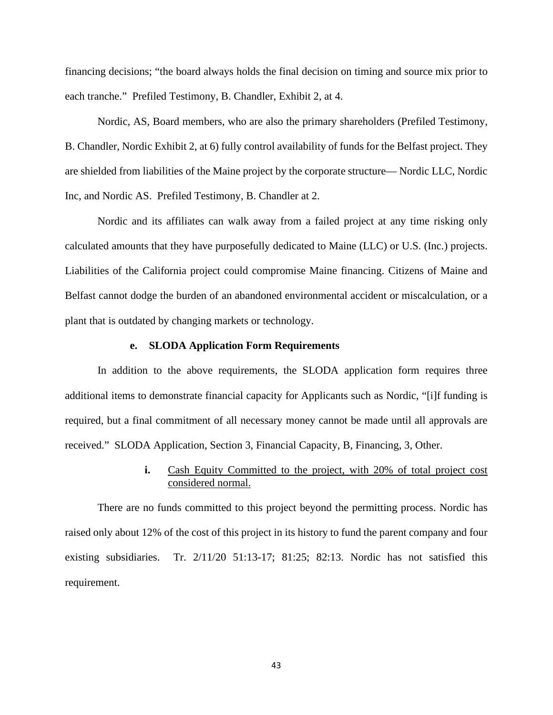financing decisions; "the board always holds the final decision on timing and source mix prior to each tranche." Prefiled Testimony, B. Chandler, Exhibit 2, at 4.

Nordic, AS, Board members, who are also the primary shareholders (Prefiled Testimony, B. Chandler, Nordic Exhibit 2, at 6) fully control availability of funds for the Belfast project. They are shielded from liabilities of the Maine project by the corporate structure— Nordic LLC, Nordic Inc, and Nordic AS. Prefiled Testimony, B. Chandler at 2.

Nordic and its affiliates can walk away from a failed project at any time risking only calculated amounts that they have purposefully dedicated to Maine (LLC) or U.S. (Inc.) projects. Liabilities of the California project could compromise Maine financing. Citizens of Maine and Belfast cannot dodge the burden of an abandoned environmental accident or miscalculation, or a plant that is outdated by changing markets or technology.

#### **e. SLODA Application Form Requirements**

In addition to the above requirements, the SLODA application form requires three additional items to demonstrate financial capacity for Applicants such as Nordic, "[i]f funding is required, but a final commitment of all necessary money cannot be made until all approvals are received." SLODA Application, Section 3, Financial Capacity, B, Financing, 3, Other.

## **i.** Cash Equity Committed to the project, with 20% of total project cost considered normal.

There are no funds committed to this project beyond the permitting process. Nordic has raised only about 12% of the cost of this project in its history to fund the parent company and four existing subsidiaries. Tr. 2/11/20 51:13-17; 81:25; 82:13. Nordic has not satisfied this requirement.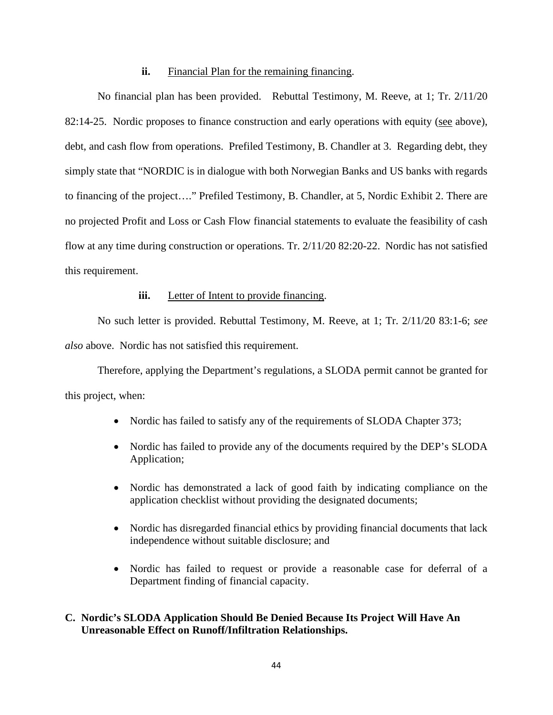#### **ii.** Financial Plan for the remaining financing.

No financial plan has been provided. Rebuttal Testimony, M. Reeve, at 1; Tr. 2/11/20 82:14-25. Nordic proposes to finance construction and early operations with equity (see above), debt, and cash flow from operations. Prefiled Testimony, B. Chandler at 3. Regarding debt, they simply state that "NORDIC is in dialogue with both Norwegian Banks and US banks with regards to financing of the project…." Prefiled Testimony, B. Chandler, at 5, Nordic Exhibit 2. There are no projected Profit and Loss or Cash Flow financial statements to evaluate the feasibility of cash flow at any time during construction or operations. Tr. 2/11/20 82:20-22. Nordic has not satisfied this requirement.

#### **iii.** Letter of Intent to provide financing.

No such letter is provided. Rebuttal Testimony, M. Reeve, at 1; Tr. 2/11/20 83:1-6; *see also* above. Nordic has not satisfied this requirement.

Therefore, applying the Department's regulations, a SLODA permit cannot be granted for this project, when:

- Nordic has failed to satisfy any of the requirements of SLODA Chapter 373;
- Nordic has failed to provide any of the documents required by the DEP's SLODA Application;
- Nordic has demonstrated a lack of good faith by indicating compliance on the application checklist without providing the designated documents;
- Nordic has disregarded financial ethics by providing financial documents that lack independence without suitable disclosure; and
- Nordic has failed to request or provide a reasonable case for deferral of a Department finding of financial capacity.

## **C. Nordic's SLODA Application Should Be Denied Because Its Project Will Have An Unreasonable Effect on Runoff/Infiltration Relationships.**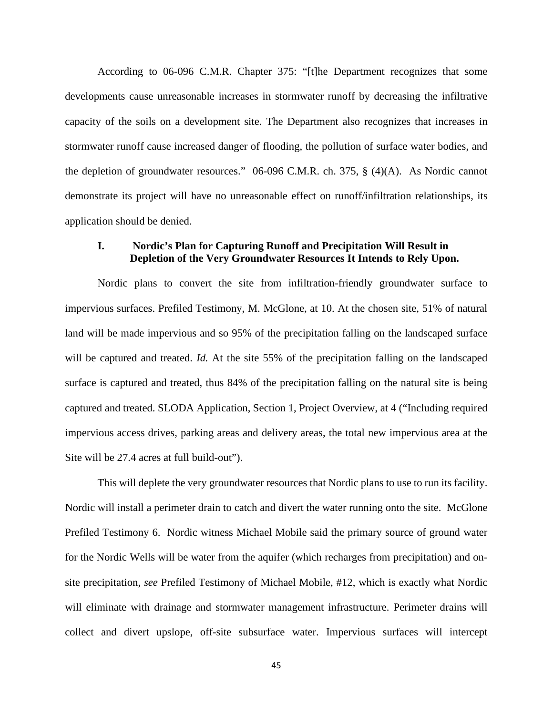According to 06-096 C.M.R. Chapter 375: "[t]he Department recognizes that some developments cause unreasonable increases in stormwater runoff by decreasing the infiltrative capacity of the soils on a development site. The Department also recognizes that increases in stormwater runoff cause increased danger of flooding, the pollution of surface water bodies, and the depletion of groundwater resources." 06-096 C.M.R. ch. 375, § (4)(A). As Nordic cannot demonstrate its project will have no unreasonable effect on runoff/infiltration relationships, its application should be denied.

## **I. Nordic's Plan for Capturing Runoff and Precipitation Will Result in Depletion of the Very Groundwater Resources It Intends to Rely Upon.**

Nordic plans to convert the site from infiltration-friendly groundwater surface to impervious surfaces. Prefiled Testimony, M. McGlone, at 10. At the chosen site, 51% of natural land will be made impervious and so 95% of the precipitation falling on the landscaped surface will be captured and treated. *Id.* At the site 55% of the precipitation falling on the landscaped surface is captured and treated, thus 84% of the precipitation falling on the natural site is being captured and treated. SLODA Application, Section 1, Project Overview, at 4 ("Including required impervious access drives, parking areas and delivery areas, the total new impervious area at the Site will be 27.4 acres at full build-out").

This will deplete the very groundwater resources that Nordic plans to use to run its facility. Nordic will install a perimeter drain to catch and divert the water running onto the site. McGlone Prefiled Testimony 6. Nordic witness Michael Mobile said the primary source of ground water for the Nordic Wells will be water from the aquifer (which recharges from precipitation) and onsite precipitation, *see* Prefiled Testimony of Michael Mobile, #12, which is exactly what Nordic will eliminate with drainage and stormwater management infrastructure. Perimeter drains will collect and divert upslope, off-site subsurface water. Impervious surfaces will intercept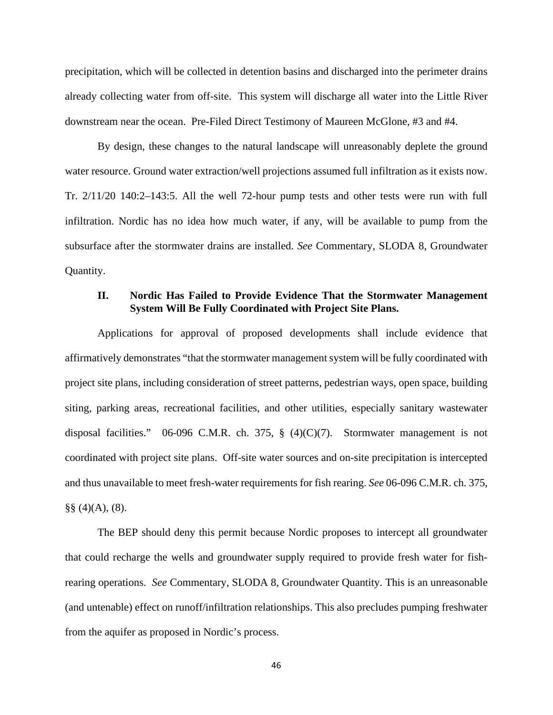precipitation, which will be collected in detention basins and discharged into the perimeter drains already collecting water from off-site. This system will discharge all water into the Little River downstream near the ocean. Pre-Filed Direct Testimony of Maureen McGlone, #3 and #4.

By design, these changes to the natural landscape will unreasonably deplete the ground water resource. Ground water extraction/well projections assumed full infiltration as it exists now. Tr. 2/11/20 140:2–143:5. All the well 72-hour pump tests and other tests were run with full infiltration. Nordic has no idea how much water, if any, will be available to pump from the subsurface after the stormwater drains are installed. *See* Commentary, SLODA 8, Groundwater Quantity.

### **II. Nordic Has Failed to Provide Evidence That the Stormwater Management System Will Be Fully Coordinated with Project Site Plans.**

Applications for approval of proposed developments shall include evidence that affirmatively demonstrates "that the stormwater management system will be fully coordinated with project site plans, including consideration of street patterns, pedestrian ways, open space, building siting, parking areas, recreational facilities, and other utilities, especially sanitary wastewater disposal facilities." 06-096 C.M.R. ch. 375,  $\S$  (4)(C)(7). Stormwater management is not coordinated with project site plans. Off-site water sources and on-site precipitation is intercepted and thus unavailable to meet fresh-water requirements for fish rearing. *See* 06-096 C.M.R. ch. 375,  $\S\S(4)(A)$ , (8).

The BEP should deny this permit because Nordic proposes to intercept all groundwater that could recharge the wells and groundwater supply required to provide fresh water for fishrearing operations. *See* Commentary, SLODA 8, Groundwater Quantity. This is an unreasonable (and untenable) effect on runoff/infiltration relationships. This also precludes pumping freshwater from the aquifer as proposed in Nordic's process.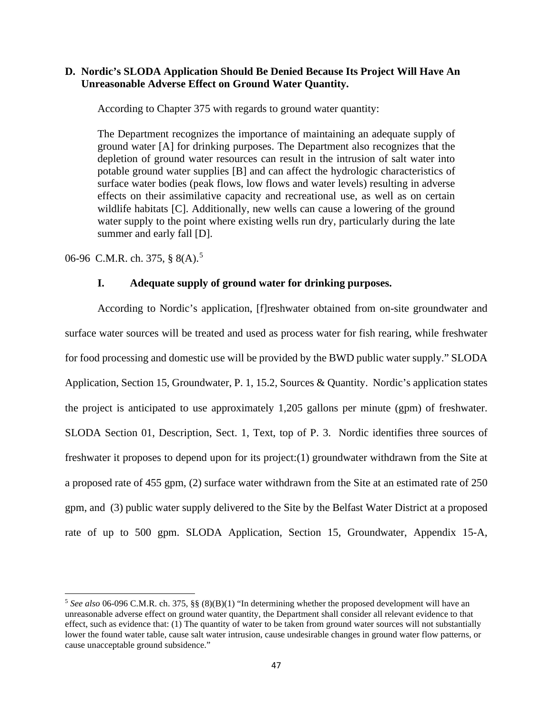### **D. Nordic's SLODA Application Should Be Denied Because Its Project Will Have An Unreasonable Adverse Effect on Ground Water Quantity.**

According to Chapter 375 with regards to ground water quantity:

The Department recognizes the importance of maintaining an adequate supply of ground water [A] for drinking purposes. The Department also recognizes that the depletion of ground water resources can result in the intrusion of salt water into potable ground water supplies [B] and can affect the hydrologic characteristics of surface water bodies (peak flows, low flows and water levels) resulting in adverse effects on their assimilative capacity and recreational use, as well as on certain wildlife habitats [C]. Additionally, new wells can cause a lowering of the ground water supply to the point where existing wells run dry, particularly during the late summer and early fall [D].

06-96 C.M.R. ch. 37[5](#page-50-0), § 8(A).<sup>5</sup>

### **I. Adequate supply of ground water for drinking purposes.**

According to Nordic's application, [f]reshwater obtained from on-site groundwater and surface water sources will be treated and used as process water for fish rearing, while freshwater for food processing and domestic use will be provided by the BWD public water supply." SLODA Application, Section 15, Groundwater, P. 1, 15.2, Sources & Quantity. Nordic's application states the project is anticipated to use approximately 1,205 gallons per minute (gpm) of freshwater. SLODA Section 01, Description, Sect. 1, Text, top of P. 3. Nordic identifies three sources of freshwater it proposes to depend upon for its project:(1) groundwater withdrawn from the Site at a proposed rate of 455 gpm, (2) surface water withdrawn from the Site at an estimated rate of 250 gpm, and (3) public water supply delivered to the Site by the Belfast Water District at a proposed rate of up to 500 gpm. SLODA Application, Section 15, Groundwater, Appendix 15-A,

<span id="page-50-0"></span><sup>5</sup> *See also* 06-096 C.M.R. ch. 375, §§ (8)(B)(1) "In determining whether the proposed development will have an unreasonable adverse effect on ground water quantity, the Department shall consider all relevant evidence to that effect, such as evidence that: (1) The quantity of water to be taken from ground water sources will not substantially lower the found water table, cause salt water intrusion, cause undesirable changes in ground water flow patterns, or cause unacceptable ground subsidence."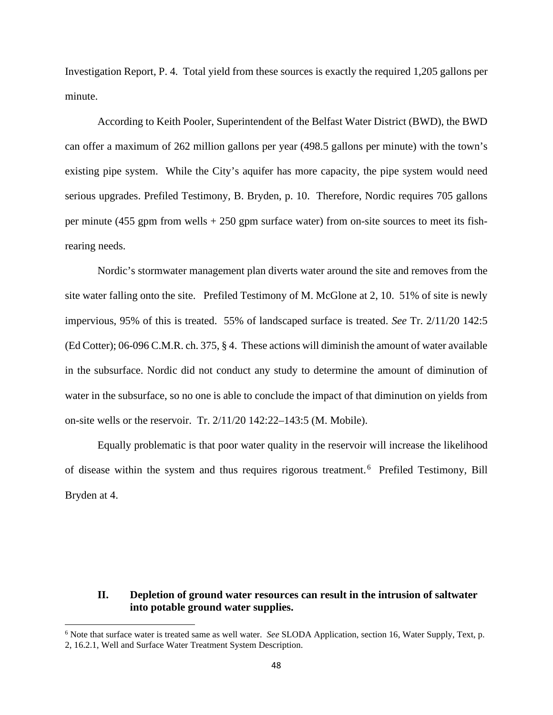Investigation Report, P. 4. Total yield from these sources is exactly the required 1,205 gallons per minute.

According to Keith Pooler, Superintendent of the Belfast Water District (BWD), the BWD can offer a maximum of 262 million gallons per year (498.5 gallons per minute) with the town's existing pipe system. While the City's aquifer has more capacity, the pipe system would need serious upgrades. Prefiled Testimony, B. Bryden, p. 10. Therefore, Nordic requires 705 gallons per minute (455 gpm from wells  $+ 250$  gpm surface water) from on-site sources to meet its fishrearing needs.

Nordic's stormwater management plan diverts water around the site and removes from the site water falling onto the site. Prefiled Testimony of M. McGlone at 2, 10. 51% of site is newly impervious, 95% of this is treated. 55% of landscaped surface is treated. *See* Tr. 2/11/20 142:5 (Ed Cotter); 06-096 C.M.R. ch. 375, § 4. These actions will diminish the amount of water available in the subsurface. Nordic did not conduct any study to determine the amount of diminution of water in the subsurface, so no one is able to conclude the impact of that diminution on yields from on-site wells or the reservoir. Tr. 2/11/20 142:22–143:5 (M. Mobile).

Equally problematic is that poor water quality in the reservoir will increase the likelihood of disease within the system and thus requires rigorous treatment. [6](#page-51-0) Prefiled Testimony, Bill Bryden at 4.

#### **II. Depletion of ground water resources can result in the intrusion of saltwater into potable ground water supplies.**

<span id="page-51-0"></span><sup>6</sup> Note that surface water is treated same as well water. *See* SLODA Application, section 16, Water Supply, Text, p. 2, 16.2.1, Well and Surface Water Treatment System Description.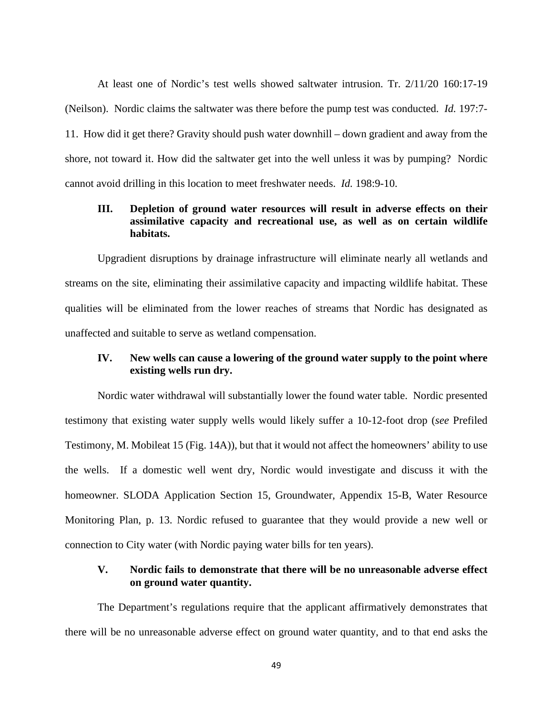At least one of Nordic's test wells showed saltwater intrusion. Tr. 2/11/20 160:17-19 (Neilson). Nordic claims the saltwater was there before the pump test was conducted. *Id.* 197:7- 11. How did it get there? Gravity should push water downhill – down gradient and away from the shore, not toward it. How did the saltwater get into the well unless it was by pumping? Nordic cannot avoid drilling in this location to meet freshwater needs. *Id.* 198:9-10.

# **III. Depletion of ground water resources will result in adverse effects on their assimilative capacity and recreational use, as well as on certain wildlife habitats.**

Upgradient disruptions by drainage infrastructure will eliminate nearly all wetlands and streams on the site, eliminating their assimilative capacity and impacting wildlife habitat. These qualities will be eliminated from the lower reaches of streams that Nordic has designated as unaffected and suitable to serve as wetland compensation.

## **IV. New wells can cause a lowering of the ground water supply to the point where existing wells run dry.**

Nordic water withdrawal will substantially lower the found water table. Nordic presented testimony that existing water supply wells would likely suffer a 10-12-foot drop (*see* Prefiled Testimony, M. Mobileat 15 (Fig. 14A)), but that it would not affect the homeowners' ability to use the wells. If a domestic well went dry, Nordic would investigate and discuss it with the homeowner. SLODA Application Section 15, Groundwater, Appendix 15-B, Water Resource Monitoring Plan, p. 13. Nordic refused to guarantee that they would provide a new well or connection to City water (with Nordic paying water bills for ten years).

## **V. Nordic fails to demonstrate that there will be no unreasonable adverse effect on ground water quantity.**

The Department's regulations require that the applicant affirmatively demonstrates that there will be no unreasonable adverse effect on ground water quantity, and to that end asks the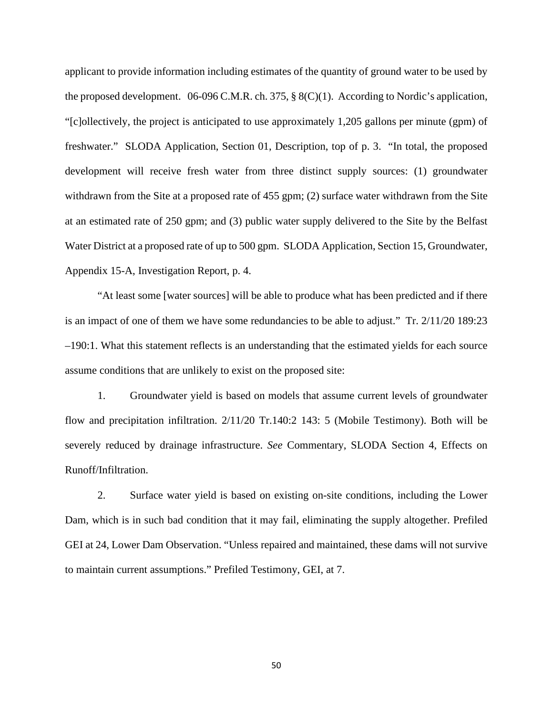applicant to provide information including estimates of the quantity of ground water to be used by the proposed development. 06-096 C.M.R. ch. 375, § 8(C)(1). According to Nordic's application, "[c]ollectively, the project is anticipated to use approximately 1,205 gallons per minute (gpm) of freshwater." SLODA Application, Section 01, Description, top of p. 3. "In total, the proposed development will receive fresh water from three distinct supply sources: (1) groundwater withdrawn from the Site at a proposed rate of 455 gpm; (2) surface water withdrawn from the Site at an estimated rate of 250 gpm; and (3) public water supply delivered to the Site by the Belfast Water District at a proposed rate of up to 500 gpm. SLODA Application, Section 15, Groundwater, Appendix 15-A, Investigation Report, p. 4.

"At least some [water sources] will be able to produce what has been predicted and if there is an impact of one of them we have some redundancies to be able to adjust." Tr. 2/11/20 189:23 –190:1. What this statement reflects is an understanding that the estimated yields for each source assume conditions that are unlikely to exist on the proposed site:

1. Groundwater yield is based on models that assume current levels of groundwater flow and precipitation infiltration. 2/11/20 Tr.140:2 143: 5 (Mobile Testimony). Both will be severely reduced by drainage infrastructure. *See* Commentary, SLODA Section 4, Effects on Runoff/Infiltration.

2. Surface water yield is based on existing on-site conditions, including the Lower Dam, which is in such bad condition that it may fail, eliminating the supply altogether. Prefiled GEI at 24, Lower Dam Observation. "Unless repaired and maintained, these dams will not survive to maintain current assumptions." Prefiled Testimony, GEI, at 7.

50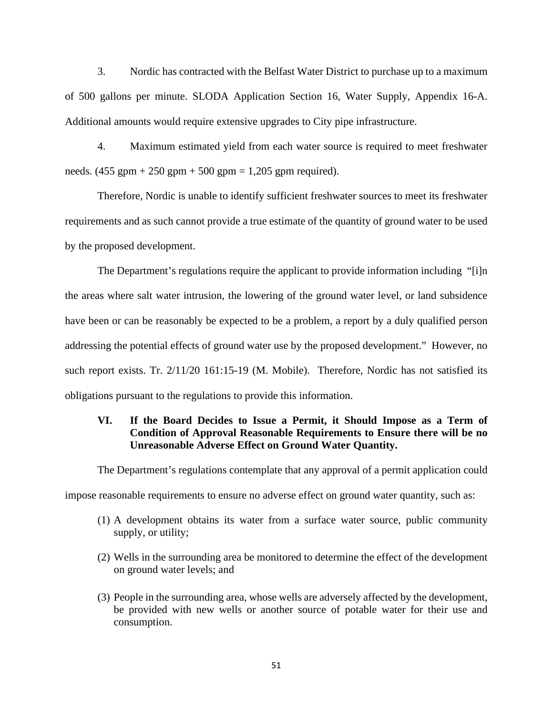3. Nordic has contracted with the Belfast Water District to purchase up to a maximum of 500 gallons per minute. SLODA Application Section 16, Water Supply, Appendix 16-A. Additional amounts would require extensive upgrades to City pipe infrastructure.

4. Maximum estimated yield from each water source is required to meet freshwater needs.  $(455 \text{ gpm} + 250 \text{ gpm} + 500 \text{ gpm} = 1,205 \text{ gpm required})$ .

Therefore, Nordic is unable to identify sufficient freshwater sources to meet its freshwater requirements and as such cannot provide a true estimate of the quantity of ground water to be used by the proposed development.

The Department's regulations require the applicant to provide information including "[i]n the areas where salt water intrusion, the lowering of the ground water level, or land subsidence have been or can be reasonably be expected to be a problem, a report by a duly qualified person addressing the potential effects of ground water use by the proposed development." However, no such report exists. Tr. 2/11/20 161:15-19 (M. Mobile). Therefore, Nordic has not satisfied its obligations pursuant to the regulations to provide this information.

# **VI. If the Board Decides to Issue a Permit, it Should Impose as a Term of Condition of Approval Reasonable Requirements to Ensure there will be no Unreasonable Adverse Effect on Ground Water Quantity.**

The Department's regulations contemplate that any approval of a permit application could

impose reasonable requirements to ensure no adverse effect on ground water quantity, such as:

- (1) A development obtains its water from a surface water source, public community supply, or utility;
- (2) Wells in the surrounding area be monitored to determine the effect of the development on ground water levels; and
- (3) People in the surrounding area, whose wells are adversely affected by the development, be provided with new wells or another source of potable water for their use and consumption.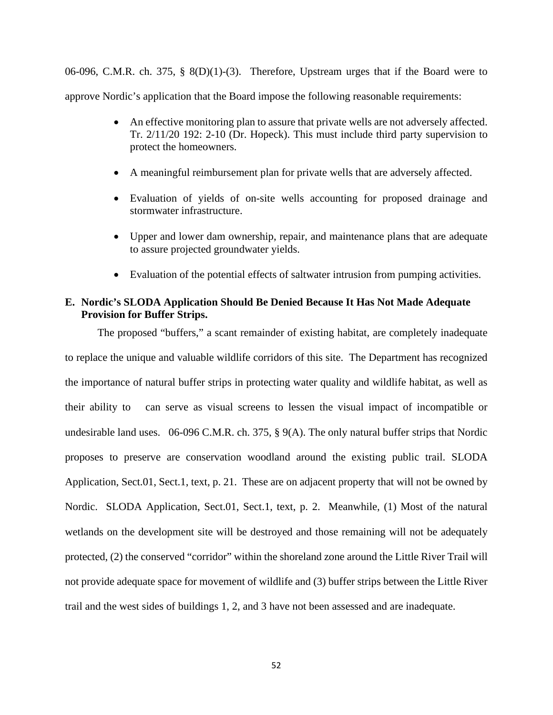06-096, C.M.R. ch. 375, § 8(D)(1)-(3). Therefore, Upstream urges that if the Board were to approve Nordic's application that the Board impose the following reasonable requirements:

- An effective monitoring plan to assure that private wells are not adversely affected. Tr. 2/11/20 192: 2-10 (Dr. Hopeck). This must include third party supervision to protect the homeowners.
- A meaningful reimbursement plan for private wells that are adversely affected.
- Evaluation of yields of on-site wells accounting for proposed drainage and stormwater infrastructure.
- Upper and lower dam ownership, repair, and maintenance plans that are adequate to assure projected groundwater yields.
- Evaluation of the potential effects of saltwater intrusion from pumping activities.

## **E. Nordic's SLODA Application Should Be Denied Because It Has Not Made Adequate Provision for Buffer Strips.**

The proposed "buffers," a scant remainder of existing habitat, are completely inadequate to replace the unique and valuable wildlife corridors of this site. The Department has recognized the importance of natural buffer strips in protecting water quality and wildlife habitat, as well as their ability to can serve as visual screens to lessen the visual impact of incompatible or undesirable land uses. 06-096 C.M.R. ch. 375, § 9(A). The only natural buffer strips that Nordic proposes to preserve are conservation woodland around the existing public trail. SLODA Application, Sect.01, Sect.1, text, p. 21. These are on adjacent property that will not be owned by Nordic. SLODA Application, Sect.01, Sect.1, text, p. 2. Meanwhile, (1) Most of the natural wetlands on the development site will be destroyed and those remaining will not be adequately protected, (2) the conserved "corridor" within the shoreland zone around the Little River Trail will not provide adequate space for movement of wildlife and (3) buffer strips between the Little River trail and the west sides of buildings 1, 2, and 3 have not been assessed and are inadequate.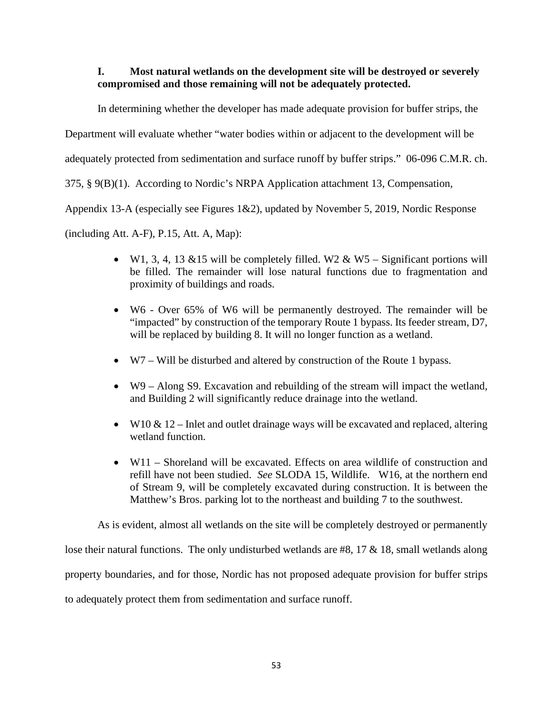# **I. Most natural wetlands on the development site will be destroyed or severely compromised and those remaining will not be adequately protected.**

In determining whether the developer has made adequate provision for buffer strips, the

Department will evaluate whether "water bodies within or adjacent to the development will be

adequately protected from sedimentation and surface runoff by buffer strips." 06-096 C.M.R. ch.

375, § 9(B)(1). According to Nordic's NRPA Application attachment 13, Compensation,

Appendix 13-A (especially see Figures 1&2), updated by November 5, 2019, Nordic Response

(including Att. A-F), P.15, Att. A, Map):

- W1, 3, 4, 13 & 15 will be completely filled. W2 & W5 Significant portions will be filled. The remainder will lose natural functions due to fragmentation and proximity of buildings and roads.
- W6 Over 65% of W6 will be permanently destroyed. The remainder will be "impacted" by construction of the temporary Route 1 bypass. Its feeder stream, D7, will be replaced by building 8. It will no longer function as a wetland.
- W7 Will be disturbed and altered by construction of the Route 1 bypass.
- W9 Along S9. Excavation and rebuilding of the stream will impact the wetland, and Building 2 will significantly reduce drainage into the wetland.
- W10  $\&$  12 Inlet and outlet drainage ways will be excavated and replaced, altering wetland function.
- W11 Shoreland will be excavated. Effects on area wildlife of construction and refill have not been studied. *See* SLODA 15, Wildlife. W16, at the northern end of Stream 9, will be completely excavated during construction. It is between the Matthew's Bros. parking lot to the northeast and building 7 to the southwest.

As is evident, almost all wetlands on the site will be completely destroyed or permanently

lose their natural functions. The only undisturbed wetlands are #8, 17 & 18, small wetlands along property boundaries, and for those, Nordic has not proposed adequate provision for buffer strips to adequately protect them from sedimentation and surface runoff.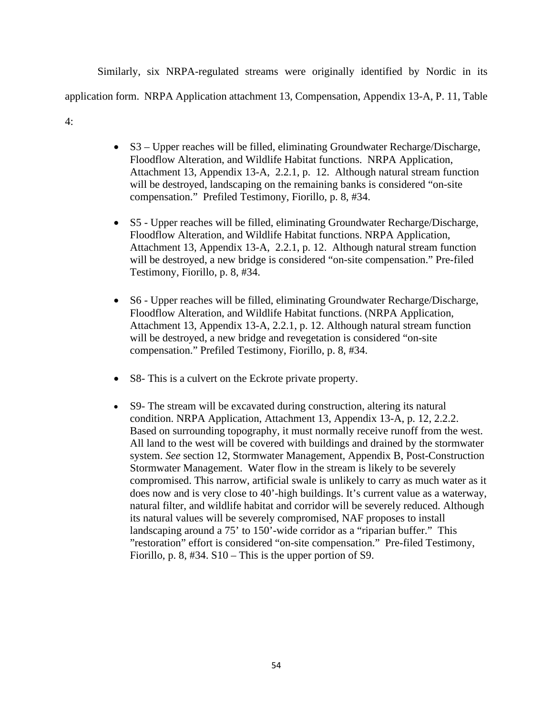Similarly, six NRPA-regulated streams were originally identified by Nordic in its application form. NRPA Application attachment 13, Compensation, Appendix 13-A, P. 11, Table 4:

- S3 Upper reaches will be filled, eliminating Groundwater Recharge/Discharge, Floodflow Alteration, and Wildlife Habitat functions. NRPA Application, Attachment 13, Appendix 13-A, 2.2.1, p. 12. Although natural stream function will be destroyed, landscaping on the remaining banks is considered "on-site compensation." Prefiled Testimony, Fiorillo, p. 8, #34.
- S5 Upper reaches will be filled, eliminating Groundwater Recharge/Discharge, Floodflow Alteration, and Wildlife Habitat functions. NRPA Application, Attachment 13, Appendix 13-A, 2.2.1, p. 12. Although natural stream function will be destroyed, a new bridge is considered "on-site compensation." Pre-filed Testimony, Fiorillo, p. 8, #34.
- S6 Upper reaches will be filled, eliminating Groundwater Recharge/Discharge, Floodflow Alteration, and Wildlife Habitat functions. (NRPA Application, Attachment 13, Appendix 13-A, 2.2.1, p. 12. Although natural stream function will be destroyed, a new bridge and revegetation is considered "on-site compensation." Prefiled Testimony, Fiorillo, p. 8, #34.
- S8- This is a culvert on the Eckrote private property.
- S9- The stream will be excavated during construction, altering its natural condition. NRPA Application, Attachment 13, Appendix 13-A, p. 12, 2.2.2. Based on surrounding topography, it must normally receive runoff from the west. All land to the west will be covered with buildings and drained by the stormwater system. *See* section 12, Stormwater Management, Appendix B, Post-Construction Stormwater Management. Water flow in the stream is likely to be severely compromised. This narrow, artificial swale is unlikely to carry as much water as it does now and is very close to 40'-high buildings. It's current value as a waterway, natural filter, and wildlife habitat and corridor will be severely reduced. Although its natural values will be severely compromised, NAF proposes to install landscaping around a 75' to 150'-wide corridor as a "riparian buffer." This "restoration" effort is considered "on-site compensation." Pre-filed Testimony, Fiorillo, p. 8, #34. S10 – This is the upper portion of S9.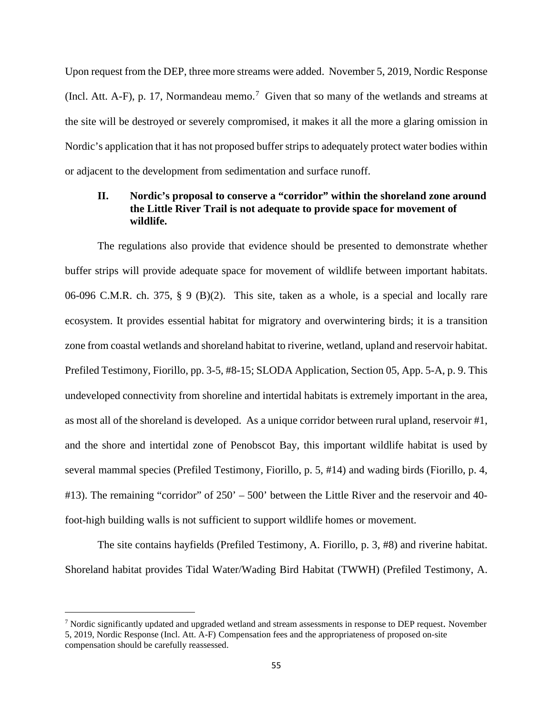Upon request from the DEP, three more streams were added. November 5, 2019, Nordic Response (Incl. Att. A-F), p. 1[7](#page-58-0), Normandeau memo.<sup>7</sup> Given that so many of the wetlands and streams at the site will be destroyed or severely compromised, it makes it all the more a glaring omission in Nordic's application that it has not proposed buffer strips to adequately protect water bodies within or adjacent to the development from sedimentation and surface runoff.

# **II. Nordic's proposal to conserve a "corridor" within the shoreland zone around the Little River Trail is not adequate to provide space for movement of wildlife.**

The regulations also provide that evidence should be presented to demonstrate whether buffer strips will provide adequate space for movement of wildlife between important habitats. 06-096 C.M.R. ch. 375, § 9 (B)(2). This site, taken as a whole, is a special and locally rare ecosystem. It provides essential habitat for migratory and overwintering birds; it is a transition zone from coastal wetlands and shoreland habitat to riverine, wetland, upland and reservoir habitat. Prefiled Testimony, Fiorillo, pp. 3-5, #8-15; SLODA Application, Section 05, App. 5-A, p. 9. This undeveloped connectivity from shoreline and intertidal habitats is extremely important in the area, as most all of the shoreland is developed. As a unique corridor between rural upland, reservoir #1, and the shore and intertidal zone of Penobscot Bay, this important wildlife habitat is used by several mammal species (Prefiled Testimony, Fiorillo, p. 5, #14) and wading birds (Fiorillo, p. 4, #13). The remaining "corridor" of 250' – 500' between the Little River and the reservoir and 40 foot-high building walls is not sufficient to support wildlife homes or movement.

The site contains hayfields (Prefiled Testimony, A. Fiorillo, p. 3, #8) and riverine habitat. Shoreland habitat provides Tidal Water/Wading Bird Habitat (TWWH) (Prefiled Testimony, A.

<span id="page-58-0"></span><sup>&</sup>lt;sup>7</sup> Nordic significantly updated and upgraded wetland and stream assessments in response to DEP request. November 5, 2019, Nordic Response (Incl. Att. A-F) Compensation fees and the appropriateness of proposed on-site compensation should be carefully reassessed.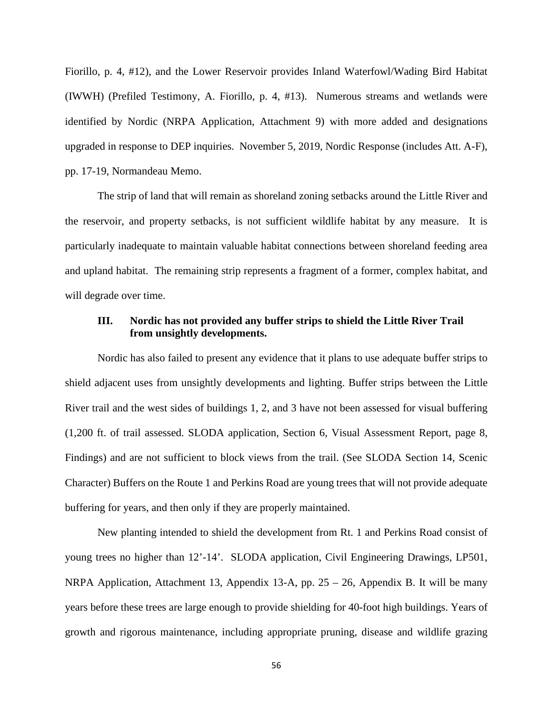Fiorillo, p. 4, #12), and the Lower Reservoir provides Inland Waterfowl/Wading Bird Habitat (IWWH) (Prefiled Testimony, A. Fiorillo, p. 4, #13). Numerous streams and wetlands were identified by Nordic (NRPA Application, Attachment 9) with more added and designations upgraded in response to DEP inquiries. November 5, 2019, Nordic Response (includes Att. A-F), pp. 17-19, Normandeau Memo.

The strip of land that will remain as shoreland zoning setbacks around the Little River and the reservoir, and property setbacks, is not sufficient wildlife habitat by any measure. It is particularly inadequate to maintain valuable habitat connections between shoreland feeding area and upland habitat. The remaining strip represents a fragment of a former, complex habitat, and will degrade over time.

### **III. Nordic has not provided any buffer strips to shield the Little River Trail from unsightly developments.**

Nordic has also failed to present any evidence that it plans to use adequate buffer strips to shield adjacent uses from unsightly developments and lighting. Buffer strips between the Little River trail and the west sides of buildings 1, 2, and 3 have not been assessed for visual buffering (1,200 ft. of trail assessed. SLODA application, Section 6, Visual Assessment Report, page 8, Findings) and are not sufficient to block views from the trail. (See SLODA Section 14, Scenic Character) Buffers on the Route 1 and Perkins Road are young trees that will not provide adequate buffering for years, and then only if they are properly maintained.

New planting intended to shield the development from Rt. 1 and Perkins Road consist of young trees no higher than 12'-14'. SLODA application, Civil Engineering Drawings, LP501, NRPA Application, Attachment 13, Appendix 13-A, pp.  $25 - 26$ , Appendix B. It will be many years before these trees are large enough to provide shielding for 40-foot high buildings. Years of growth and rigorous maintenance, including appropriate pruning, disease and wildlife grazing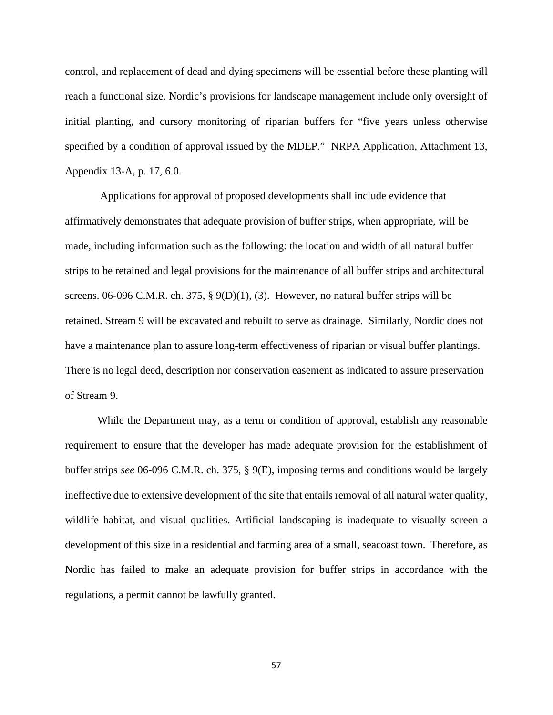control, and replacement of dead and dying specimens will be essential before these planting will reach a functional size. Nordic's provisions for landscape management include only oversight of initial planting, and cursory monitoring of riparian buffers for "five years unless otherwise specified by a condition of approval issued by the MDEP." NRPA Application, Attachment 13, Appendix 13-A, p. 17, 6.0.

Applications for approval of proposed developments shall include evidence that affirmatively demonstrates that adequate provision of buffer strips, when appropriate, will be made, including information such as the following: the location and width of all natural buffer strips to be retained and legal provisions for the maintenance of all buffer strips and architectural screens. 06-096 C.M.R. ch. 375, § 9(D)(1), (3). However, no natural buffer strips will be retained. Stream 9 will be excavated and rebuilt to serve as drainage. Similarly, Nordic does not have a maintenance plan to assure long-term effectiveness of riparian or visual buffer plantings. There is no legal deed, description nor conservation easement as indicated to assure preservation of Stream 9.

While the Department may, as a term or condition of approval, establish any reasonable requirement to ensure that the developer has made adequate provision for the establishment of buffer strips *see* 06-096 C.M.R. ch. 375, § 9(E), imposing terms and conditions would be largely ineffective due to extensive development of the site that entails removal of all natural water quality, wildlife habitat, and visual qualities. Artificial landscaping is inadequate to visually screen a development of this size in a residential and farming area of a small, seacoast town. Therefore, as Nordic has failed to make an adequate provision for buffer strips in accordance with the regulations, a permit cannot be lawfully granted.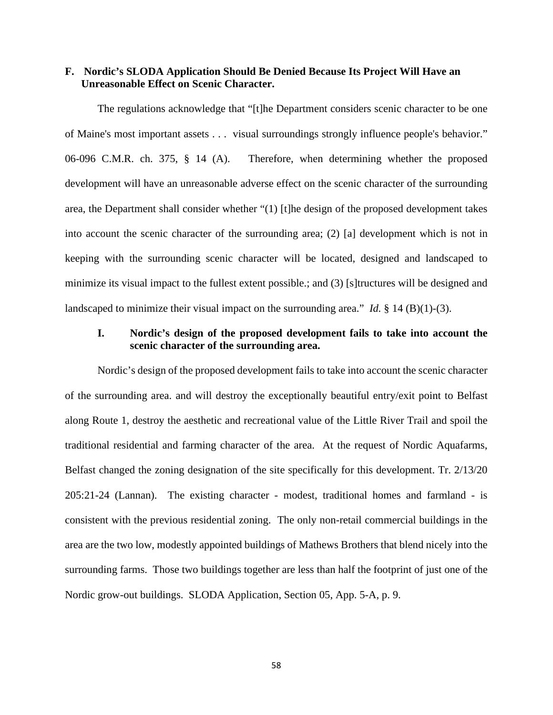### **F. Nordic's SLODA Application Should Be Denied Because Its Project Will Have an Unreasonable Effect on Scenic Character.**

The regulations acknowledge that "[t]he Department considers scenic character to be one of Maine's most important assets . . . visual surroundings strongly influence people's behavior." 06-096 C.M.R. ch. 375, § 14 (A). Therefore, when determining whether the proposed development will have an unreasonable adverse effect on the scenic character of the surrounding area, the Department shall consider whether "(1) [t]he design of the proposed development takes into account the scenic character of the surrounding area; (2) [a] development which is not in keeping with the surrounding scenic character will be located, designed and landscaped to minimize its visual impact to the fullest extent possible.; and (3) [s]tructures will be designed and landscaped to minimize their visual impact on the surrounding area." *Id.* § 14 (B)(1)-(3).

# **I. Nordic's design of the proposed development fails to take into account the scenic character of the surrounding area.**

Nordic's design of the proposed development fails to take into account the scenic character of the surrounding area. and will destroy the exceptionally beautiful entry/exit point to Belfast along Route 1, destroy the aesthetic and recreational value of the Little River Trail and spoil the traditional residential and farming character of the area. At the request of Nordic Aquafarms, Belfast changed the zoning designation of the site specifically for this development. Tr. 2/13/20 205:21-24 (Lannan). The existing character - modest, traditional homes and farmland - is consistent with the previous residential zoning. The only non-retail commercial buildings in the area are the two low, modestly appointed buildings of Mathews Brothers that blend nicely into the surrounding farms. Those two buildings together are less than half the footprint of just one of the Nordic grow-out buildings. SLODA Application, Section 05, App. 5-A, p. 9.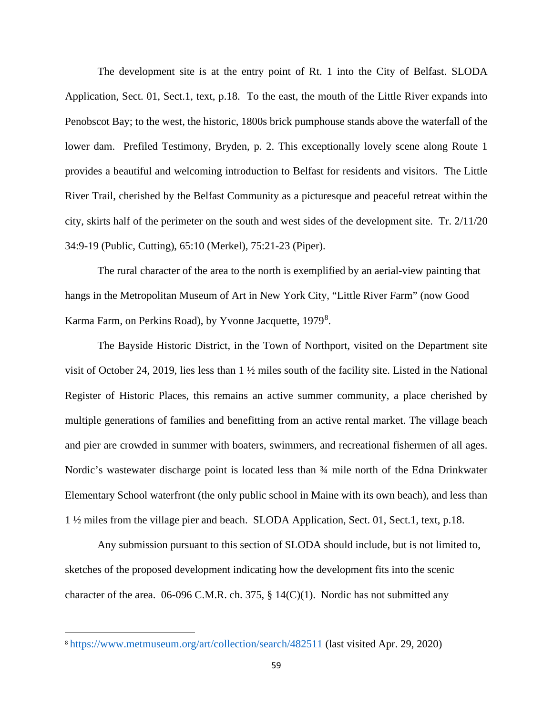The development site is at the entry point of Rt. 1 into the City of Belfast. SLODA Application, Sect. 01, Sect.1, text, p.18. To the east, the mouth of the Little River expands into Penobscot Bay; to the west, the historic, 1800s brick pumphouse stands above the waterfall of the lower dam. Prefiled Testimony, Bryden, p. 2. This exceptionally lovely scene along Route 1 provides a beautiful and welcoming introduction to Belfast for residents and visitors. The Little River Trail, cherished by the Belfast Community as a picturesque and peaceful retreat within the city, skirts half of the perimeter on the south and west sides of the development site. Tr. 2/11/20 34:9-19 (Public, Cutting), 65:10 (Merkel), 75:21-23 (Piper).

The rural character of the area to the north is exemplified by an aerial-view painting that hangs in the Metropolitan Museum of Art in New York City, "Little River Farm" (now Good Karma Farm, on Perkins Road), by Yvonne Jacquette, 1979<sup>[8](#page-62-0)</sup>.

The Bayside Historic District, in the Town of Northport, visited on the Department site visit of October 24, 2019, lies less than 1 ½ miles south of the facility site. Listed in the National Register of Historic Places, this remains an active summer community, a place cherished by multiple generations of families and benefitting from an active rental market. The village beach and pier are crowded in summer with boaters, swimmers, and recreational fishermen of all ages. Nordic's wastewater discharge point is located less than ¾ mile north of the Edna Drinkwater Elementary School waterfront (the only public school in Maine with its own beach), and less than 1 ½ miles from the village pier and beach. SLODA Application, Sect. 01, Sect.1, text, p.18.

Any submission pursuant to this section of SLODA should include, but is not limited to, sketches of the proposed development indicating how the development fits into the scenic character of the area. 06-096 C.M.R. ch. 375, § 14(C)(1). Nordic has not submitted any

<span id="page-62-0"></span><sup>8</sup> <https://www.metmuseum.org/art/collection/search/482511> (last visited Apr. 29, 2020)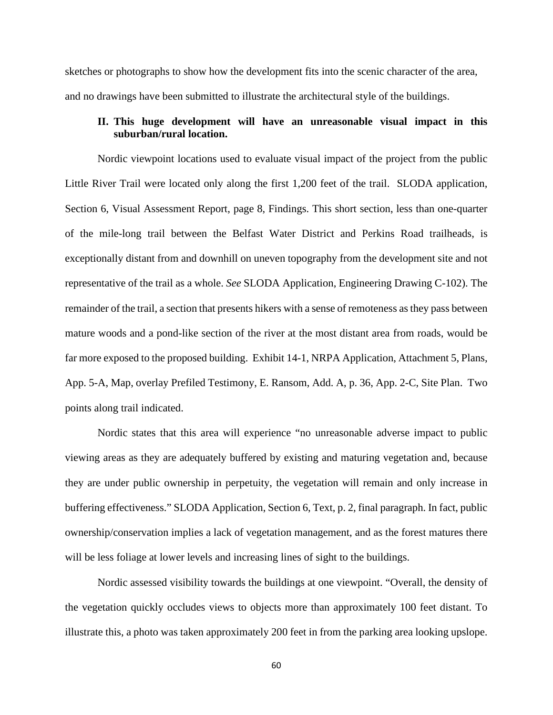sketches or photographs to show how the development fits into the scenic character of the area, and no drawings have been submitted to illustrate the architectural style of the buildings.

# **II. This huge development will have an unreasonable visual impact in this suburban/rural location.**

Nordic viewpoint locations used to evaluate visual impact of the project from the public Little River Trail were located only along the first 1,200 feet of the trail. SLODA application, Section 6, Visual Assessment Report, page 8, Findings. This short section, less than one-quarter of the mile-long trail between the Belfast Water District and Perkins Road trailheads, is exceptionally distant from and downhill on uneven topography from the development site and not representative of the trail as a whole. *See* SLODA Application, Engineering Drawing C-102). The remainder of the trail, a section that presents hikers with a sense of remoteness as they pass between mature woods and a pond-like section of the river at the most distant area from roads, would be far more exposed to the proposed building. Exhibit 14-1, NRPA Application, Attachment 5, Plans, App. 5-A, Map, overlay Prefiled Testimony, E. Ransom, Add. A, p. 36, App. 2-C, Site Plan. Two points along trail indicated.

Nordic states that this area will experience "no unreasonable adverse impact to public viewing areas as they are adequately buffered by existing and maturing vegetation and, because they are under public ownership in perpetuity, the vegetation will remain and only increase in buffering effectiveness." SLODA Application, Section 6, Text, p. 2, final paragraph. In fact, public ownership/conservation implies a lack of vegetation management, and as the forest matures there will be less foliage at lower levels and increasing lines of sight to the buildings.

Nordic assessed visibility towards the buildings at one viewpoint. "Overall, the density of the vegetation quickly occludes views to objects more than approximately 100 feet distant. To illustrate this, a photo was taken approximately 200 feet in from the parking area looking upslope.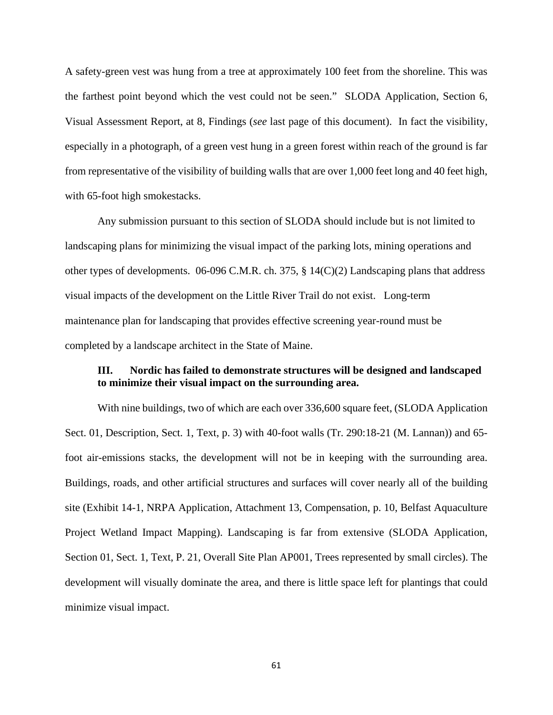A safety-green vest was hung from a tree at approximately 100 feet from the shoreline. This was the farthest point beyond which the vest could not be seen." SLODA Application, Section 6, Visual Assessment Report, at 8, Findings (*see* last page of this document). In fact the visibility, especially in a photograph, of a green vest hung in a green forest within reach of the ground is far from representative of the visibility of building walls that are over 1,000 feet long and 40 feet high, with 65-foot high smokestacks.

Any submission pursuant to this section of SLODA should include but is not limited to landscaping plans for minimizing the visual impact of the parking lots, mining operations and other types of developments. 06-096 C.M.R. ch. 375, § 14(C)(2) Landscaping plans that address visual impacts of the development on the Little River Trail do not exist. Long-term maintenance plan for landscaping that provides effective screening year-round must be completed by a landscape architect in the State of Maine.

## **III. Nordic has failed to demonstrate structures will be designed and landscaped to minimize their visual impact on the surrounding area.**

With nine buildings, two of which are each over 336,600 square feet, (SLODA Application Sect. 01, Description, Sect. 1, Text, p. 3) with 40-foot walls (Tr. 290:18-21 (M. Lannan)) and 65 foot air-emissions stacks, the development will not be in keeping with the surrounding area. Buildings, roads, and other artificial structures and surfaces will cover nearly all of the building site (Exhibit 14-1, NRPA Application, Attachment 13, Compensation, p. 10, Belfast Aquaculture Project Wetland Impact Mapping). Landscaping is far from extensive (SLODA Application, Section 01, Sect. 1, Text, P. 21, Overall Site Plan AP001, Trees represented by small circles). The development will visually dominate the area, and there is little space left for plantings that could minimize visual impact.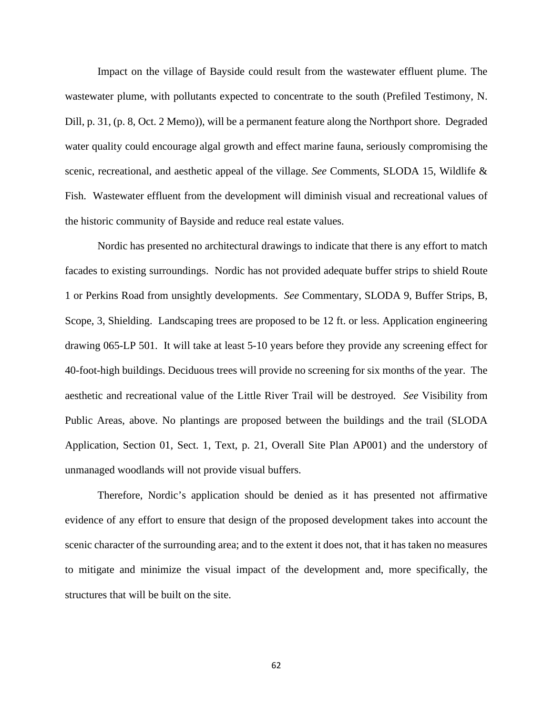Impact on the village of Bayside could result from the wastewater effluent plume. The wastewater plume, with pollutants expected to concentrate to the south (Prefiled Testimony, N. Dill, p. 31, (p. 8, Oct. 2 Memo)), will be a permanent feature along the Northport shore. Degraded water quality could encourage algal growth and effect marine fauna, seriously compromising the scenic, recreational, and aesthetic appeal of the village. *See* Comments, SLODA 15, Wildlife & Fish. Wastewater effluent from the development will diminish visual and recreational values of the historic community of Bayside and reduce real estate values.

Nordic has presented no architectural drawings to indicate that there is any effort to match facades to existing surroundings. Nordic has not provided adequate buffer strips to shield Route 1 or Perkins Road from unsightly developments. *See* Commentary, SLODA 9, Buffer Strips, B, Scope, 3, Shielding. Landscaping trees are proposed to be 12 ft. or less. Application engineering drawing 065-LP 501. It will take at least 5-10 years before they provide any screening effect for 40-foot-high buildings. Deciduous trees will provide no screening for six months of the year. The aesthetic and recreational value of the Little River Trail will be destroyed. *See* Visibility from Public Areas, above. No plantings are proposed between the buildings and the trail (SLODA Application, Section 01, Sect. 1, Text, p. 21, Overall Site Plan AP001) and the understory of unmanaged woodlands will not provide visual buffers.

Therefore, Nordic's application should be denied as it has presented not affirmative evidence of any effort to ensure that design of the proposed development takes into account the scenic character of the surrounding area; and to the extent it does not, that it has taken no measures to mitigate and minimize the visual impact of the development and, more specifically, the structures that will be built on the site.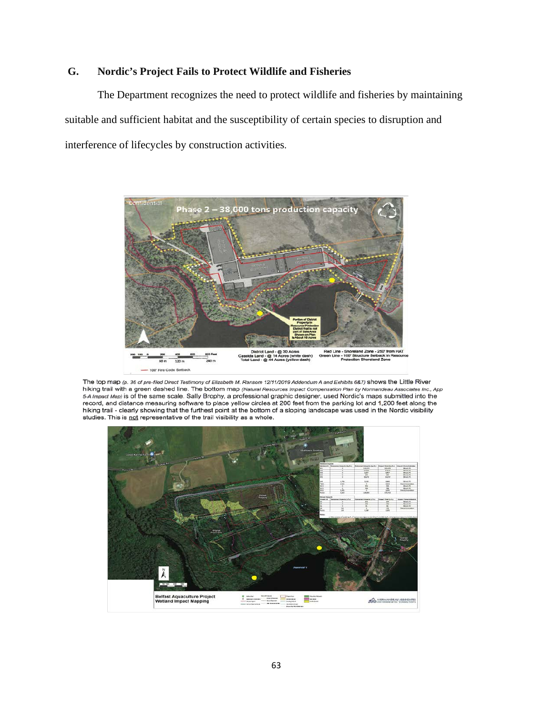# **G. Nordic's Project Fails to Protect Wildlife and Fisheries**

The Department recognizes the need to protect wildlife and fisheries by maintaining suitable and sufficient habitat and the susceptibility of certain species to disruption and interference of lifecycles by construction activities.



The top map (p. 36 of pre-filed Direct Testimony of Elizabeth M. Ransom 12/11/2019 Addendum A and Exhibits 6&7) shows the Little River hiking trail with a green dashed line. The bottom map (Natural Resources Impact Compensation Plan by Normandeau Associates Inc., App 5-A Impact Map) is of the same scale. Sally Brophy, a professional graphic designer, used Nordic's maps submitted into the record, and distance measuring software to place yellow circles at 200 feet from the parking lot and 1,200 feet along the hiking trail - clearly showing that the furthest point at the bottom of a sloping landscape was used in the Nordic visibility studies. This is not representative of the trail visibility as a whole.

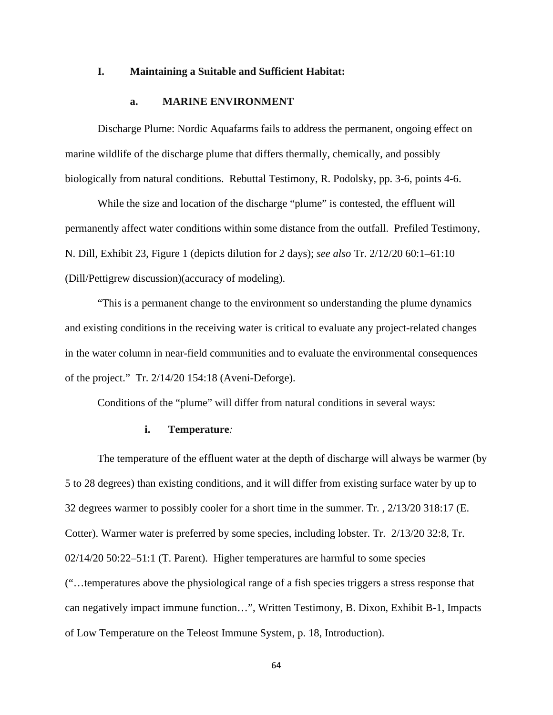#### **I. Maintaining a Suitable and Sufficient Habitat:**

#### **a. MARINE ENVIRONMENT**

Discharge Plume: Nordic Aquafarms fails to address the permanent, ongoing effect on marine wildlife of the discharge plume that differs thermally, chemically, and possibly biologically from natural conditions. Rebuttal Testimony, R. Podolsky, pp. 3-6, points 4-6.

While the size and location of the discharge "plume" is contested, the effluent will permanently affect water conditions within some distance from the outfall. Prefiled Testimony, N. Dill, Exhibit 23, Figure 1 (depicts dilution for 2 days); *see also* Tr. 2/12/20 60:1–61:10 (Dill/Pettigrew discussion)(accuracy of modeling).

"This is a permanent change to the environment so understanding the plume dynamics and existing conditions in the receiving water is critical to evaluate any project-related changes in the water column in near-field communities and to evaluate the environmental consequences of the project." Tr. 2/14/20 154:18 (Aveni-Deforge).

Conditions of the "plume" will differ from natural conditions in several ways:

#### **i. Temperature***:*

The temperature of the effluent water at the depth of discharge will always be warmer (by 5 to 28 degrees) than existing conditions, and it will differ from existing surface water by up to 32 degrees warmer to possibly cooler for a short time in the summer. Tr. , 2/13/20 318:17 (E. Cotter). Warmer water is preferred by some species, including lobster. Tr. 2/13/20 32:8, Tr. 02/14/20 50:22–51:1 (T. Parent). Higher temperatures are harmful to some species ("…temperatures above the physiological range of a fish species triggers a stress response that can negatively impact immune function…", Written Testimony, B. Dixon, Exhibit B-1, Impacts of Low Temperature on the Teleost Immune System, p. 18, Introduction).

64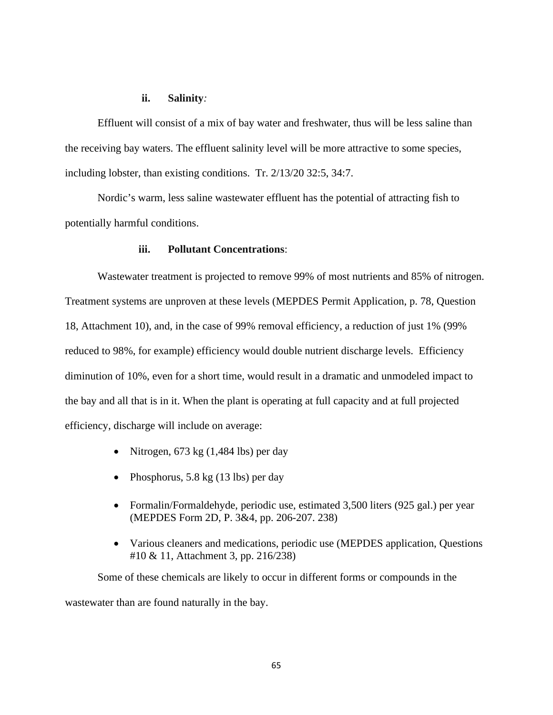#### **ii. Salinity***:*

Effluent will consist of a mix of bay water and freshwater, thus will be less saline than the receiving bay waters. The effluent salinity level will be more attractive to some species, including lobster, than existing conditions. Tr. 2/13/20 32:5, 34:7.

Nordic's warm, less saline wastewater effluent has the potential of attracting fish to potentially harmful conditions.

#### **iii. Pollutant Concentrations**:

Wastewater treatment is projected to remove 99% of most nutrients and 85% of nitrogen. Treatment systems are unproven at these levels (MEPDES Permit Application, p. 78, Question 18, Attachment 10), and, in the case of 99% removal efficiency, a reduction of just 1% (99% reduced to 98%, for example) efficiency would double nutrient discharge levels. Efficiency diminution of 10%, even for a short time, would result in a dramatic and unmodeled impact to the bay and all that is in it. When the plant is operating at full capacity and at full projected efficiency, discharge will include on average:

- Nitrogen, 673 kg (1,484 lbs) per day
- Phosphorus, 5.8 kg (13 lbs) per day
- Formalin/Formaldehyde, periodic use, estimated 3,500 liters (925 gal.) per year (MEPDES Form 2D, P. 3&4, pp. 206-207. 238)
- Various cleaners and medications, periodic use (MEPDES application, Questions #10 & 11, Attachment 3, pp. 216/238)

Some of these chemicals are likely to occur in different forms or compounds in the wastewater than are found naturally in the bay.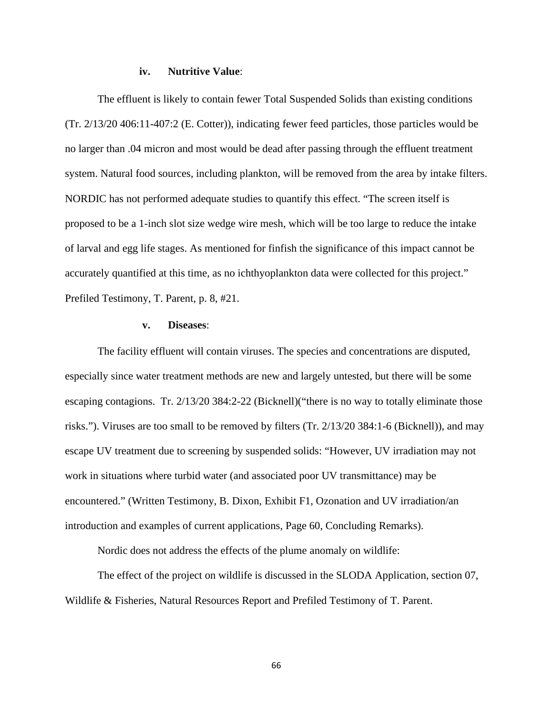#### **iv. Nutritive Value**:

The effluent is likely to contain fewer Total Suspended Solids than existing conditions (Tr. 2/13/20 406:11-407:2 (E. Cotter)), indicating fewer feed particles, those particles would be no larger than .04 micron and most would be dead after passing through the effluent treatment system. Natural food sources, including plankton, will be removed from the area by intake filters. NORDIC has not performed adequate studies to quantify this effect. "The screen itself is proposed to be a 1-inch slot size wedge wire mesh, which will be too large to reduce the intake of larval and egg life stages. As mentioned for finfish the significance of this impact cannot be accurately quantified at this time, as no ichthyoplankton data were collected for this project." Prefiled Testimony, T. Parent, p. 8, #21.

#### **v. Diseases**:

The facility effluent will contain viruses. The species and concentrations are disputed, especially since water treatment methods are new and largely untested, but there will be some escaping contagions. Tr. 2/13/20 384:2-22 (Bicknell)("there is no way to totally eliminate those risks."). Viruses are too small to be removed by filters (Tr. 2/13/20 384:1-6 (Bicknell)), and may escape UV treatment due to screening by suspended solids: "However, UV irradiation may not work in situations where turbid water (and associated poor UV transmittance) may be encountered." (Written Testimony, B. Dixon, Exhibit F1, Ozonation and UV irradiation/an introduction and examples of current applications, Page 60, Concluding Remarks).

Nordic does not address the effects of the plume anomaly on wildlife:

The effect of the project on wildlife is discussed in the SLODA Application, section 07, Wildlife & Fisheries, Natural Resources Report and Prefiled Testimony of T. Parent.

66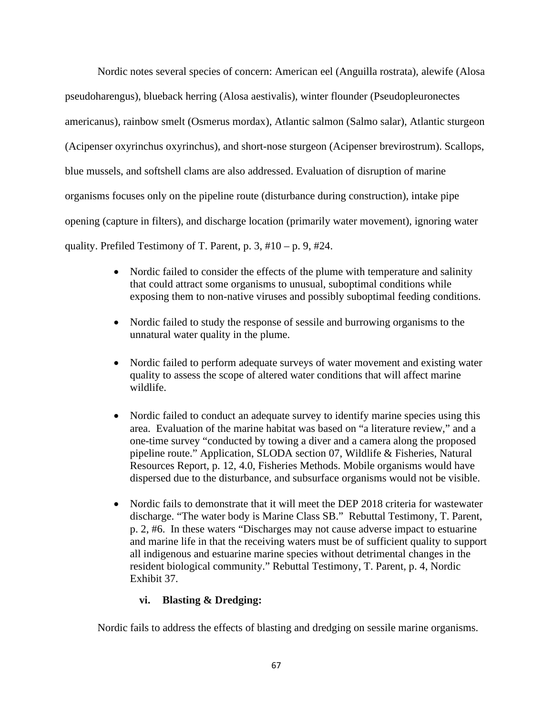Nordic notes several species of concern: American eel (Anguilla rostrata), alewife (Alosa pseudoharengus), blueback herring (Alosa aestivalis), winter flounder (Pseudopleuronectes americanus), rainbow smelt (Osmerus mordax), Atlantic salmon (Salmo salar), Atlantic sturgeon (Acipenser oxyrinchus oxyrinchus), and short-nose sturgeon (Acipenser brevirostrum). Scallops, blue mussels, and softshell clams are also addressed. Evaluation of disruption of marine organisms focuses only on the pipeline route (disturbance during construction), intake pipe opening (capture in filters), and discharge location (primarily water movement), ignoring water quality. Prefiled Testimony of T. Parent, p. 3,  $#10 - p$ . 9,  $#24$ .

- Nordic failed to consider the effects of the plume with temperature and salinity that could attract some organisms to unusual, suboptimal conditions while exposing them to non-native viruses and possibly suboptimal feeding conditions.
- Nordic failed to study the response of sessile and burrowing organisms to the unnatural water quality in the plume.
- Nordic failed to perform adequate surveys of water movement and existing water quality to assess the scope of altered water conditions that will affect marine wildlife.
- Nordic failed to conduct an adequate survey to identify marine species using this area. Evaluation of the marine habitat was based on "a literature review," and a one-time survey "conducted by towing a diver and a camera along the proposed pipeline route." Application, SLODA section 07, Wildlife & Fisheries, Natural Resources Report, p. 12, 4.0, Fisheries Methods. Mobile organisms would have dispersed due to the disturbance, and subsurface organisms would not be visible.
- Nordic fails to demonstrate that it will meet the DEP 2018 criteria for wastewater discharge. "The water body is Marine Class SB." Rebuttal Testimony, T. Parent, p. 2, #6. In these waters "Discharges may not cause adverse impact to estuarine and marine life in that the receiving waters must be of sufficient quality to support all indigenous and estuarine marine species without detrimental changes in the resident biological community." Rebuttal Testimony, T. Parent, p. 4, Nordic Exhibit 37.

# **vi. Blasting & Dredging:**

Nordic fails to address the effects of blasting and dredging on sessile marine organisms.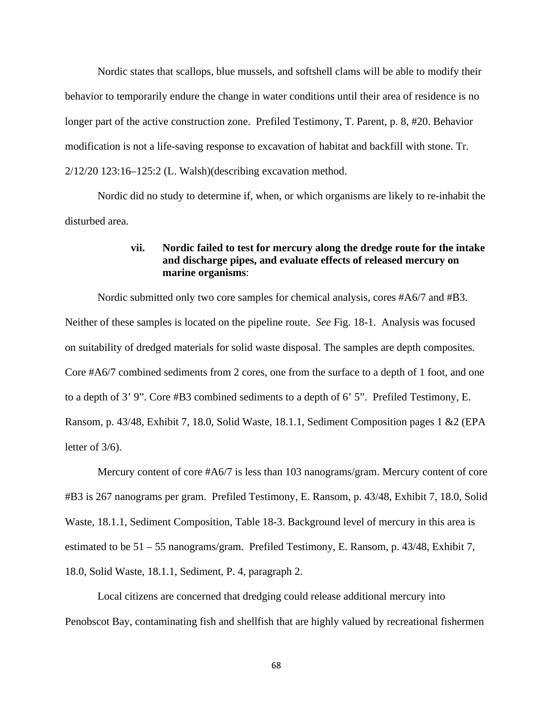Nordic states that scallops, blue mussels, and softshell clams will be able to modify their behavior to temporarily endure the change in water conditions until their area of residence is no longer part of the active construction zone. Prefiled Testimony, T. Parent, p. 8, #20. Behavior modification is not a life-saving response to excavation of habitat and backfill with stone. Tr. 2/12/20 123:16–125:2 (L. Walsh)(describing excavation method.

Nordic did no study to determine if, when, or which organisms are likely to re-inhabit the disturbed area.

## **vii. Nordic failed to test for mercury along the dredge route for the intake and discharge pipes, and evaluate effects of released mercury on marine organisms**:

Nordic submitted only two core samples for chemical analysis, cores #A6/7 and #B3. Neither of these samples is located on the pipeline route. *See* Fig. 18-1. Analysis was focused on suitability of dredged materials for solid waste disposal. The samples are depth composites. Core #A6/7 combined sediments from 2 cores, one from the surface to a depth of 1 foot, and one to a depth of 3' 9". Core #B3 combined sediments to a depth of 6' 5". Prefiled Testimony, E. Ransom, p. 43/48, Exhibit 7, 18.0, Solid Waste, 18.1.1, Sediment Composition pages 1 &2 (EPA letter of 3/6).

Mercury content of core #A6/7 is less than 103 nanograms/gram. Mercury content of core #B3 is 267 nanograms per gram. Prefiled Testimony, E. Ransom, p. 43/48, Exhibit 7, 18.0, Solid Waste, 18.1.1, Sediment Composition, Table 18-3. Background level of mercury in this area is estimated to be 51 – 55 nanograms/gram. Prefiled Testimony, E. Ransom, p. 43/48, Exhibit 7, 18.0, Solid Waste, 18.1.1, Sediment, P. 4, paragraph 2.

Local citizens are concerned that dredging could release additional mercury into Penobscot Bay, contaminating fish and shellfish that are highly valued by recreational fishermen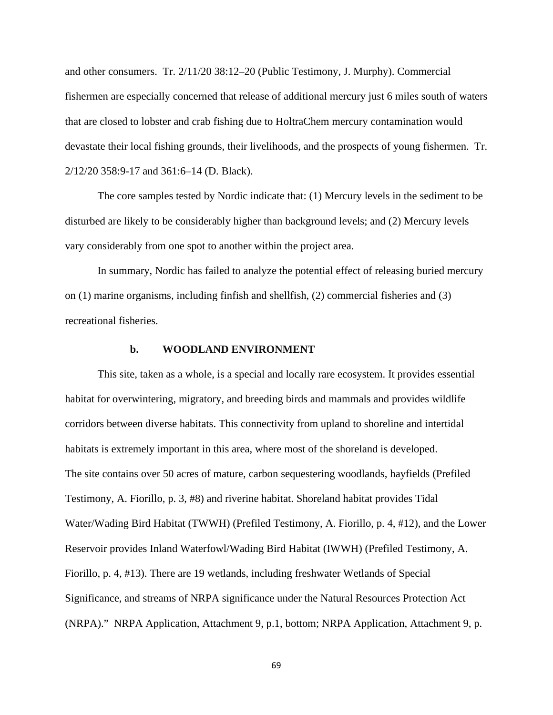and other consumers. Tr. 2/11/20 38:12–20 (Public Testimony, J. Murphy). Commercial fishermen are especially concerned that release of additional mercury just 6 miles south of waters that are closed to lobster and crab fishing due to HoltraChem mercury contamination would devastate their local fishing grounds, their livelihoods, and the prospects of young fishermen. Tr. 2/12/20 358:9-17 and 361:6–14 (D. Black).

The core samples tested by Nordic indicate that: (1) Mercury levels in the sediment to be disturbed are likely to be considerably higher than background levels; and (2) Mercury levels vary considerably from one spot to another within the project area.

In summary, Nordic has failed to analyze the potential effect of releasing buried mercury on (1) marine organisms, including finfish and shellfish, (2) commercial fisheries and (3) recreational fisheries.

## **b. WOODLAND ENVIRONMENT**

This site, taken as a whole, is a special and locally rare ecosystem. It provides essential habitat for overwintering, migratory, and breeding birds and mammals and provides wildlife corridors between diverse habitats. This connectivity from upland to shoreline and intertidal habitats is extremely important in this area, where most of the shoreland is developed. The site contains over 50 acres of mature, carbon sequestering woodlands, hayfields (Prefiled Testimony, A. Fiorillo, p. 3, #8) and riverine habitat. Shoreland habitat provides Tidal Water/Wading Bird Habitat (TWWH) (Prefiled Testimony, A. Fiorillo, p. 4, #12), and the Lower Reservoir provides Inland Waterfowl/Wading Bird Habitat (IWWH) (Prefiled Testimony, A. Fiorillo, p. 4, #13). There are 19 wetlands, including freshwater Wetlands of Special Significance, and streams of NRPA significance under the Natural Resources Protection Act (NRPA)." NRPA Application, Attachment 9, p.1, bottom; NRPA Application, Attachment 9, p.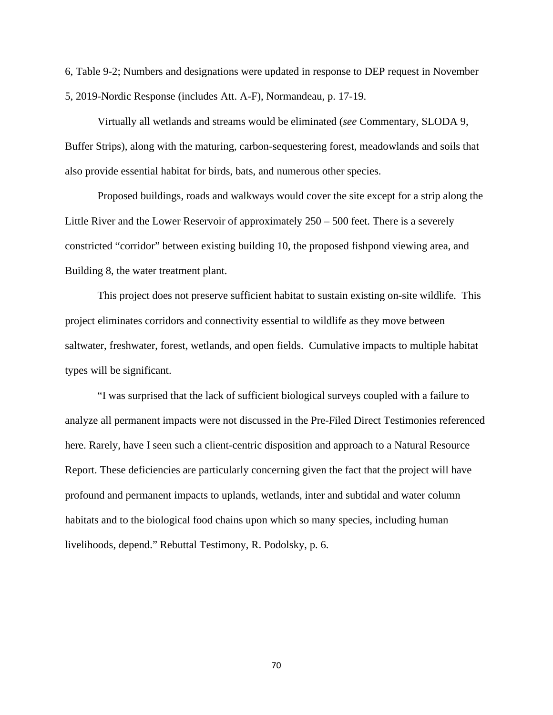6, Table 9-2; Numbers and designations were updated in response to DEP request in November 5, 2019-Nordic Response (includes Att. A-F), Normandeau, p. 17-19.

Virtually all wetlands and streams would be eliminated (*see* Commentary, SLODA 9, Buffer Strips), along with the maturing, carbon-sequestering forest, meadowlands and soils that also provide essential habitat for birds, bats, and numerous other species.

Proposed buildings, roads and walkways would cover the site except for a strip along the Little River and the Lower Reservoir of approximately 250 – 500 feet. There is a severely constricted "corridor" between existing building 10, the proposed fishpond viewing area, and Building 8, the water treatment plant.

This project does not preserve sufficient habitat to sustain existing on-site wildlife. This project eliminates corridors and connectivity essential to wildlife as they move between saltwater, freshwater, forest, wetlands, and open fields. Cumulative impacts to multiple habitat types will be significant.

"I was surprised that the lack of sufficient biological surveys coupled with a failure to analyze all permanent impacts were not discussed in the Pre-Filed Direct Testimonies referenced here. Rarely, have I seen such a client-centric disposition and approach to a Natural Resource Report. These deficiencies are particularly concerning given the fact that the project will have profound and permanent impacts to uplands, wetlands, inter and subtidal and water column habitats and to the biological food chains upon which so many species, including human livelihoods, depend." Rebuttal Testimony, R. Podolsky, p. 6.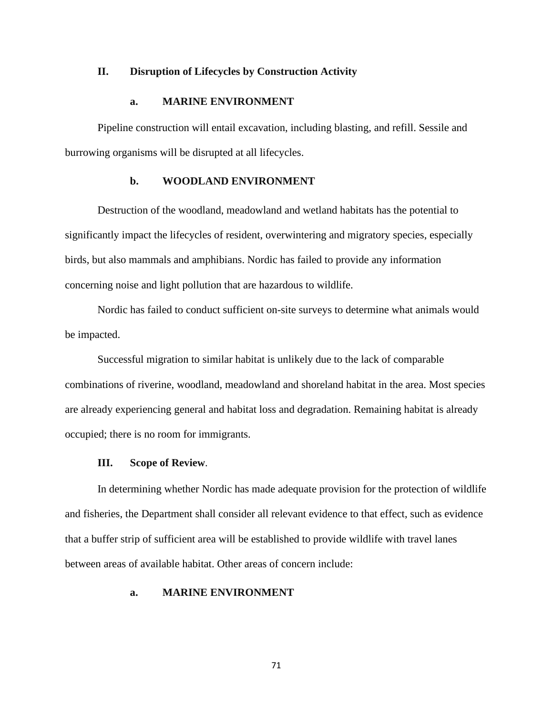## **II. Disruption of Lifecycles by Construction Activity**

### **a. MARINE ENVIRONMENT**

Pipeline construction will entail excavation, including blasting, and refill. Sessile and burrowing organisms will be disrupted at all lifecycles.

### **b. WOODLAND ENVIRONMENT**

Destruction of the woodland, meadowland and wetland habitats has the potential to significantly impact the lifecycles of resident, overwintering and migratory species, especially birds, but also mammals and amphibians. Nordic has failed to provide any information concerning noise and light pollution that are hazardous to wildlife.

Nordic has failed to conduct sufficient on-site surveys to determine what animals would be impacted.

Successful migration to similar habitat is unlikely due to the lack of comparable combinations of riverine, woodland, meadowland and shoreland habitat in the area. Most species are already experiencing general and habitat loss and degradation. Remaining habitat is already occupied; there is no room for immigrants.

### **III. Scope of Review**.

In determining whether Nordic has made adequate provision for the protection of wildlife and fisheries, the Department shall consider all relevant evidence to that effect, such as evidence that a buffer strip of sufficient area will be established to provide wildlife with travel lanes between areas of available habitat. Other areas of concern include:

## **a. MARINE ENVIRONMENT**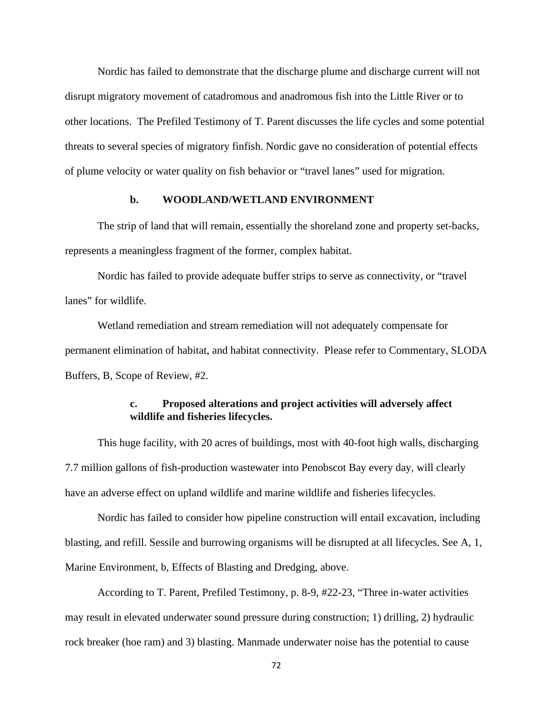Nordic has failed to demonstrate that the discharge plume and discharge current will not disrupt migratory movement of catadromous and anadromous fish into the Little River or to other locations. The Prefiled Testimony of T. Parent discusses the life cycles and some potential threats to several species of migratory finfish. Nordic gave no consideration of potential effects of plume velocity or water quality on fish behavior or "travel lanes" used for migration.

## **b. WOODLAND/WETLAND ENVIRONMENT**

The strip of land that will remain, essentially the shoreland zone and property set-backs, represents a meaningless fragment of the former, complex habitat.

Nordic has failed to provide adequate buffer strips to serve as connectivity, or "travel lanes" for wildlife.

Wetland remediation and stream remediation will not adequately compensate for permanent elimination of habitat, and habitat connectivity. Please refer to Commentary, SLODA Buffers, B, Scope of Review, #2.

# **c. Proposed alterations and project activities will adversely affect wildlife and fisheries lifecycles.**

This huge facility, with 20 acres of buildings, most with 40-foot high walls, discharging 7.7 million gallons of fish-production wastewater into Penobscot Bay every day, will clearly have an adverse effect on upland wildlife and marine wildlife and fisheries lifecycles.

Nordic has failed to consider how pipeline construction will entail excavation, including blasting, and refill. Sessile and burrowing organisms will be disrupted at all lifecycles. See A, 1, Marine Environment, b, Effects of Blasting and Dredging, above.

According to T. Parent, Prefiled Testimony, p. 8-9, #22-23, "Three in-water activities may result in elevated underwater sound pressure during construction; 1) drilling, 2) hydraulic rock breaker (hoe ram) and 3) blasting. Manmade underwater noise has the potential to cause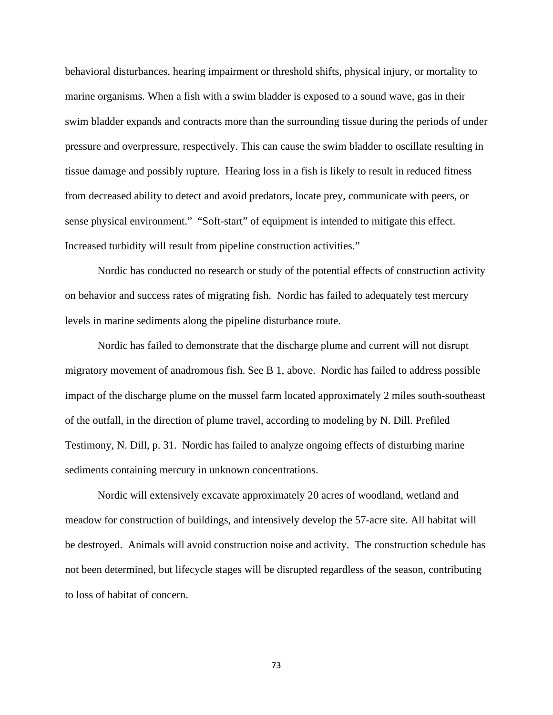behavioral disturbances, hearing impairment or threshold shifts, physical injury, or mortality to marine organisms. When a fish with a swim bladder is exposed to a sound wave, gas in their swim bladder expands and contracts more than the surrounding tissue during the periods of under pressure and overpressure, respectively. This can cause the swim bladder to oscillate resulting in tissue damage and possibly rupture. Hearing loss in a fish is likely to result in reduced fitness from decreased ability to detect and avoid predators, locate prey, communicate with peers, or sense physical environment." "Soft-start" of equipment is intended to mitigate this effect. Increased turbidity will result from pipeline construction activities."

Nordic has conducted no research or study of the potential effects of construction activity on behavior and success rates of migrating fish. Nordic has failed to adequately test mercury levels in marine sediments along the pipeline disturbance route.

Nordic has failed to demonstrate that the discharge plume and current will not disrupt migratory movement of anadromous fish. See B 1, above. Nordic has failed to address possible impact of the discharge plume on the mussel farm located approximately 2 miles south-southeast of the outfall, in the direction of plume travel, according to modeling by N. Dill. Prefiled Testimony, N. Dill, p. 31. Nordic has failed to analyze ongoing effects of disturbing marine sediments containing mercury in unknown concentrations.

Nordic will extensively excavate approximately 20 acres of woodland, wetland and meadow for construction of buildings, and intensively develop the 57-acre site. All habitat will be destroyed. Animals will avoid construction noise and activity. The construction schedule has not been determined, but lifecycle stages will be disrupted regardless of the season, contributing to loss of habitat of concern.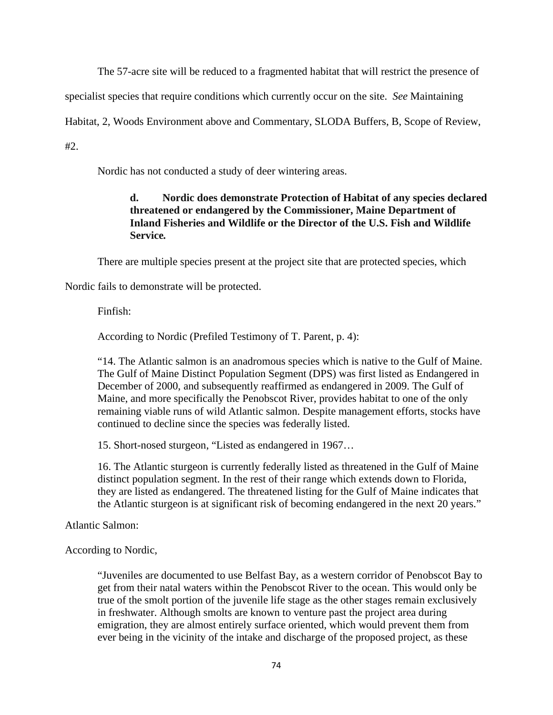The 57-acre site will be reduced to a fragmented habitat that will restrict the presence of

specialist species that require conditions which currently occur on the site. *See* Maintaining

Habitat, 2, Woods Environment above and Commentary, SLODA Buffers, B, Scope of Review,

 $#2.$ 

Nordic has not conducted a study of deer wintering areas.

# **d. Nordic does demonstrate Protection of Habitat of any species declared threatened or endangered by the Commissioner, Maine Department of Inland Fisheries and Wildlife or the Director of the U.S. Fish and Wildlife Service***.*

There are multiple species present at the project site that are protected species, which

Nordic fails to demonstrate will be protected.

Finfish:

According to Nordic (Prefiled Testimony of T. Parent, p. 4):

"14. The Atlantic salmon is an anadromous species which is native to the Gulf of Maine. The Gulf of Maine Distinct Population Segment (DPS) was first listed as Endangered in December of 2000, and subsequently reaffirmed as endangered in 2009. The Gulf of Maine, and more specifically the Penobscot River, provides habitat to one of the only remaining viable runs of wild Atlantic salmon. Despite management efforts, stocks have continued to decline since the species was federally listed.

15. Short-nosed sturgeon, "Listed as endangered in 1967…

16. The Atlantic sturgeon is currently federally listed as threatened in the Gulf of Maine distinct population segment. In the rest of their range which extends down to Florida, they are listed as endangered. The threatened listing for the Gulf of Maine indicates that the Atlantic sturgeon is at significant risk of becoming endangered in the next 20 years."

Atlantic Salmon:

According to Nordic,

"Juveniles are documented to use Belfast Bay, as a western corridor of Penobscot Bay to get from their natal waters within the Penobscot River to the ocean. This would only be true of the smolt portion of the juvenile life stage as the other stages remain exclusively in freshwater. Although smolts are known to venture past the project area during emigration, they are almost entirely surface oriented, which would prevent them from ever being in the vicinity of the intake and discharge of the proposed project, as these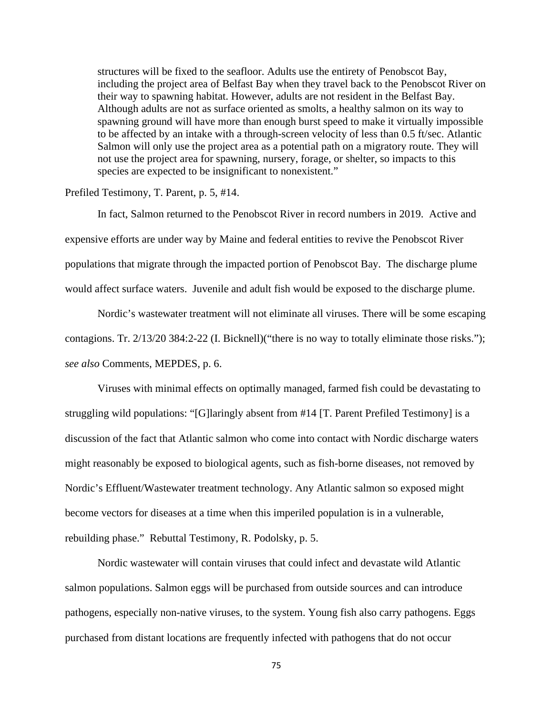structures will be fixed to the seafloor. Adults use the entirety of Penobscot Bay, including the project area of Belfast Bay when they travel back to the Penobscot River on their way to spawning habitat. However, adults are not resident in the Belfast Bay. Although adults are not as surface oriented as smolts, a healthy salmon on its way to spawning ground will have more than enough burst speed to make it virtually impossible to be affected by an intake with a through-screen velocity of less than 0.5 ft/sec. Atlantic Salmon will only use the project area as a potential path on a migratory route. They will not use the project area for spawning, nursery, forage, or shelter, so impacts to this species are expected to be insignificant to nonexistent."

### Prefiled Testimony, T. Parent, p. 5, #14.

In fact, Salmon returned to the Penobscot River in record numbers in 2019. Active and expensive efforts are under way by Maine and federal entities to revive the Penobscot River populations that migrate through the impacted portion of Penobscot Bay. The discharge plume would affect surface waters. Juvenile and adult fish would be exposed to the discharge plume.

Nordic's wastewater treatment will not eliminate all viruses. There will be some escaping contagions. Tr. 2/13/20 384:2-22 (I. Bicknell)("there is no way to totally eliminate those risks."); *see also* Comments, MEPDES, p. 6.

Viruses with minimal effects on optimally managed, farmed fish could be devastating to struggling wild populations: "[G]laringly absent from #14 [T. Parent Prefiled Testimony] is a discussion of the fact that Atlantic salmon who come into contact with Nordic discharge waters might reasonably be exposed to biological agents, such as fish-borne diseases, not removed by Nordic's Effluent/Wastewater treatment technology. Any Atlantic salmon so exposed might become vectors for diseases at a time when this imperiled population is in a vulnerable, rebuilding phase." Rebuttal Testimony, R. Podolsky, p. 5.

Nordic wastewater will contain viruses that could infect and devastate wild Atlantic salmon populations. Salmon eggs will be purchased from outside sources and can introduce pathogens, especially non-native viruses, to the system. Young fish also carry pathogens. Eggs purchased from distant locations are frequently infected with pathogens that do not occur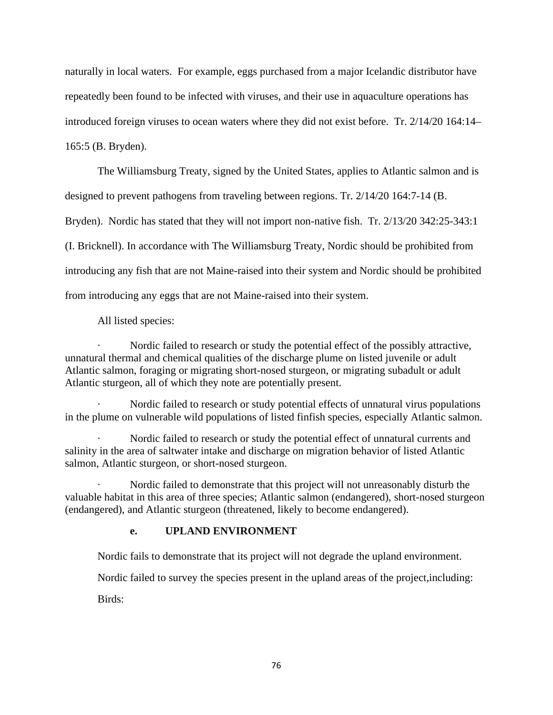naturally in local waters. For example, eggs purchased from a major Icelandic distributor have repeatedly been found to be infected with viruses, and their use in aquaculture operations has introduced foreign viruses to ocean waters where they did not exist before. Tr. 2/14/20 164:14– 165:5 (B. Bryden).

The Williamsburg Treaty, signed by the United States, applies to Atlantic salmon and is designed to prevent pathogens from traveling between regions. Tr. 2/14/20 164:7-14 (B.

Bryden). Nordic has stated that they will not import non-native fish. Tr. 2/13/20 342:25-343:1

(I. Bricknell). In accordance with The Williamsburg Treaty, Nordic should be prohibited from

introducing any fish that are not Maine-raised into their system and Nordic should be prohibited

from introducing any eggs that are not Maine-raised into their system.

All listed species:

Nordic failed to research or study the potential effect of the possibly attractive, unnatural thermal and chemical qualities of the discharge plume on listed juvenile or adult Atlantic salmon, foraging or migrating short-nosed sturgeon, or migrating subadult or adult Atlantic sturgeon, all of which they note are potentially present.

Nordic failed to research or study potential effects of unnatural virus populations in the plume on vulnerable wild populations of listed finfish species, especially Atlantic salmon.

Nordic failed to research or study the potential effect of unnatural currents and salinity in the area of saltwater intake and discharge on migration behavior of listed Atlantic salmon, Atlantic sturgeon, or short-nosed sturgeon.

Nordic failed to demonstrate that this project will not unreasonably disturb the valuable habitat in this area of three species; Atlantic salmon (endangered), short-nosed sturgeon (endangered), and Atlantic sturgeon (threatened, likely to become endangered).

# **e. UPLAND ENVIRONMENT**

Nordic fails to demonstrate that its project will not degrade the upland environment.

Nordic failed to survey the species present in the upland areas of the project,including:

Birds: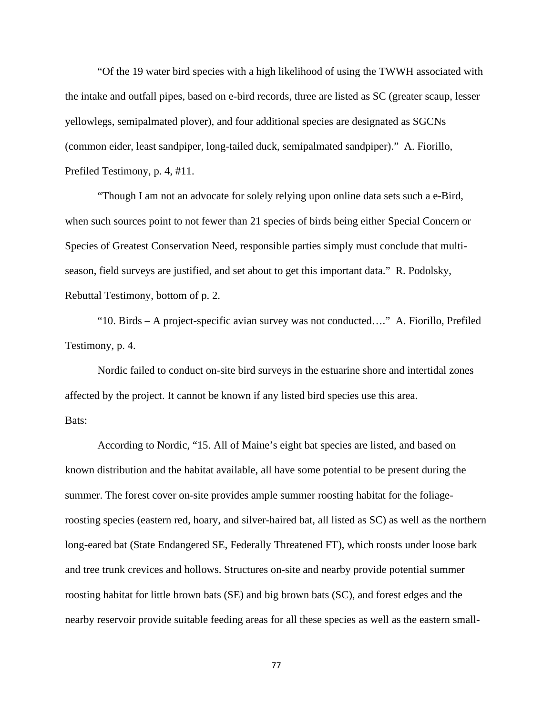"Of the 19 water bird species with a high likelihood of using the TWWH associated with the intake and outfall pipes, based on e-bird records, three are listed as SC (greater scaup, lesser yellowlegs, semipalmated plover), and four additional species are designated as SGCNs (common eider, least sandpiper, long-tailed duck, semipalmated sandpiper)." A. Fiorillo, Prefiled Testimony, p. 4, #11.

"Though I am not an advocate for solely relying upon online data sets such a e-Bird, when such sources point to not fewer than 21 species of birds being either Special Concern or Species of Greatest Conservation Need, responsible parties simply must conclude that multiseason, field surveys are justified, and set about to get this important data." R. Podolsky, Rebuttal Testimony, bottom of p. 2.

"10. Birds – A project-specific avian survey was not conducted…." A. Fiorillo, Prefiled Testimony, p. 4.

Nordic failed to conduct on-site bird surveys in the estuarine shore and intertidal zones affected by the project. It cannot be known if any listed bird species use this area. Bats:

According to Nordic, "15. All of Maine's eight bat species are listed, and based on known distribution and the habitat available, all have some potential to be present during the summer. The forest cover on-site provides ample summer roosting habitat for the foliageroosting species (eastern red, hoary, and silver-haired bat, all listed as SC) as well as the northern long-eared bat (State Endangered SE, Federally Threatened FT), which roosts under loose bark and tree trunk crevices and hollows. Structures on-site and nearby provide potential summer roosting habitat for little brown bats (SE) and big brown bats (SC), and forest edges and the nearby reservoir provide suitable feeding areas for all these species as well as the eastern small-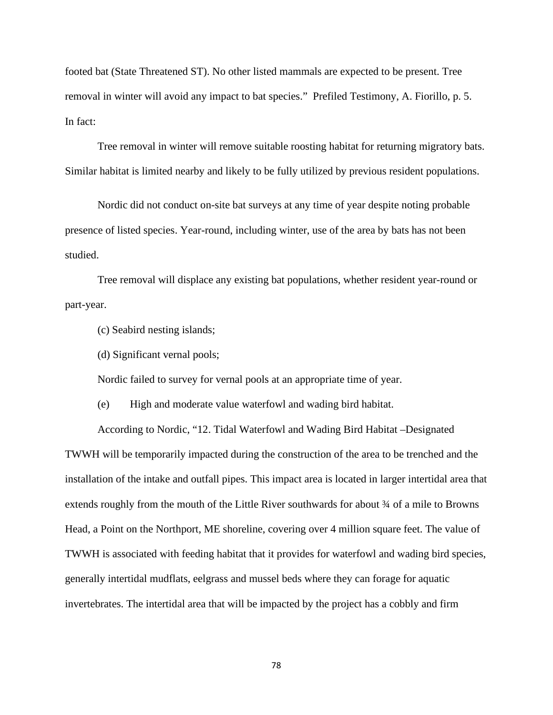footed bat (State Threatened ST). No other listed mammals are expected to be present. Tree removal in winter will avoid any impact to bat species." Prefiled Testimony, A. Fiorillo, p. 5. In fact:

Tree removal in winter will remove suitable roosting habitat for returning migratory bats. Similar habitat is limited nearby and likely to be fully utilized by previous resident populations.

Nordic did not conduct on-site bat surveys at any time of year despite noting probable presence of listed species. Year-round, including winter, use of the area by bats has not been studied.

Tree removal will displace any existing bat populations, whether resident year-round or part-year.

(c) Seabird nesting islands;

(d) Significant vernal pools;

Nordic failed to survey for vernal pools at an appropriate time of year.

(e) High and moderate value waterfowl and wading bird habitat.

According to Nordic, "12. Tidal Waterfowl and Wading Bird Habitat –Designated TWWH will be temporarily impacted during the construction of the area to be trenched and the installation of the intake and outfall pipes. This impact area is located in larger intertidal area that extends roughly from the mouth of the Little River southwards for about ¾ of a mile to Browns Head, a Point on the Northport, ME shoreline, covering over 4 million square feet. The value of TWWH is associated with feeding habitat that it provides for waterfowl and wading bird species, generally intertidal mudflats, eelgrass and mussel beds where they can forage for aquatic invertebrates. The intertidal area that will be impacted by the project has a cobbly and firm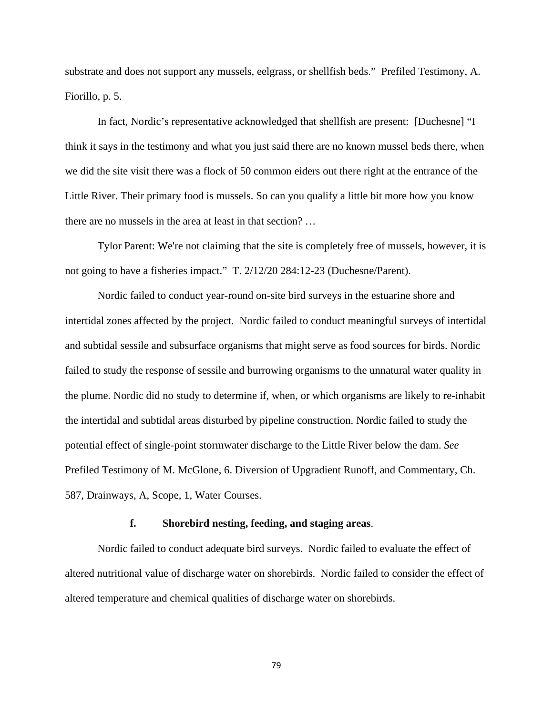substrate and does not support any mussels, eelgrass, or shellfish beds." Prefiled Testimony, A. Fiorillo, p. 5.

In fact, Nordic's representative acknowledged that shellfish are present: [Duchesne] "I think it says in the testimony and what you just said there are no known mussel beds there, when we did the site visit there was a flock of 50 common eiders out there right at the entrance of the Little River. Their primary food is mussels. So can you qualify a little bit more how you know there are no mussels in the area at least in that section? …

Tylor Parent: We're not claiming that the site is completely free of mussels, however, it is not going to have a fisheries impact." T. 2/12/20 284:12-23 (Duchesne/Parent).

Nordic failed to conduct year-round on-site bird surveys in the estuarine shore and intertidal zones affected by the project. Nordic failed to conduct meaningful surveys of intertidal and subtidal sessile and subsurface organisms that might serve as food sources for birds. Nordic failed to study the response of sessile and burrowing organisms to the unnatural water quality in the plume. Nordic did no study to determine if, when, or which organisms are likely to re-inhabit the intertidal and subtidal areas disturbed by pipeline construction. Nordic failed to study the potential effect of single-point stormwater discharge to the Little River below the dam. *See* Prefiled Testimony of M. McGlone, 6. Diversion of Upgradient Runoff, and Commentary, Ch. 587, Drainways, A, Scope, 1, Water Courses.

## **f. Shorebird nesting, feeding, and staging areas**.

Nordic failed to conduct adequate bird surveys. Nordic failed to evaluate the effect of altered nutritional value of discharge water on shorebirds. Nordic failed to consider the effect of altered temperature and chemical qualities of discharge water on shorebirds.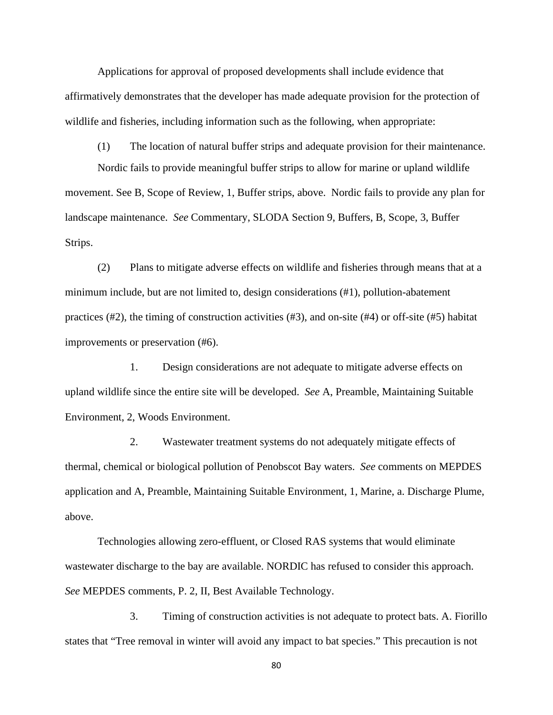Applications for approval of proposed developments shall include evidence that affirmatively demonstrates that the developer has made adequate provision for the protection of wildlife and fisheries, including information such as the following, when appropriate:

(1) The location of natural buffer strips and adequate provision for their maintenance. Nordic fails to provide meaningful buffer strips to allow for marine or upland wildlife movement. See B, Scope of Review, 1, Buffer strips, above. Nordic fails to provide any plan for landscape maintenance. *See* Commentary, SLODA Section 9, Buffers, B, Scope, 3, Buffer

Strips.

(2) Plans to mitigate adverse effects on wildlife and fisheries through means that at a minimum include, but are not limited to, design considerations (#1), pollution-abatement practices (#2), the timing of construction activities (#3), and on-site (#4) or off-site (#5) habitat improvements or preservation (#6).

1. Design considerations are not adequate to mitigate adverse effects on upland wildlife since the entire site will be developed. *See* A, Preamble, Maintaining Suitable Environment, 2, Woods Environment.

2. Wastewater treatment systems do not adequately mitigate effects of thermal, chemical or biological pollution of Penobscot Bay waters. *See* comments on MEPDES application and A, Preamble, Maintaining Suitable Environment, 1, Marine, a. Discharge Plume, above.

Technologies allowing zero-effluent, or Closed RAS systems that would eliminate wastewater discharge to the bay are available. NORDIC has refused to consider this approach. *See* MEPDES comments, P. 2, II, Best Available Technology.

3. Timing of construction activities is not adequate to protect bats. A. Fiorillo states that "Tree removal in winter will avoid any impact to bat species." This precaution is not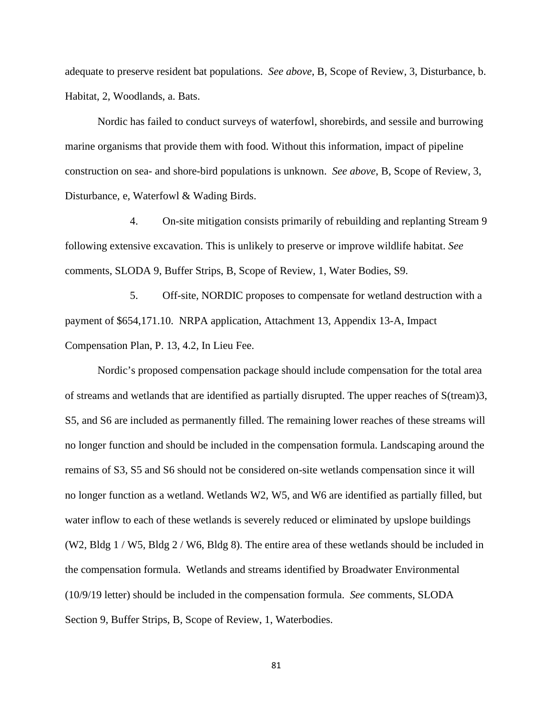adequate to preserve resident bat populations. *See above*, B, Scope of Review, 3, Disturbance, b. Habitat, 2, Woodlands, a. Bats.

Nordic has failed to conduct surveys of waterfowl, shorebirds, and sessile and burrowing marine organisms that provide them with food. Without this information, impact of pipeline construction on sea- and shore-bird populations is unknown. *See above*, B, Scope of Review, 3, Disturbance, e, Waterfowl & Wading Birds.

4. On-site mitigation consists primarily of rebuilding and replanting Stream 9 following extensive excavation. This is unlikely to preserve or improve wildlife habitat. *See* comments, SLODA 9, Buffer Strips, B, Scope of Review, 1, Water Bodies, S9.

5. Off-site, NORDIC proposes to compensate for wetland destruction with a payment of \$654,171.10. NRPA application, Attachment 13, Appendix 13-A, Impact Compensation Plan, P. 13, 4.2, In Lieu Fee.

Nordic's proposed compensation package should include compensation for the total area of streams and wetlands that are identified as partially disrupted. The upper reaches of S(tream)3, S5, and S6 are included as permanently filled. The remaining lower reaches of these streams will no longer function and should be included in the compensation formula. Landscaping around the remains of S3, S5 and S6 should not be considered on-site wetlands compensation since it will no longer function as a wetland. Wetlands W2, W5, and W6 are identified as partially filled, but water inflow to each of these wetlands is severely reduced or eliminated by upslope buildings (W2, Bldg  $1 / W$ 5, Bldg  $2 / W$ 6, Bldg 8). The entire area of these wetlands should be included in the compensation formula. Wetlands and streams identified by Broadwater Environmental (10/9/19 letter) should be included in the compensation formula. *See* comments, SLODA Section 9, Buffer Strips, B, Scope of Review, 1, Waterbodies.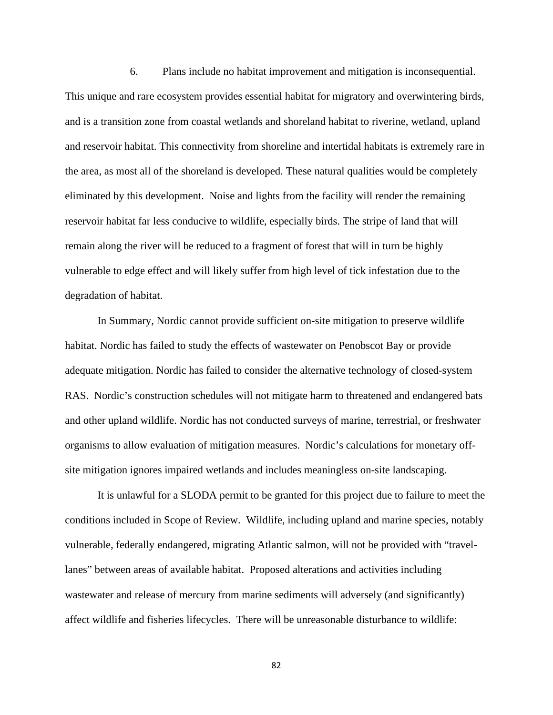6. Plans include no habitat improvement and mitigation is inconsequential. This unique and rare ecosystem provides essential habitat for migratory and overwintering birds, and is a transition zone from coastal wetlands and shoreland habitat to riverine, wetland, upland and reservoir habitat. This connectivity from shoreline and intertidal habitats is extremely rare in the area, as most all of the shoreland is developed. These natural qualities would be completely eliminated by this development. Noise and lights from the facility will render the remaining reservoir habitat far less conducive to wildlife, especially birds. The stripe of land that will remain along the river will be reduced to a fragment of forest that will in turn be highly vulnerable to edge effect and will likely suffer from high level of tick infestation due to the degradation of habitat.

In Summary, Nordic cannot provide sufficient on-site mitigation to preserve wildlife habitat. Nordic has failed to study the effects of wastewater on Penobscot Bay or provide adequate mitigation. Nordic has failed to consider the alternative technology of closed-system RAS. Nordic's construction schedules will not mitigate harm to threatened and endangered bats and other upland wildlife. Nordic has not conducted surveys of marine, terrestrial, or freshwater organisms to allow evaluation of mitigation measures. Nordic's calculations for monetary offsite mitigation ignores impaired wetlands and includes meaningless on-site landscaping.

It is unlawful for a SLODA permit to be granted for this project due to failure to meet the conditions included in Scope of Review. Wildlife, including upland and marine species, notably vulnerable, federally endangered, migrating Atlantic salmon, will not be provided with "travellanes" between areas of available habitat. Proposed alterations and activities including wastewater and release of mercury from marine sediments will adversely (and significantly) affect wildlife and fisheries lifecycles. There will be unreasonable disturbance to wildlife: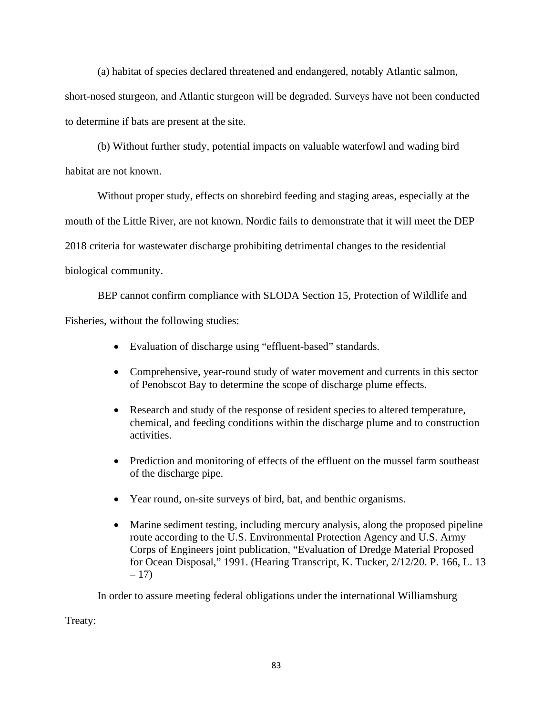(a) habitat of species declared threatened and endangered, notably Atlantic salmon,

short-nosed sturgeon, and Atlantic sturgeon will be degraded. Surveys have not been conducted to determine if bats are present at the site.

(b) Without further study, potential impacts on valuable waterfowl and wading bird habitat are not known.

Without proper study, effects on shorebird feeding and staging areas, especially at the mouth of the Little River, are not known. Nordic fails to demonstrate that it will meet the DEP 2018 criteria for wastewater discharge prohibiting detrimental changes to the residential biological community.

BEP cannot confirm compliance with SLODA Section 15, Protection of Wildlife and Fisheries, without the following studies:

- Evaluation of discharge using "effluent-based" standards.
- Comprehensive, year-round study of water movement and currents in this sector of Penobscot Bay to determine the scope of discharge plume effects.
- Research and study of the response of resident species to altered temperature, chemical, and feeding conditions within the discharge plume and to construction activities.
- Prediction and monitoring of effects of the effluent on the mussel farm southeast of the discharge pipe.
- Year round, on-site surveys of bird, bat, and benthic organisms.
- Marine sediment testing, including mercury analysis, along the proposed pipeline route according to the U.S. Environmental Protection Agency and U.S. Army Corps of Engineers joint publication, "Evaluation of Dredge Material Proposed for Ocean Disposal," 1991. (Hearing Transcript, K. Tucker, 2/12/20. P. 166, L. 13  $-17)$

In order to assure meeting federal obligations under the international Williamsburg

Treaty: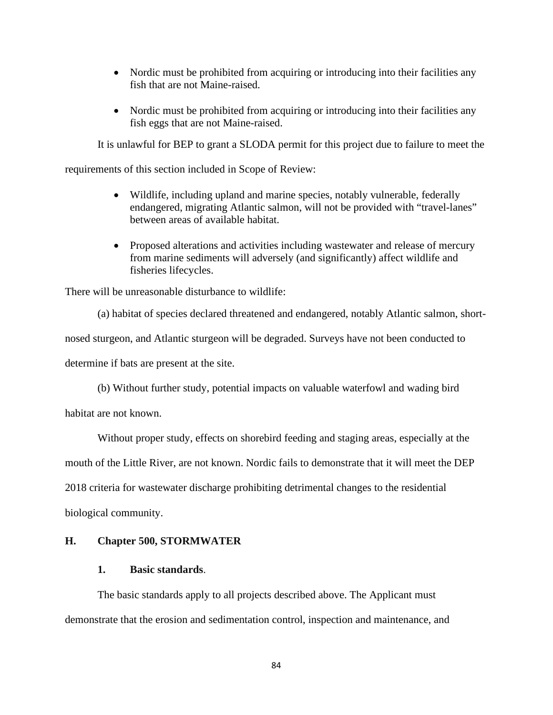- Nordic must be prohibited from acquiring or introducing into their facilities any fish that are not Maine-raised.
- Nordic must be prohibited from acquiring or introducing into their facilities any fish eggs that are not Maine-raised.

It is unlawful for BEP to grant a SLODA permit for this project due to failure to meet the

requirements of this section included in Scope of Review:

- Wildlife, including upland and marine species, notably vulnerable, federally endangered, migrating Atlantic salmon, will not be provided with "travel-lanes" between areas of available habitat.
- Proposed alterations and activities including wastewater and release of mercury from marine sediments will adversely (and significantly) affect wildlife and fisheries lifecycles.

There will be unreasonable disturbance to wildlife:

(a) habitat of species declared threatened and endangered, notably Atlantic salmon, short-

nosed sturgeon, and Atlantic sturgeon will be degraded. Surveys have not been conducted to

determine if bats are present at the site.

(b) Without further study, potential impacts on valuable waterfowl and wading bird

habitat are not known.

Without proper study, effects on shorebird feeding and staging areas, especially at the

mouth of the Little River, are not known. Nordic fails to demonstrate that it will meet the DEP

2018 criteria for wastewater discharge prohibiting detrimental changes to the residential

biological community.

## **H. Chapter 500, STORMWATER**

## **1. Basic standards**.

The basic standards apply to all projects described above. The Applicant must demonstrate that the erosion and sedimentation control, inspection and maintenance, and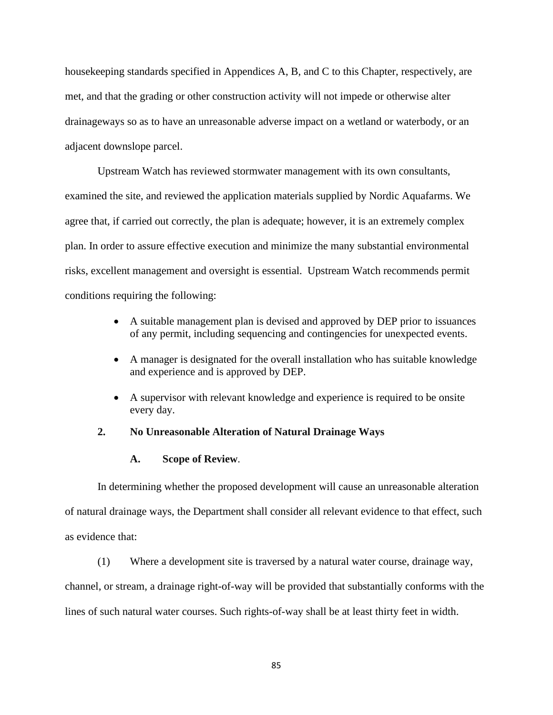housekeeping standards specified in Appendices A, B, and C to this Chapter, respectively, are met, and that the grading or other construction activity will not impede or otherwise alter drainageways so as to have an unreasonable adverse impact on a wetland or waterbody, or an adjacent downslope parcel.

Upstream Watch has reviewed stormwater management with its own consultants, examined the site, and reviewed the application materials supplied by Nordic Aquafarms. We agree that, if carried out correctly, the plan is adequate; however, it is an extremely complex plan. In order to assure effective execution and minimize the many substantial environmental risks, excellent management and oversight is essential. Upstream Watch recommends permit conditions requiring the following:

- A suitable management plan is devised and approved by DEP prior to issuances of any permit, including sequencing and contingencies for unexpected events.
- A manager is designated for the overall installation who has suitable knowledge and experience and is approved by DEP.
- A supervisor with relevant knowledge and experience is required to be onsite every day.

## **2. No Unreasonable Alteration of Natural Drainage Ways**

## **A. Scope of Review**.

In determining whether the proposed development will cause an unreasonable alteration of natural drainage ways, the Department shall consider all relevant evidence to that effect, such as evidence that:

(1) Where a development site is traversed by a natural water course, drainage way,

channel, or stream, a drainage right-of-way will be provided that substantially conforms with the lines of such natural water courses. Such rights-of-way shall be at least thirty feet in width.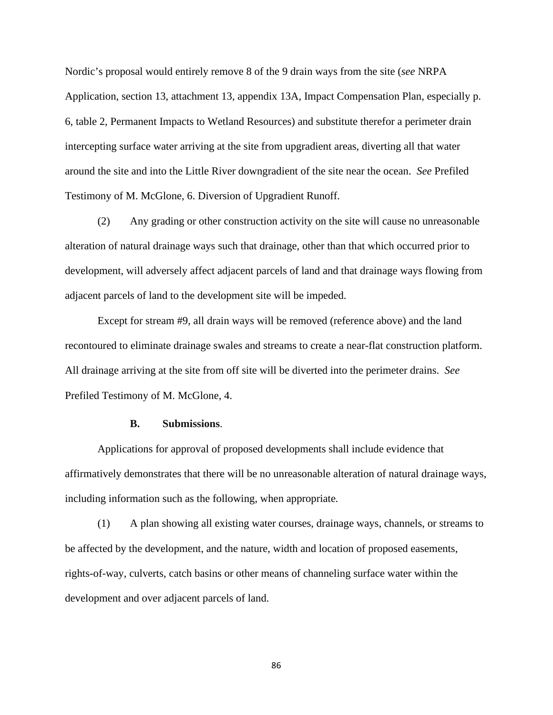Nordic's proposal would entirely remove 8 of the 9 drain ways from the site (*see* NRPA Application, section 13, attachment 13, appendix 13A, Impact Compensation Plan, especially p. 6, table 2, Permanent Impacts to Wetland Resources) and substitute therefor a perimeter drain intercepting surface water arriving at the site from upgradient areas, diverting all that water around the site and into the Little River downgradient of the site near the ocean. *See* Prefiled Testimony of M. McGlone, 6. Diversion of Upgradient Runoff.

(2) Any grading or other construction activity on the site will cause no unreasonable alteration of natural drainage ways such that drainage, other than that which occurred prior to development, will adversely affect adjacent parcels of land and that drainage ways flowing from adjacent parcels of land to the development site will be impeded.

Except for stream #9, all drain ways will be removed (reference above) and the land recontoured to eliminate drainage swales and streams to create a near-flat construction platform. All drainage arriving at the site from off site will be diverted into the perimeter drains. *See* Prefiled Testimony of M. McGlone, 4.

## **B. Submissions**.

Applications for approval of proposed developments shall include evidence that affirmatively demonstrates that there will be no unreasonable alteration of natural drainage ways, including information such as the following, when appropriate*.*

(1) A plan showing all existing water courses, drainage ways, channels, or streams to be affected by the development, and the nature, width and location of proposed easements, rights-of-way, culverts, catch basins or other means of channeling surface water within the development and over adjacent parcels of land.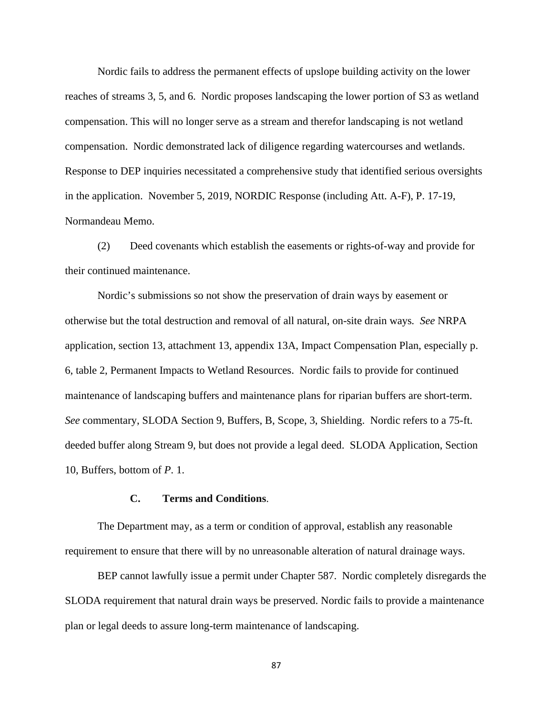Nordic fails to address the permanent effects of upslope building activity on the lower reaches of streams 3, 5, and 6. Nordic proposes landscaping the lower portion of S3 as wetland compensation. This will no longer serve as a stream and therefor landscaping is not wetland compensation. Nordic demonstrated lack of diligence regarding watercourses and wetlands. Response to DEP inquiries necessitated a comprehensive study that identified serious oversights in the application. November 5, 2019, NORDIC Response (including Att. A-F), P. 17-19, Normandeau Memo.

(2) Deed covenants which establish the easements or rights-of-way and provide for their continued maintenance.

Nordic's submissions so not show the preservation of drain ways by easement or otherwise but the total destruction and removal of all natural, on-site drain ways*. See* NRPA application, section 13, attachment 13, appendix 13A, Impact Compensation Plan, especially p. 6, table 2, Permanent Impacts to Wetland Resources. Nordic fails to provide for continued maintenance of landscaping buffers and maintenance plans for riparian buffers are short-term. *See* commentary, SLODA Section 9, Buffers, B, Scope, 3, Shielding. Nordic refers to a 75-ft. deeded buffer along Stream 9, but does not provide a legal deed. SLODA Application, Section 10, Buffers, bottom of *P*. 1.

## **C. Terms and Conditions**.

The Department may, as a term or condition of approval, establish any reasonable requirement to ensure that there will by no unreasonable alteration of natural drainage ways.

BEP cannot lawfully issue a permit under Chapter 587. Nordic completely disregards the SLODA requirement that natural drain ways be preserved. Nordic fails to provide a maintenance plan or legal deeds to assure long-term maintenance of landscaping.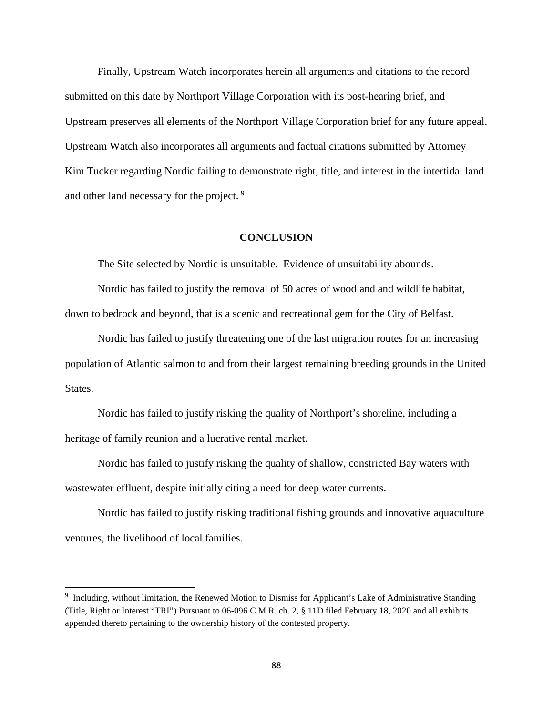Finally, Upstream Watch incorporates herein all arguments and citations to the record submitted on this date by Northport Village Corporation with its post-hearing brief, and Upstream preserves all elements of the Northport Village Corporation brief for any future appeal. Upstream Watch also incorporates all arguments and factual citations submitted by Attorney Kim Tucker regarding Nordic failing to demonstrate right, title, and interest in the intertidal land and other land necessary for the project.<sup>[9](#page-91-0)</sup>

## **CONCLUSION**

The Site selected by Nordic is unsuitable. Evidence of unsuitability abounds.

Nordic has failed to justify the removal of 50 acres of woodland and wildlife habitat, down to bedrock and beyond, that is a scenic and recreational gem for the City of Belfast.

Nordic has failed to justify threatening one of the last migration routes for an increasing population of Atlantic salmon to and from their largest remaining breeding grounds in the United States.

Nordic has failed to justify risking the quality of Northport's shoreline, including a heritage of family reunion and a lucrative rental market.

Nordic has failed to justify risking the quality of shallow, constricted Bay waters with wastewater effluent, despite initially citing a need for deep water currents.

Nordic has failed to justify risking traditional fishing grounds and innovative aquaculture ventures, the livelihood of local families.

<span id="page-91-0"></span><sup>9</sup> Including, without limitation, the Renewed Motion to Dismiss for Applicant's Lake of Administrative Standing (Title, Right or Interest "TRI") Pursuant to 06-096 C.M.R. ch. 2, § 11D filed February 18, 2020 and all exhibits appended thereto pertaining to the ownership history of the contested property.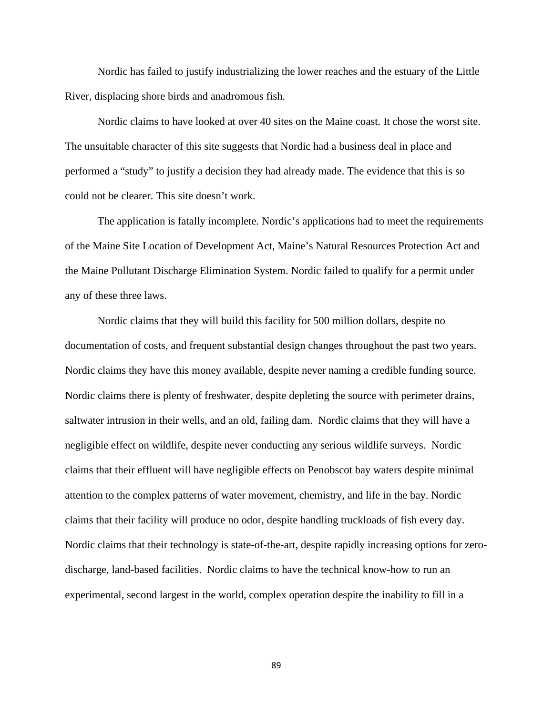Nordic has failed to justify industrializing the lower reaches and the estuary of the Little River, displacing shore birds and anadromous fish.

Nordic claims to have looked at over 40 sites on the Maine coast. It chose the worst site. The unsuitable character of this site suggests that Nordic had a business deal in place and performed a "study" to justify a decision they had already made. The evidence that this is so could not be clearer. This site doesn't work.

The application is fatally incomplete. Nordic's applications had to meet the requirements of the Maine Site Location of Development Act, Maine's Natural Resources Protection Act and the Maine Pollutant Discharge Elimination System. Nordic failed to qualify for a permit under any of these three laws.

Nordic claims that they will build this facility for 500 million dollars, despite no documentation of costs, and frequent substantial design changes throughout the past two years. Nordic claims they have this money available, despite never naming a credible funding source. Nordic claims there is plenty of freshwater, despite depleting the source with perimeter drains, saltwater intrusion in their wells, and an old, failing dam. Nordic claims that they will have a negligible effect on wildlife, despite never conducting any serious wildlife surveys. Nordic claims that their effluent will have negligible effects on Penobscot bay waters despite minimal attention to the complex patterns of water movement, chemistry, and life in the bay. Nordic claims that their facility will produce no odor, despite handling truckloads of fish every day. Nordic claims that their technology is state-of-the-art, despite rapidly increasing options for zerodischarge, land-based facilities. Nordic claims to have the technical know-how to run an experimental, second largest in the world, complex operation despite the inability to fill in a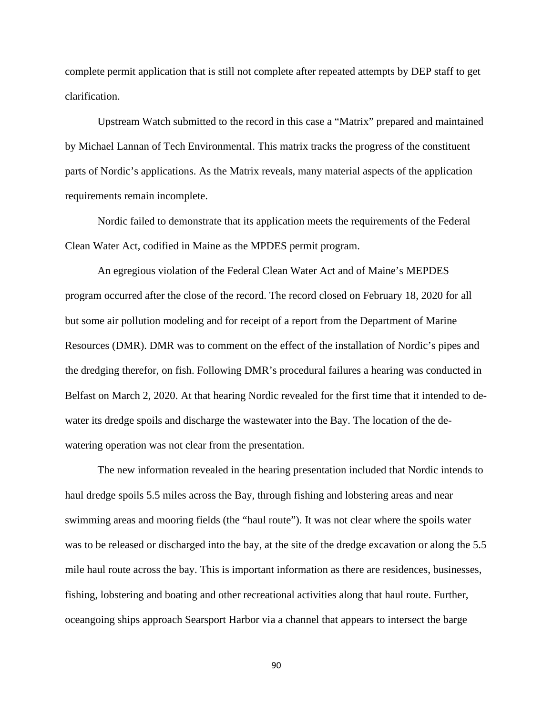complete permit application that is still not complete after repeated attempts by DEP staff to get clarification.

Upstream Watch submitted to the record in this case a "Matrix" prepared and maintained by Michael Lannan of Tech Environmental. This matrix tracks the progress of the constituent parts of Nordic's applications. As the Matrix reveals, many material aspects of the application requirements remain incomplete.

Nordic failed to demonstrate that its application meets the requirements of the Federal Clean Water Act, codified in Maine as the MPDES permit program.

An egregious violation of the Federal Clean Water Act and of Maine's MEPDES program occurred after the close of the record. The record closed on February 18, 2020 for all but some air pollution modeling and for receipt of a report from the Department of Marine Resources (DMR). DMR was to comment on the effect of the installation of Nordic's pipes and the dredging therefor, on fish. Following DMR's procedural failures a hearing was conducted in Belfast on March 2, 2020. At that hearing Nordic revealed for the first time that it intended to dewater its dredge spoils and discharge the wastewater into the Bay. The location of the dewatering operation was not clear from the presentation.

The new information revealed in the hearing presentation included that Nordic intends to haul dredge spoils 5.5 miles across the Bay, through fishing and lobstering areas and near swimming areas and mooring fields (the "haul route"). It was not clear where the spoils water was to be released or discharged into the bay, at the site of the dredge excavation or along the 5.5 mile haul route across the bay. This is important information as there are residences, businesses, fishing, lobstering and boating and other recreational activities along that haul route. Further, oceangoing ships approach Searsport Harbor via a channel that appears to intersect the barge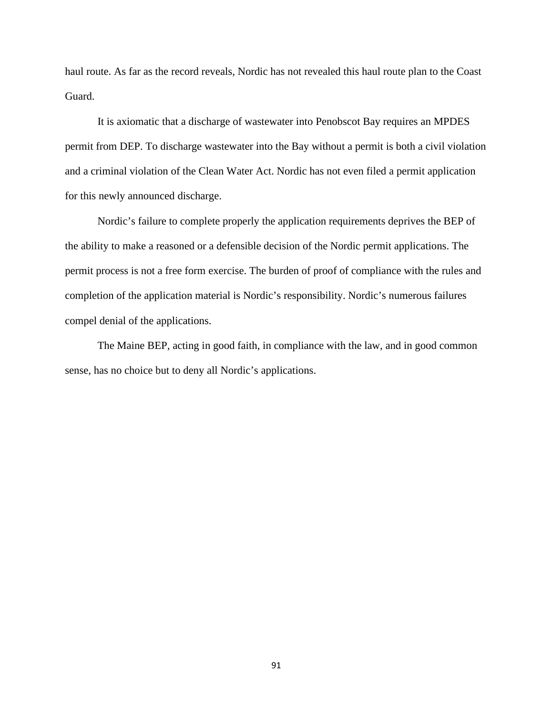haul route. As far as the record reveals, Nordic has not revealed this haul route plan to the Coast Guard.

It is axiomatic that a discharge of wastewater into Penobscot Bay requires an MPDES permit from DEP. To discharge wastewater into the Bay without a permit is both a civil violation and a criminal violation of the Clean Water Act. Nordic has not even filed a permit application for this newly announced discharge.

Nordic's failure to complete properly the application requirements deprives the BEP of the ability to make a reasoned or a defensible decision of the Nordic permit applications. The permit process is not a free form exercise. The burden of proof of compliance with the rules and completion of the application material is Nordic's responsibility. Nordic's numerous failures compel denial of the applications.

The Maine BEP, acting in good faith, in compliance with the law, and in good common sense, has no choice but to deny all Nordic's applications.